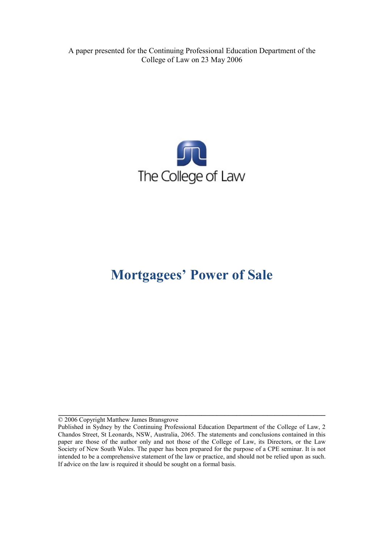A paper presented for the Continuing Professional Education Department of the College of Law on 23 May 2006



# **Mortgagees' Power of Sale**

© 2006 Copyright Matthew James Bransgrove

**\_\_\_\_\_\_\_\_\_\_\_\_\_\_\_\_\_\_\_\_\_\_\_\_\_\_\_\_\_\_\_\_\_\_\_\_\_\_\_\_\_\_\_\_\_\_\_\_\_\_\_\_\_\_\_\_\_\_\_\_\_\_\_\_\_\_\_\_\_**

Published in Sydney by the Continuing Professional Education Department of the College of Law, 2 Chandos Street, St Leonards, NSW, Australia, 2065. The statements and conclusions contained in this paper are those of the author only and not those of the College of Law, its Directors, or the Law Society of New South Wales. The paper has been prepared for the purpose of a CPE seminar. It is not intended to be a comprehensive statement of the law or practice, and should not be relied upon as such. If advice on the law is required it should be sought on a formal basis.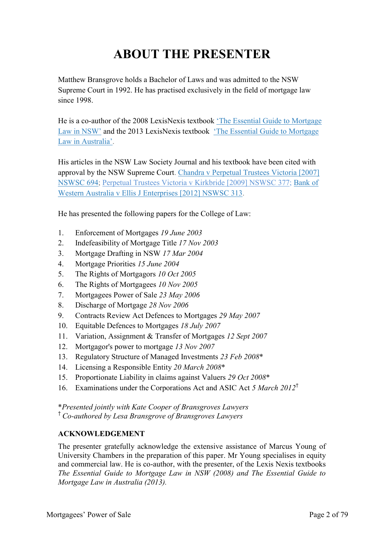# **ABOUT THE PRESENTER**

Matthew Bransgrove holds a Bachelor of Laws and was admitted to the NSW Supreme Court in 1992. He has practised exclusively in the field of mortgage law since 1998.

He is a co-author of the 2008 LexisNexis textbook ['The Essential Guide to Mortgage](http://www.bransgroves.com.au/documents/PDF/Book/OrderForm3LR.pdf) [Law in](http://www.bransgroves.com.au/documents/PDF/Book/OrderForm3LR.pdf) NSW' and the 2013 LexisNexis textbook ['The Essential Guide to Mortgage](http://www.bransgroves.com.au/documents/PDF/Book/EGMLA2ndEdition.pdf) Law in [Australia'.](http://www.bransgroves.com.au/documents/PDF/Book/EGMLA2ndEdition.pdf)

His articles in the NSW Law Society Journal and his textbook have been cited with approval by the NSW Supreme Court. [Chandra v Perpetual Trustees Victoria \[2007\]](http://www.austlii.edu.au/au/cases/nsw/NSWSC/2007/694.html) [NSWSC 694;](http://www.austlii.edu.au/au/cases/nsw/NSWSC/2007/694.html) [Perpetual Trustees Victoria v Kirkbride \[2009\] NSWSC 377;](http://www.austlii.edu.au/au/cases/nsw/NSWSC/2009/377.html) [Bank](http://www.austlii.edu.au/au/cases/nsw/NSWSC/2012/313.html) of [Western Australia v Ellis J Enterprises](http://www.austlii.edu.au/au/cases/nsw/NSWSC/2012/313.html) [2012] NSWSC 313.

He has presented the following papers for the College of Law:

- 1. Enforcement of Mortgages *19 June 2003*
- 2. Indefeasibility of Mortgage Title *17 Nov 2003*
- 3. Mortgage Drafting in NSW *17 Mar 2004*
- 4. Mortgage Priorities *15 June 2004*
- 5. The Rights of Mortgagors *10 Oct 2005*
- 6. The Rights of Mortgagees *10 Nov 2005*
- 7. Mortgagees Power of Sale *23 May 2006*
- 8. Discharge of Mortgage *28 Nov 2006*
- 9. Contracts Review Act Defences to Mortgages *29 May 2007*
- 10. Equitable Defences to Mortgages *18 July 2007*
- 11. Variation, Assignment & Transfer of Mortgages *12 Sept 2007*
- 12. Mortgagor's power to mortgage *13 Nov 2007*
- 13. Regulatory Structure of Managed Investments *23 Feb 2008*\*
- 14. Licensing a Responsible Entity *20 March 2008*\*
- 15. Proportionate Liability in claims against Valuers *29 Oct 2008*\*
- 16. Examinations under the Corporations Act and ASIC Act *5 March 2012*†

\**Presented jointly with Kate Cooper of Bransgroves Lawyers*

† *Co-authored by Lesa Bransgrove of Bransgroves Lawyers*

#### **ACKNOWLEDGEMENT**

The presenter gratefully acknowledge the extensive assistance of Marcus Young of University Chambers in the preparation of this paper. Mr Young specialises in equity and commercial law. He is co-author, with the presenter, of the Lexis Nexis textbooks *The Essential Guide to Mortgage Law in NSW (2008) and The Essential Guide to Mortgage Law in Australia (2013).*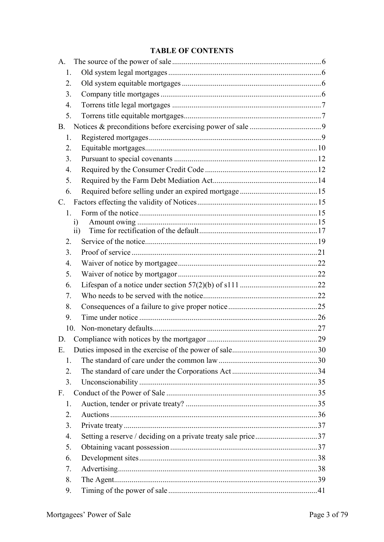## **TABLE OF CONTENTS**

| 1.               |                                                               |  |
|------------------|---------------------------------------------------------------|--|
| 2.               |                                                               |  |
| 3.               |                                                               |  |
| 4.               |                                                               |  |
| 5.               |                                                               |  |
| <b>B.</b>        |                                                               |  |
| 1.               |                                                               |  |
| 2.               |                                                               |  |
| 3 <sub>1</sub>   |                                                               |  |
| $\overline{4}$ . |                                                               |  |
| 5.               |                                                               |  |
| 6.               |                                                               |  |
| $C_{\cdot}$      |                                                               |  |
| $1_{-}$          |                                                               |  |
| $\mathbf{i}$     |                                                               |  |
| $\overline{11}$  |                                                               |  |
| 2.               |                                                               |  |
| 3 <sub>1</sub>   |                                                               |  |
| $\overline{4}$ . |                                                               |  |
| 5.               |                                                               |  |
| 6.               |                                                               |  |
| 7.               |                                                               |  |
| 8.               |                                                               |  |
|                  |                                                               |  |
| 9.               |                                                               |  |
| 10.              |                                                               |  |
| D.               |                                                               |  |
| Ε.               |                                                               |  |
| 1.               |                                                               |  |
| 2.               |                                                               |  |
| 3.               |                                                               |  |
| $F_{\cdot}$      |                                                               |  |
| 1.               |                                                               |  |
| 2.               |                                                               |  |
| 3.               |                                                               |  |
| 4.               | Setting a reserve / deciding on a private treaty sale price37 |  |
| 5.               |                                                               |  |
| 6.               |                                                               |  |
| 7.               |                                                               |  |
| 8.               |                                                               |  |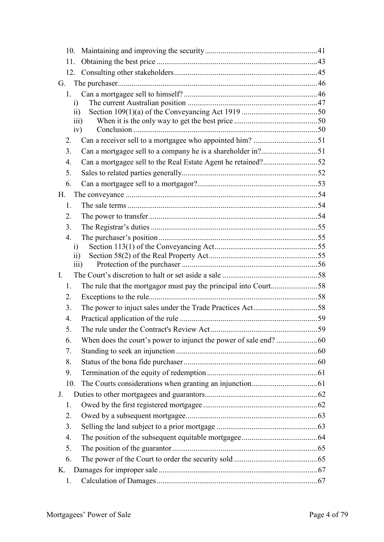| G.                      |  |
|-------------------------|--|
| 1.                      |  |
| $\ddot{1}$              |  |
| $\overline{ii}$         |  |
| $\overline{111}$<br>iv) |  |
| 2.                      |  |
| 3.                      |  |
| $\overline{4}$ .        |  |
| 5.                      |  |
| 6.                      |  |
| H.                      |  |
| 1.                      |  |
| 2.                      |  |
| 3.                      |  |
| $\overline{4}$ .        |  |
| $\mathbf{i}$            |  |
| 11)                     |  |
| $\overline{111}$        |  |
| $\mathbf{I}$ .          |  |
| 1.                      |  |
| 2.<br>3.                |  |
| $\overline{4}$ .        |  |
| 5.                      |  |
| 6.                      |  |
| 7.                      |  |
| 8.                      |  |
| 9.                      |  |
| 10.                     |  |
| J.                      |  |
| 1.                      |  |
| 2.                      |  |
| 3.                      |  |
| 4.                      |  |
| 5.                      |  |
| 6.                      |  |
| K.                      |  |
| 1.                      |  |
|                         |  |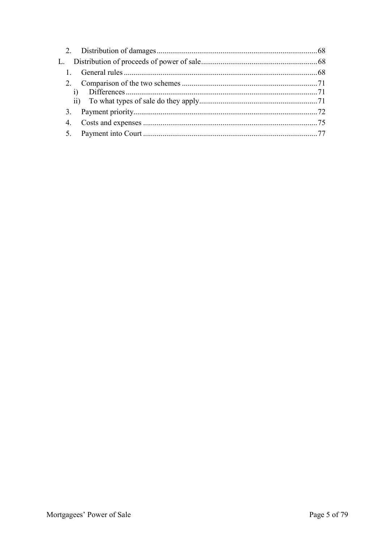| L. |  |
|----|--|
|    |  |
|    |  |
|    |  |
|    |  |
|    |  |
|    |  |
|    |  |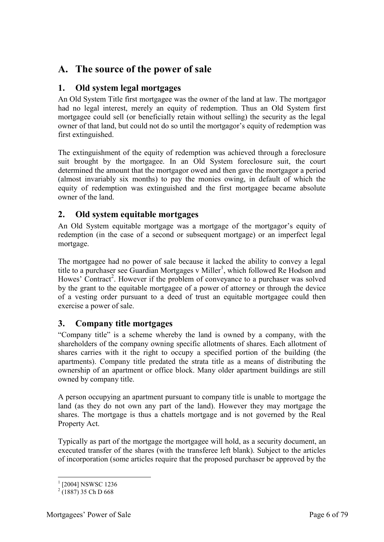# <span id="page-5-0"></span>**A. The source of the power of sale**

## <span id="page-5-1"></span>**1. Old system legal mortgages**

An Old System Title first mortgagee was the owner of the land at law. The mortgagor had no legal interest, merely an equity of redemption. Thus an Old System first mortgagee could sell (or beneficially retain without selling) the security as the legal owner of that land, but could not do so until the mortgagor's equity of redemption was first extinguished.

The extinguishment of the equity of redemption was achieved through a foreclosure suit brought by the mortgagee. In an Old System foreclosure suit, the court determined the amount that the mortgagor owed and then gave the mortgagor a period (almost invariably six months) to pay the monies owing, in default of which the equity of redemption was extinguished and the first mortgagee became absolute owner of the land.

## <span id="page-5-2"></span>**2. Old system equitable mortgages**

An Old System equitable mortgage was a mortgage of the mortgagor's equity of redemption (in the case of a second or subsequent mortgage) or an imperfect legal mortgage.

The mortgagee had no power of sale because it lacked the ability to convey a legal title to a purchaser see Guardian Mortgages v Miller<sup>1</sup>, which followed Re Hodson and Howes' Contract<sup>2</sup>. However if the problem of conveyance to a purchaser was solved by the grant to the equitable mortgagee of a power of attorney or through the device of a vesting order pursuant to a deed of trust an equitable mortgagee could then exercise a power of sale.

## <span id="page-5-3"></span>**3. Company title mortgages**

"Company title" is a scheme whereby the land is owned by a company, with the shareholders of the company owning specific allotments of shares. Each allotment of shares carries with it the right to occupy a specified portion of the building (the apartments). Company title predated the strata title as a means of distributing the ownership of an apartment or office block. Many older apartment buildings are still owned by company title.

A person occupying an apartment pursuant to company title is unable to mortgage the land (as they do not own any part of the land). However they may mortgage the shares. The mortgage is thus a chattels mortgage and is not governed by the Real Property Act.

Typically as part of the mortgage the mortgagee will hold, as a security document, an executed transfer of the shares (with the transferee left blank). Subject to the articles of incorporation (some articles require that the proposed purchaser be approved by the

<sup>-</sup><sup>1</sup> [2004] NSWSC 1236

 $2(1887)$  35 Ch D 668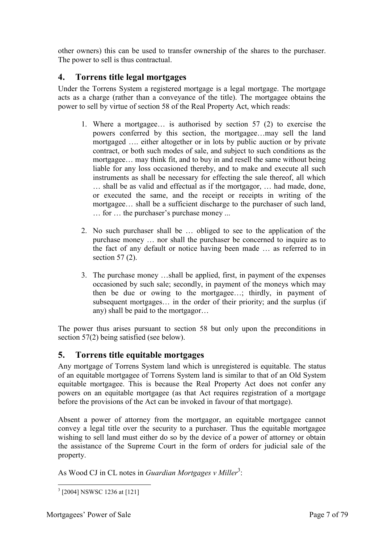other owners) this can be used to transfer ownership of the shares to the purchaser. The power to sell is thus contractual.

## <span id="page-6-0"></span>**4. Torrens title legal mortgages**

Under the Torrens System a registered mortgage is a legal mortgage. The mortgage acts as a charge (rather than a conveyance of the title). The mortgagee obtains the power to sell by virtue of section 58 of the Real Property Act, which reads:

- 1. Where a mortgagee… is authorised by section 57 (2) to exercise the powers conferred by this section, the mortgagee…may sell the land mortgaged …. either altogether or in lots by public auction or by private contract, or both such modes of sale, and subject to such conditions as the mortgagee… may think fit, and to buy in and resell the same without being liable for any loss occasioned thereby, and to make and execute all such instruments as shall be necessary for effecting the sale thereof, all which … shall be as valid and effectual as if the mortgagor, … had made, done, or executed the same, and the receipt or receipts in writing of the mortgagee… shall be a sufficient discharge to the purchaser of such land, … for … the purchaser's purchase money ...
- 2. No such purchaser shall be … obliged to see to the application of the purchase money … nor shall the purchaser be concerned to inquire as to the fact of any default or notice having been made … as referred to in section 57 (2).
- 3. The purchase money …shall be applied, first, in payment of the expenses occasioned by such sale; secondly, in payment of the moneys which may then be due or owing to the mortgagee…; thirdly, in payment of subsequent mortgages… in the order of their priority; and the surplus (if any) shall be paid to the mortgagor…

The power thus arises pursuant to section 58 but only upon the preconditions in section 57(2) being satisfied (see below).

## <span id="page-6-1"></span>**5. Torrens title equitable mortgages**

Any mortgage of Torrens System land which is unregistered is equitable. The status of an equitable mortgagee of Torrens System land is similar to that of an Old System equitable mortgagee. This is because the Real Property Act does not confer any powers on an equitable mortgagee (as that Act requires registration of a mortgage before the provisions of the Act can be invoked in favour of that mortgage).

Absent a power of attorney from the mortgagor, an equitable mortgagee cannot convey a legal title over the security to a purchaser. Thus the equitable mortgagee wishing to sell land must either do so by the device of a power of attorney or obtain the assistance of the Supreme Court in the form of orders for judicial sale of the property.

As Wood CJ in CL notes in *Guardian Mortgages v Miller<sup>3</sup>*:

<sup>-</sup>3 [2004] NSWSC 1236 at [121]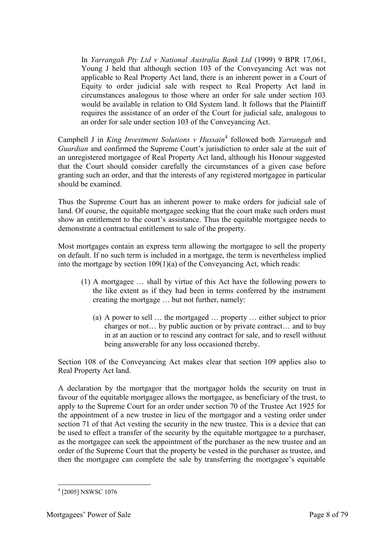In *Yarrangah Pty Ltd v National Australia Bank Ltd* (1999) 9 BPR 17,061, Young J held that although section 103 of the Conveyancing Act was not applicable to Real Property Act land, there is an inherent power in a Court of Equity to order judicial sale with respect to Real Property Act land in circumstances analogous to those where an order for sale under section 103 would be available in relation to Old System land. It follows that the Plaintiff requires the assistance of an order of the Court for judicial sale, analogous to an order for sale under section 103 of the Conveyancing Act.

Campbell J in *King Investment Solutions v Hussain*<sup>4</sup> followed both *Yarrangah* and *Guardian* and confirmed the Supreme Court's jurisdiction to order sale at the suit of an unregistered mortgagee of Real Property Act land, although his Honour suggested that the Court should consider carefully the circumstances of a given case before granting such an order, and that the interests of any registered mortgagee in particular should be examined.

Thus the Supreme Court has an inherent power to make orders for judicial sale of land. Of course, the equitable mortgagee seeking that the court make such orders must show an entitlement to the court's assistance. Thus the equitable mortgagee needs to demonstrate a contractual entitlement to sale of the property.

Most mortgages contain an express term allowing the mortgagee to sell the property on default. If no such term is included in a mortgage, the term is nevertheless implied into the mortgage by section 109(1)(a) of the Conveyancing Act, which reads:

- (1) A mortgagee … shall by virtue of this Act have the following powers to the like extent as if they had been in terms conferred by the instrument creating the mortgage … but not further, namely:
	- (a) A power to sell … the mortgaged … property … either subject to prior charges or not… by public auction or by private contract… and to buy in at an auction or to rescind any contract for sale, and to resell without being answerable for any loss occasioned thereby.

Section 108 of the Conveyancing Act makes clear that section 109 applies also to Real Property Act land.

A declaration by the mortgagor that the mortgagor holds the security on trust in favour of the equitable mortgagee allows the mortgagee, as beneficiary of the trust, to apply to the Supreme Court for an order under section 70 of the Trustee Act 1925 for the appointment of a new trustee in lieu of the mortgagor and a vesting order under section 71 of that Act vesting the security in the new trustee. This is a device that can be used to effect a transfer of the security by the equitable mortgagee to a purchaser, as the mortgagee can seek the appointment of the purchaser as the new trustee and an order of the Supreme Court that the property be vested in the purchaser as trustee, and then the mortgagee can complete the sale by transferring the mortgagee's equitable

<sup>-</sup>4 [2005] NSWSC 1076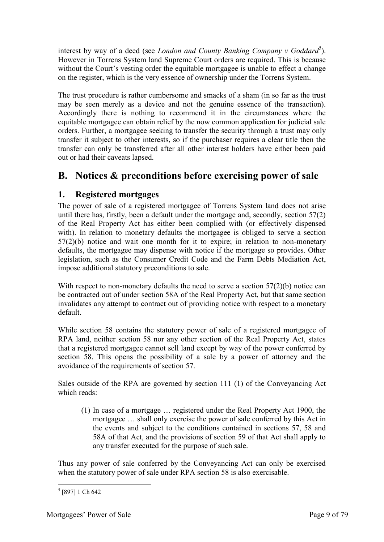interest by way of a deed (see *London and County Banking Company v Goddard*<sup>5</sup>). However in Torrens System land Supreme Court orders are required. This is because without the Court's vesting order the equitable mortgagee is unable to effect a change on the register, which is the very essence of ownership under the Torrens System.

The trust procedure is rather cumbersome and smacks of a sham (in so far as the trust may be seen merely as a device and not the genuine essence of the transaction). Accordingly there is nothing to recommend it in the circumstances where the equitable mortgagee can obtain relief by the now common application for judicial sale orders. Further, a mortgagee seeking to transfer the security through a trust may only transfer it subject to other interests, so if the purchaser requires a clear title then the transfer can only be transferred after all other interest holders have either been paid out or had their caveats lapsed.

# <span id="page-8-0"></span>**B. Notices & preconditions before exercising power of sale**

## <span id="page-8-1"></span>**1. Registered mortgages**

The power of sale of a registered mortgagee of Torrens System land does not arise until there has, firstly, been a default under the mortgage and, secondly, section 57(2) of the Real Property Act has either been complied with (or effectively dispensed with). In relation to monetary defaults the mortgagee is obliged to serve a section 57(2)(b) notice and wait one month for it to expire; in relation to non-monetary defaults, the mortgagee may dispense with notice if the mortgage so provides. Other legislation, such as the Consumer Credit Code and the Farm Debts Mediation Act, impose additional statutory preconditions to sale.

With respect to non-monetary defaults the need to serve a section 57(2)(b) notice can be contracted out of under section 58A of the Real Property Act, but that same section invalidates any attempt to contract out of providing notice with respect to a monetary default.

While section 58 contains the statutory power of sale of a registered mortgagee of RPA land, neither section 58 nor any other section of the Real Property Act, states that a registered mortgagee cannot sell land except by way of the power conferred by section 58. This opens the possibility of a sale by a power of attorney and the avoidance of the requirements of section 57.

Sales outside of the RPA are governed by section 111 (1) of the Conveyancing Act which reads:

(1) In case of a mortgage … registered under the Real Property Act 1900, the mortgagee … shall only exercise the power of sale conferred by this Act in the events and subject to the conditions contained in sections 57, 58 and 58A of that Act, and the provisions of section 59 of that Act shall apply to any transfer executed for the purpose of such sale.

Thus any power of sale conferred by the Conveyancing Act can only be exercised when the statutory power of sale under RPA section 58 is also exercisable.

<sup>-</sup>5 [897] 1 Ch 642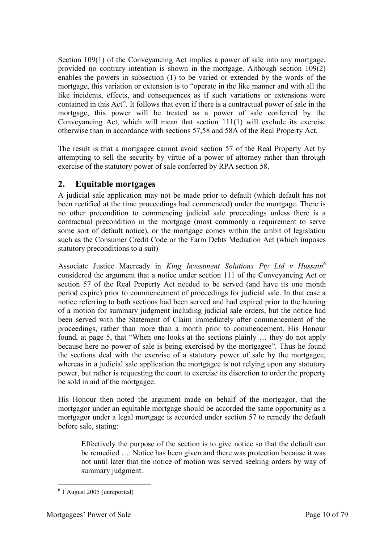Section 109(1) of the Conveyancing Act implies a power of sale into any mortgage, provided no contrary intention is shown in the mortgage. Although section 109(2) enables the powers in subsection (1) to be varied or extended by the words of the mortgage, this variation or extension is to "operate in the like manner and with all the like incidents, effects, and consequences as if such variations or extensions were contained in this Act". It follows that even if there is a contractual power of sale in the mortgage, this power will be treated as a power of sale conferred by the Conveyancing Act, which will mean that section 111(1) will exclude its exercise otherwise than in accordance with sections 57,58 and 58A of the Real Property Act.

The result is that a mortgagee cannot avoid section 57 of the Real Property Act by attempting to sell the security by virtue of a power of attorney rather than through exercise of the statutory power of sale conferred by RPA section 58.

## <span id="page-9-0"></span>**2. Equitable mortgages**

A judicial sale application may not be made prior to default (which default has not been rectified at the time proceedings had commenced) under the mortgage. There is no other precondition to commencing judicial sale proceedings unless there is a contractual precondition in the mortgage (most commonly a requirement to serve some sort of default notice), or the mortgage comes within the ambit of legislation such as the Consumer Credit Code or the Farm Debts Mediation Act (which imposes statutory preconditions to a suit)

Associate Justice Macready in *King Investment Solutions Pty Ltd v Hussain<sup>6</sup>* considered the argument that a notice under section 111 of the Conveyancing Act or section 57 of the Real Property Act needed to be served (and have its one month period expire) prior to commencement of proceedings for judicial sale. In that case a notice referring to both sections had been served and had expired prior to the hearing of a motion for summary judgment including judicial sale orders, but the notice had been served with the Statement of Claim immediately after commencement of the proceedings, rather than more than a month prior to commencement. His Honour found, at page 5, that "When one looks at the sections plainly … they do not apply because here no power of sale is being exercised by the mortgagee". Thus he found the sections deal with the exercise of a statutory power of sale by the mortgagee, whereas in a judicial sale application the mortgagee is not relying upon any statutory power, but rather is requesting the court to exercise its discretion to order the property be sold in aid of the mortgagee.

His Honour then noted the argument made on behalf of the mortgagor, that the mortgagor under an equitable mortgage should be accorded the same opportunity as a mortgagor under a legal mortgage is accorded under section 57 to remedy the default before sale, stating:

Effectively the purpose of the section is to give notice so that the default can be remedied …. Notice has been given and there was protection because it was not until later that the notice of motion was served seeking orders by way of summary judgment.

<sup>-</sup>6 1 August 2005 (unreported)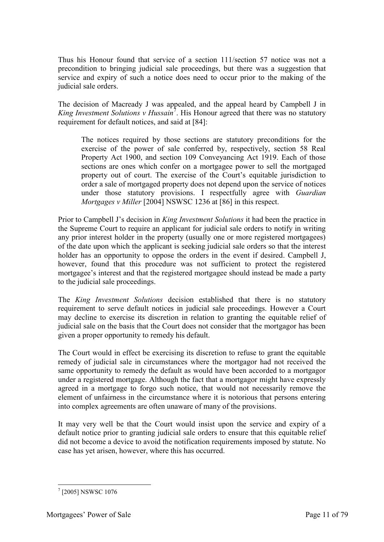Thus his Honour found that service of a section 111/section 57 notice was not a precondition to bringing judicial sale proceedings, but there was a suggestion that service and expiry of such a notice does need to occur prior to the making of the judicial sale orders.

The decision of Macready J was appealed, and the appeal heard by Campbell J in King Investment Solutions v Hussain<sup>7</sup>. His Honour agreed that there was no statutory requirement for default notices, and said at [84]:

The notices required by those sections are statutory preconditions for the exercise of the power of sale conferred by, respectively, section 58 Real Property Act 1900, and section 109 Conveyancing Act 1919. Each of those sections are ones which confer on a mortgagee power to sell the mortgaged property out of court. The exercise of the Court's equitable jurisdiction to order a sale of mortgaged property does not depend upon the service of notices under those statutory provisions. I respectfully agree with *Guardian Mortgages v Miller* [2004] NSWSC 1236 at [86] in this respect.

Prior to Campbell J's decision in *King Investment Solutions* it had been the practice in the Supreme Court to require an applicant for judicial sale orders to notify in writing any prior interest holder in the property (usually one or more registered mortgagees) of the date upon which the applicant is seeking judicial sale orders so that the interest holder has an opportunity to oppose the orders in the event if desired. Campbell J, however, found that this procedure was not sufficient to protect the registered mortgagee's interest and that the registered mortgagee should instead be made a party to the judicial sale proceedings.

The *King Investment Solutions* decision established that there is no statutory requirement to serve default notices in judicial sale proceedings. However a Court may decline to exercise its discretion in relation to granting the equitable relief of judicial sale on the basis that the Court does not consider that the mortgagor has been given a proper opportunity to remedy his default.

The Court would in effect be exercising its discretion to refuse to grant the equitable remedy of judicial sale in circumstances where the mortgagor had not received the same opportunity to remedy the default as would have been accorded to a mortgagor under a registered mortgage. Although the fact that a mortgagor might have expressly agreed in a mortgage to forgo such notice, that would not necessarily remove the element of unfairness in the circumstance where it is notorious that persons entering into complex agreements are often unaware of many of the provisions.

It may very well be that the Court would insist upon the service and expiry of a default notice prior to granting judicial sale orders to ensure that this equitable relief did not become a device to avoid the notification requirements imposed by statute. No case has yet arisen, however, where this has occurred.

<sup>7</sup> [2005] NSWSC 1076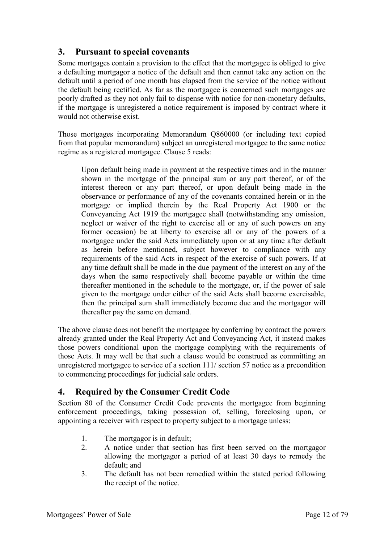### <span id="page-11-0"></span>**3. Pursuant to special covenants**

Some mortgages contain a provision to the effect that the mortgagee is obliged to give a defaulting mortgagor a notice of the default and then cannot take any action on the default until a period of one month has elapsed from the service of the notice without the default being rectified. As far as the mortgagee is concerned such mortgages are poorly drafted as they not only fail to dispense with notice for non-monetary defaults, if the mortgage is unregistered a notice requirement is imposed by contract where it would not otherwise exist.

Those mortgages incorporating Memorandum Q860000 (or including text copied from that popular memorandum) subject an unregistered mortgagee to the same notice regime as a registered mortgagee. Clause 5 reads:

Upon default being made in payment at the respective times and in the manner shown in the mortgage of the principal sum or any part thereof, or of the interest thereon or any part thereof, or upon default being made in the observance or performance of any of the covenants contained herein or in the mortgage or implied therein by the Real Property Act 1900 or the Conveyancing Act 1919 the mortgagee shall (notwithstanding any omission, neglect or waiver of the right to exercise all or any of such powers on any former occasion) be at liberty to exercise all or any of the powers of a mortgagee under the said Acts immediately upon or at any time after default as herein before mentioned, subject however to compliance with any requirements of the said Acts in respect of the exercise of such powers. If at any time default shall be made in the due payment of the interest on any of the days when the same respectively shall become payable or within the time thereafter mentioned in the schedule to the mortgage, or, if the power of sale given to the mortgage under either of the said Acts shall become exercisable, then the principal sum shall immediately become due and the mortgagor will thereafter pay the same on demand.

The above clause does not benefit the mortgagee by conferring by contract the powers already granted under the Real Property Act and Conveyancing Act, it instead makes those powers conditional upon the mortgage complying with the requirements of those Acts. It may well be that such a clause would be construed as committing an unregistered mortgagee to service of a section 111/ section 57 notice as a precondition to commencing proceedings for judicial sale orders.

#### <span id="page-11-1"></span>**4. Required by the Consumer Credit Code**

Section 80 of the Consumer Credit Code prevents the mortgagee from beginning enforcement proceedings, taking possession of, selling, foreclosing upon, or appointing a receiver with respect to property subject to a mortgage unless:

- 1. The mortgagor is in default;
- 2. A notice under that section has first been served on the mortgagor allowing the mortgagor a period of at least 30 days to remedy the default; and
- 3. The default has not been remedied within the stated period following the receipt of the notice.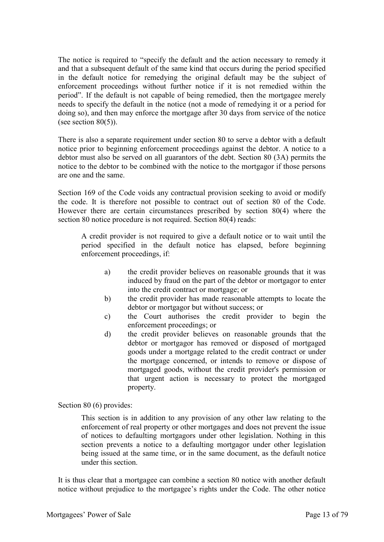The notice is required to "specify the default and the action necessary to remedy it and that a subsequent default of the same kind that occurs during the period specified in the default notice for remedying the original default may be the subject of enforcement proceedings without further notice if it is not remedied within the period". If the default is not capable of being remedied, then the mortgagee merely needs to specify the default in the notice (not a mode of remedying it or a period for doing so), and then may enforce the mortgage after 30 days from service of the notice (see section  $80(5)$ ).

There is also a separate requirement under section 80 to serve a debtor with a default notice prior to beginning enforcement proceedings against the debtor. A notice to a debtor must also be served on all guarantors of the debt. Section 80 (3A) permits the notice to the debtor to be combined with the notice to the mortgagor if those persons are one and the same.

Section 169 of the Code voids any contractual provision seeking to avoid or modify the code. It is therefore not possible to contract out of section 80 of the Code. However there are certain circumstances prescribed by section 80(4) where the section 80 notice procedure is not required. Section 80(4) reads:

A credit provider is not required to give a default notice or to wait until the period specified in the default notice has elapsed, before beginning enforcement proceedings, if:

- a) the credit provider believes on reasonable grounds that it was induced by fraud on the part of the debtor or mortgagor to enter into the credit contract or mortgage; or
- b) the credit provider has made reasonable attempts to locate the debtor or mortgagor but without success; or
- c) the Court authorises the credit provider to begin the enforcement proceedings; or
- d) the credit provider believes on reasonable grounds that the debtor or mortgagor has removed or disposed of mortgaged goods under a mortgage related to the credit contract or under the mortgage concerned, or intends to remove or dispose of mortgaged goods, without the credit provider's permission or that urgent action is necessary to protect the mortgaged property.

Section 80 (6) provides:

This section is in addition to any provision of any other law relating to the enforcement of real property or other mortgages and does not prevent the issue of notices to defaulting mortgagors under other legislation. Nothing in this section prevents a notice to a defaulting mortgagor under other legislation being issued at the same time, or in the same document, as the default notice under this section.

It is thus clear that a mortgagee can combine a section 80 notice with another default notice without prejudice to the mortgagee's rights under the Code. The other notice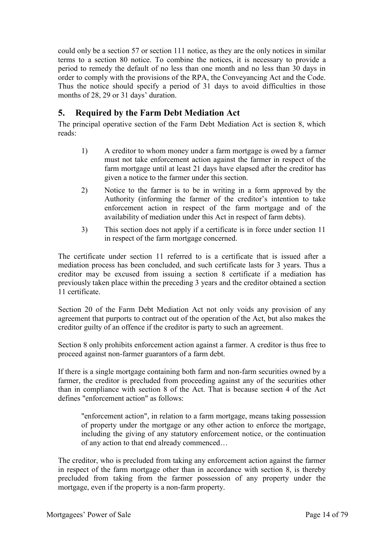could only be a section 57 or section 111 notice, as they are the only notices in similar terms to a section 80 notice. To combine the notices, it is necessary to provide a period to remedy the default of no less than one month and no less than 30 days in order to comply with the provisions of the RPA, the Conveyancing Act and the Code. Thus the notice should specify a period of 31 days to avoid difficulties in those months of 28, 29 or 31 days' duration.

## <span id="page-13-0"></span>**5. Required by the Farm Debt Mediation Act**

The principal operative section of the Farm Debt Mediation Act is section 8, which reads:

- 1) A creditor to whom money under a farm mortgage is owed by a farmer must not take enforcement action against the farmer in respect of the farm mortgage until at least 21 days have elapsed after the creditor has given a notice to the farmer under this section.
- 2) Notice to the farmer is to be in writing in a form approved by the Authority (informing the farmer of the creditor's intention to take enforcement action in respect of the farm mortgage and of the availability of mediation under this Act in respect of farm debts).
- 3) This section does not apply if a certificate is in force under section 11 in respect of the farm mortgage concerned.

The certificate under section 11 referred to is a certificate that is issued after a mediation process has been concluded, and such certificate lasts for 3 years. Thus a creditor may be excused from issuing a section 8 certificate if a mediation has previously taken place within the preceding 3 years and the creditor obtained a section 11 certificate.

Section 20 of the Farm Debt Mediation Act not only voids any provision of any agreement that purports to contract out of the operation of the Act, but also makes the creditor guilty of an offence if the creditor is party to such an agreement.

Section 8 only prohibits enforcement action against a farmer. A creditor is thus free to proceed against non-farmer guarantors of a farm debt.

If there is a single mortgage containing both farm and non-farm securities owned by a farmer, the creditor is precluded from proceeding against any of the securities other than in compliance with section 8 of the Act. That is because section 4 of the Act defines "enforcement action" as follows:

"enforcement action", in relation to a farm mortgage, means taking possession of property under the mortgage or any other action to enforce the mortgage, including the giving of any statutory enforcement notice, or the continuation of any action to that end already commenced…

The creditor, who is precluded from taking any enforcement action against the farmer in respect of the farm mortgage other than in accordance with section 8, is thereby precluded from taking from the farmer possession of any property under the mortgage, even if the property is a non-farm property.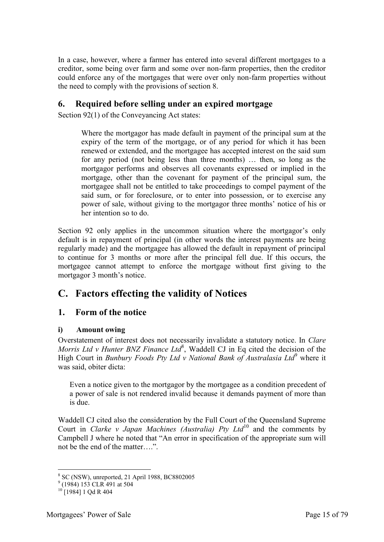In a case, however, where a farmer has entered into several different mortgages to a creditor, some being over farm and some over non-farm properties, then the creditor could enforce any of the mortgages that were over only non-farm properties without the need to comply with the provisions of section 8.

### <span id="page-14-0"></span>**6. Required before selling under an expired mortgage**

Section 92(1) of the Conveyancing Act states:

Where the mortgagor has made default in payment of the principal sum at the expiry of the term of the mortgage, or of any period for which it has been renewed or extended, and the mortgagee has accepted interest on the said sum for any period (not being less than three months) … then, so long as the mortgagor performs and observes all covenants expressed or implied in the mortgage, other than the covenant for payment of the principal sum, the mortgagee shall not be entitled to take proceedings to compel payment of the said sum, or for foreclosure, or to enter into possession, or to exercise any power of sale, without giving to the mortgagor three months' notice of his or her intention so to do.

Section 92 only applies in the uncommon situation where the mortgagor's only default is in repayment of principal (in other words the interest payments are being regularly made) and the mortgagee has allowed the default in repayment of principal to continue for 3 months or more after the principal fell due. If this occurs, the mortgagee cannot attempt to enforce the mortgage without first giving to the mortgagor 3 month's notice.

# <span id="page-14-1"></span>**C. Factors effecting the validity of Notices**

## <span id="page-14-2"></span>**1. Form of the notice**

#### <span id="page-14-3"></span>**i) Amount owing**

Overstatement of interest does not necessarily invalidate a statutory notice. In *Clare*  Morris Ltd v Hunter BNZ Finance Ltd<sup>8</sup>, Waddell CJ in Eq cited the decision of the High Court in *Bunbury Foods Pty Ltd v National Bank of Australasia Ltd*<sup>9</sup> where it was said, obiter dicta:

Even a notice given to the mortgagor by the mortgagee as a condition precedent of a power of sale is not rendered invalid because it demands payment of more than is due.

Waddell CJ cited also the consideration by the Full Court of the Queensland Supreme Court in *Clarke v Japan Machines (Australia) Pty Ltd*<sup>10</sup> and the comments by Campbell J where he noted that "An error in specification of the appropriate sum will not be the end of the matter….".

 8 SC (NSW), unreported, 21 April 1988, BC8802005 9 (1984) 153 CLR 491 at 504

 $10$  [1984] 1 Qd R 404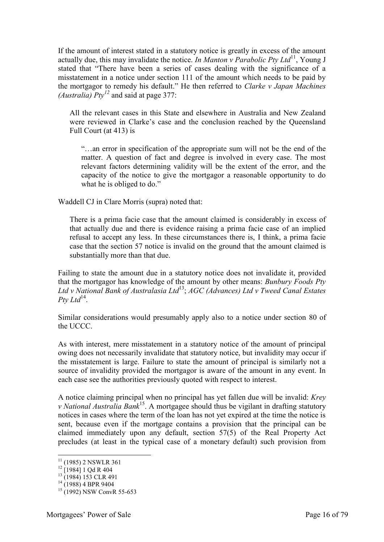If the amount of interest stated in a statutory notice is greatly in excess of the amount actually due, this may invalidate the notice. *In Manton v Parabolic Pty Ltd*<sup>11</sup>, Young J stated that "There have been a series of cases dealing with the significance of a misstatement in a notice under section 111 of the amount which needs to be paid by the mortgagor to remedy his default." He then referred to *Clarke v Japan Machines (Australia) Pty<sup>12</sup>* and said at page 377:

All the relevant cases in this State and elsewhere in Australia and New Zealand were reviewed in Clarke's case and the conclusion reached by the Queensland Full Court (at 413) is

"…an error in specification of the appropriate sum will not be the end of the matter. A question of fact and degree is involved in every case. The most relevant factors determining validity will be the extent of the error, and the capacity of the notice to give the mortgagor a reasonable opportunity to do what he is obliged to do."

Waddell CJ in Clare Morris (supra) noted that:

There is a prima facie case that the amount claimed is considerably in excess of that actually due and there is evidence raising a prima facie case of an implied refusal to accept any less. In these circumstances there is, I think, a prima facie case that the section 57 notice is invalid on the ground that the amount claimed is substantially more than that due.

Failing to state the amount due in a statutory notice does not invalidate it, provided that the mortgagor has knowledge of the amount by other means: *Bunbury Foods Pty Ltd v National Bank of Australasia Ltd*<sup>13</sup>; *AGC (Advances) Ltd v Tweed Canal Estates*   $P$ ty Ltd<sup>14</sup>.

Similar considerations would presumably apply also to a notice under section 80 of the UCCC.

As with interest, mere misstatement in a statutory notice of the amount of principal owing does not necessarily invalidate that statutory notice, but invalidity may occur if the misstatement is large. Failure to state the amount of principal is similarly not a source of invalidity provided the mortgagor is aware of the amount in any event. In each case see the authorities previously quoted with respect to interest.

A notice claiming principal when no principal has yet fallen due will be invalid: *Krey v National Australia Bank*<sup>15</sup>. A mortgagee should thus be vigilant in drafting statutory notices in cases where the term of the loan has not yet expired at the time the notice is sent, because even if the mortgage contains a provision that the principal can be claimed immediately upon any default, section 57(5) of the Real Property Act precludes (at least in the typical case of a monetary default) such provision from

 $11$  (1985) 2 NSWLR 361

 $12$  [1984] 1 Qd R 404

<sup>&</sup>lt;sup>13</sup> (1984) 153 CLR 491

 $14$  (1988) 4 BPR 9404

 $15$  (1992) NSW ConvR 55-653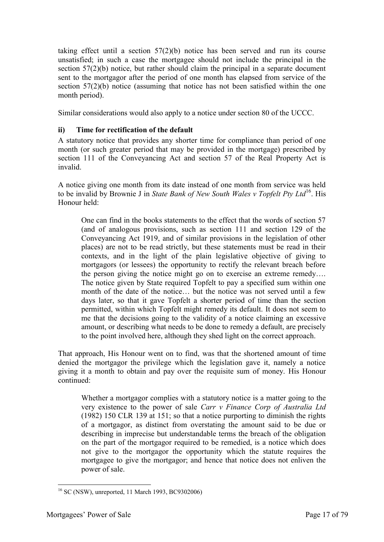taking effect until a section 57(2)(b) notice has been served and run its course unsatisfied; in such a case the mortgagee should not include the principal in the section 57(2)(b) notice, but rather should claim the principal in a separate document sent to the mortgagor after the period of one month has elapsed from service of the section 57(2)(b) notice (assuming that notice has not been satisfied within the one month period).

Similar considerations would also apply to a notice under section 80 of the UCCC.

#### <span id="page-16-0"></span>**ii) Time for rectification of the default**

A statutory notice that provides any shorter time for compliance than period of one month (or such greater period that may be provided in the mortgage) prescribed by section 111 of the Conveyancing Act and section 57 of the Real Property Act is invalid.

A notice giving one month from its date instead of one month from service was held to be invalid by Brownie J in *State Bank of New South Wales v Topfelt Pty Ltd*<sup>16</sup>. His Honour held:

One can find in the books statements to the effect that the words of section 57 (and of analogous provisions, such as section 111 and section 129 of the Conveyancing Act 1919, and of similar provisions in the legislation of other places) are not to be read strictly, but these statements must be read in their contexts, and in the light of the plain legislative objective of giving to mortgagors (or lessees) the opportunity to rectify the relevant breach before the person giving the notice might go on to exercise an extreme remedy…. The notice given by State required Topfelt to pay a specified sum within one month of the date of the notice… but the notice was not served until a few days later, so that it gave Topfelt a shorter period of time than the section permitted, within which Topfelt might remedy its default. It does not seem to me that the decisions going to the validity of a notice claiming an excessive amount, or describing what needs to be done to remedy a default, are precisely to the point involved here, although they shed light on the correct approach.

That approach, His Honour went on to find, was that the shortened amount of time denied the mortgagor the privilege which the legislation gave it, namely a notice giving it a month to obtain and pay over the requisite sum of money. His Honour continued:

Whether a mortgagor complies with a statutory notice is a matter going to the very existence to the power of sale *Carr v Finance Corp of Australia Ltd* (1982) 150 CLR 139 at 151; so that a notice purporting to diminish the rights of a mortgagor, as distinct from overstating the amount said to be due or describing in imprecise but understandable terms the breach of the obligation on the part of the mortgagor required to be remedied, is a notice which does not give to the mortgagor the opportunity which the statute requires the mortgagee to give the mortgagor; and hence that notice does not enliven the power of sale.

<sup>-</sup><sup>16</sup> SC (NSW), unreported, 11 March 1993, BC9302006)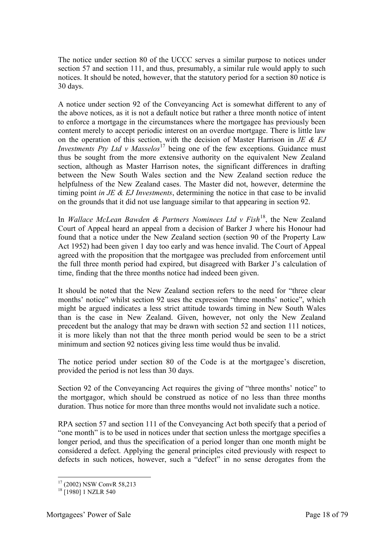The notice under section 80 of the UCCC serves a similar purpose to notices under section 57 and section 111, and thus, presumably, a similar rule would apply to such notices. It should be noted, however, that the statutory period for a section 80 notice is 30 days.

A notice under section 92 of the Conveyancing Act is somewhat different to any of the above notices, as it is not a default notice but rather a three month notice of intent to enforce a mortgage in the circumstances where the mortgagee has previously been content merely to accept periodic interest on an overdue mortgage. There is little law on the operation of this section, with the decision of Master Harrison in *JE & EJ Investments Pty Ltd v Masselos*<sup>17</sup> being one of the few exceptions. Guidance must thus be sought from the more extensive authority on the equivalent New Zealand section, although as Master Harrison notes, the significant differences in drafting between the New South Wales section and the New Zealand section reduce the helpfulness of the New Zealand cases. The Master did not, however, determine the timing point *in JE & EJ Investments*, determining the notice in that case to be invalid on the grounds that it did not use language similar to that appearing in section 92.

In *Wallace McLean Bawden & Partners Nominees Ltd v Fish*<sup>18</sup>, the New Zealand Court of Appeal heard an appeal from a decision of Barker J where his Honour had found that a notice under the New Zealand section (section 90 of the Property Law Act 1952) had been given 1 day too early and was hence invalid. The Court of Appeal agreed with the proposition that the mortgagee was precluded from enforcement until the full three month period had expired, but disagreed with Barker J's calculation of time, finding that the three months notice had indeed been given.

It should be noted that the New Zealand section refers to the need for "three clear months' notice" whilst section 92 uses the expression "three months' notice", which might be argued indicates a less strict attitude towards timing in New South Wales than is the case in New Zealand. Given, however, not only the New Zealand precedent but the analogy that may be drawn with section 52 and section 111 notices, it is more likely than not that the three month period would be seen to be a strict minimum and section 92 notices giving less time would thus be invalid.

The notice period under section 80 of the Code is at the mortgagee's discretion, provided the period is not less than 30 days.

Section 92 of the Conveyancing Act requires the giving of "three months' notice" to the mortgagor, which should be construed as notice of no less than three months duration. Thus notice for more than three months would not invalidate such a notice.

RPA section 57 and section 111 of the Conveyancing Act both specify that a period of "one month" is to be used in notices under that section unless the mortgage specifies a longer period, and thus the specification of a period longer than one month might be considered a defect. Applying the general principles cited previously with respect to defects in such notices, however, such a "defect" in no sense derogates from the

<sup>-</sup><sup>17</sup> (2002) NSW ConvR 58,213

 $18$   $\Gamma$ 19801 1 NZLR 540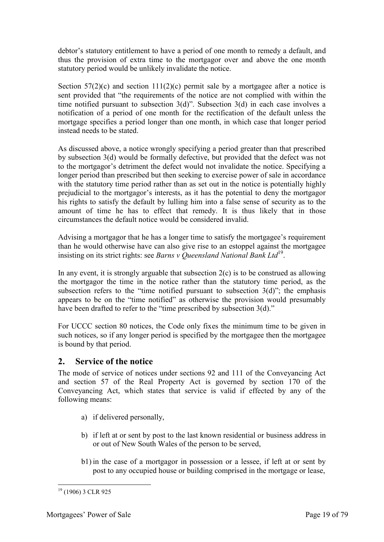debtor's statutory entitlement to have a period of one month to remedy a default, and thus the provision of extra time to the mortgagor over and above the one month statutory period would be unlikely invalidate the notice.

Section  $57(2)(c)$  and section  $11(2)(c)$  permit sale by a mortgagee after a notice is sent provided that "the requirements of the notice are not complied with within the time notified pursuant to subsection 3(d)". Subsection 3(d) in each case involves a notification of a period of one month for the rectification of the default unless the mortgage specifies a period longer than one month, in which case that longer period instead needs to be stated.

As discussed above, a notice wrongly specifying a period greater than that prescribed by subsection 3(d) would be formally defective, but provided that the defect was not to the mortgagor's detriment the defect would not invalidate the notice. Specifying a longer period than prescribed but then seeking to exercise power of sale in accordance with the statutory time period rather than as set out in the notice is potentially highly prejudicial to the mortgagor's interests, as it has the potential to deny the mortgagor his rights to satisfy the default by lulling him into a false sense of security as to the amount of time he has to effect that remedy. It is thus likely that in those circumstances the default notice would be considered invalid.

Advising a mortgagor that he has a longer time to satisfy the mortgagee's requirement than he would otherwise have can also give rise to an estoppel against the mortgagee insisting on its strict rights: see *Barns v Queensland National Bank Ltd*<sup>19</sup>.

In any event, it is strongly arguable that subsection  $2(c)$  is to be construed as allowing the mortgagor the time in the notice rather than the statutory time period, as the subsection refers to the "time notified pursuant to subsection  $3(d)$ "; the emphasis appears to be on the "time notified" as otherwise the provision would presumably have been drafted to refer to the "time prescribed by subsection 3(d)."

For UCCC section 80 notices, the Code only fixes the minimum time to be given in such notices, so if any longer period is specified by the mortgagee then the mortgagee is bound by that period.

## <span id="page-18-0"></span>**2. Service of the notice**

The mode of service of notices under sections 92 and 111 of the Conveyancing Act and section 57 of the Real Property Act is governed by section 170 of the Conveyancing Act, which states that service is valid if effected by any of the following means:

- a) if delivered personally,
- b) if left at or sent by post to the last known residential or business address in or out of New South Wales of the person to be served,
- b1) in the case of a mortgagor in possession or a lessee, if left at or sent by post to any occupied house or building comprised in the mortgage or lease,

<sup>-</sup> $19$  (1906) 3 CLR 925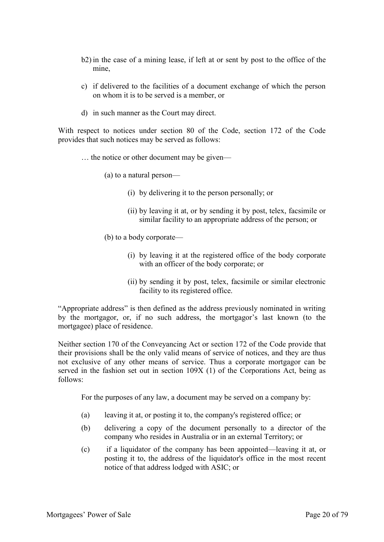- b2) in the case of a mining lease, if left at or sent by post to the office of the mine,
- c) if delivered to the facilities of a document exchange of which the person on whom it is to be served is a member, or
- d) in such manner as the Court may direct.

With respect to notices under section 80 of the Code, section 172 of the Code provides that such notices may be served as follows:

… the notice or other document may be given—

(a) to a natural person—

- (i) by delivering it to the person personally; or
- (ii) by leaving it at, or by sending it by post, telex, facsimile or similar facility to an appropriate address of the person; or
- (b) to a body corporate—
	- (i) by leaving it at the registered office of the body corporate with an officer of the body corporate; or
	- (ii) by sending it by post, telex, facsimile or similar electronic facility to its registered office.

"Appropriate address" is then defined as the address previously nominated in writing by the mortgagor, or, if no such address, the mortgagor's last known (to the mortgagee) place of residence.

Neither section 170 of the Conveyancing Act or section 172 of the Code provide that their provisions shall be the only valid means of service of notices, and they are thus not exclusive of any other means of service. Thus a corporate mortgagor can be served in the fashion set out in section 109X (1) of the Corporations Act, being as follows:

For the purposes of any law, a document may be served on a company by:

- (a) leaving it at, or posting it to, the company's registered office; or
- (b) delivering a copy of the document personally to a director of the company who resides in Australia or in an external Territory; or
- (c) if a liquidator of the company has been appointed—leaving it at, or posting it to, the address of the liquidator's office in the most recent notice of that address lodged with ASIC; or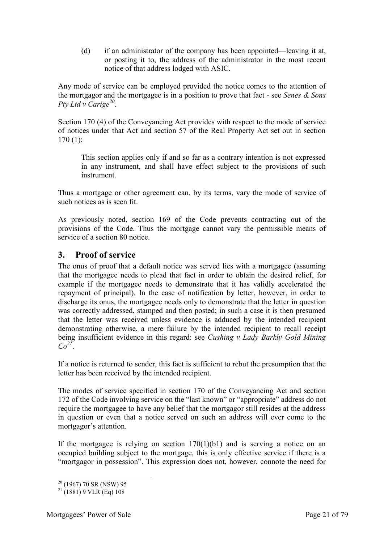(d) if an administrator of the company has been appointed—leaving it at, or posting it to, the address of the administrator in the most recent notice of that address lodged with ASIC.

Any mode of service can be employed provided the notice comes to the attention of the mortgagor and the mortgagee is in a position to prove that fact - see *Senes & Sons Pty Ltd v Carige<sup>20</sup>* .

Section 170 (4) of the Conveyancing Act provides with respect to the mode of service of notices under that Act and section 57 of the Real Property Act set out in section 170 (1):

This section applies only if and so far as a contrary intention is not expressed in any instrument, and shall have effect subject to the provisions of such instrument.

Thus a mortgage or other agreement can, by its terms, vary the mode of service of such notices as is seen fit.

As previously noted, section 169 of the Code prevents contracting out of the provisions of the Code. Thus the mortgage cannot vary the permissible means of service of a section 80 notice.

### <span id="page-20-0"></span>**3. Proof of service**

The onus of proof that a default notice was served lies with a mortgagee (assuming that the mortgagee needs to plead that fact in order to obtain the desired relief, for example if the mortgagee needs to demonstrate that it has validly accelerated the repayment of principal). In the case of notification by letter, however, in order to discharge its onus, the mortgagee needs only to demonstrate that the letter in question was correctly addressed, stamped and then posted; in such a case it is then presumed that the letter was received unless evidence is adduced by the intended recipient demonstrating otherwise, a mere failure by the intended recipient to recall receipt being insufficient evidence in this regard: see *Cushing v Lady Barkly Gold Mining*   $Co^{2I}$ .

If a notice is returned to sender, this fact is sufficient to rebut the presumption that the letter has been received by the intended recipient.

The modes of service specified in section 170 of the Conveyancing Act and section 172 of the Code involving service on the "last known" or "appropriate" address do not require the mortgagee to have any belief that the mortgagor still resides at the address in question or even that a notice served on such an address will ever come to the mortgagor's attention.

If the mortgagee is relying on section  $170(1)(b1)$  and is serving a notice on an occupied building subject to the mortgage, this is only effective service if there is a "mortgagor in possession". This expression does not, however, connote the need for

<sup>-</sup> $20$  (1967) 70 SR (NSW) 95

 $^{21}$  (1881) 9 VLR (Eq) 108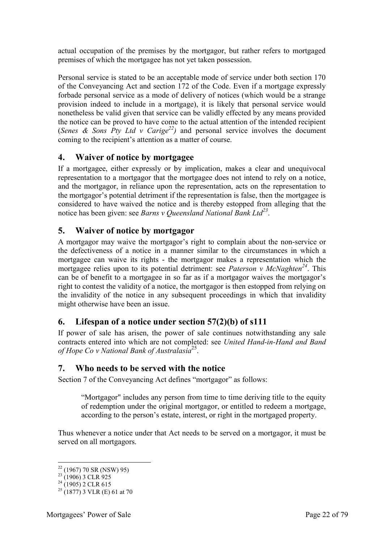actual occupation of the premises by the mortgagor, but rather refers to mortgaged premises of which the mortgagee has not yet taken possession.

Personal service is stated to be an acceptable mode of service under both section 170 of the Conveyancing Act and section 172 of the Code. Even if a mortgage expressly forbade personal service as a mode of delivery of notices (which would be a strange provision indeed to include in a mortgage), it is likely that personal service would nonetheless be valid given that service can be validly effected by any means provided the notice can be proved to have come to the actual attention of the intended recipient (*Senes & Sons Pty Ltd v Carige*<sup>22</sup>) and personal service involves the document coming to the recipient's attention as a matter of course.

## <span id="page-21-0"></span>**4. Waiver of notice by mortgagee**

If a mortgagee, either expressly or by implication, makes a clear and unequivocal representation to a mortgagor that the mortgagee does not intend to rely on a notice, and the mortgagor, in reliance upon the representation, acts on the representation to the mortgagor's potential detriment if the representation is false, then the mortgagee is considered to have waived the notice and is thereby estopped from alleging that the notice has been given: see *Barns v Queensland National Bank Ltd<sup>23</sup>* .

## <span id="page-21-1"></span>**5. Waiver of notice by mortgagor**

A mortgagor may waive the mortgagor's right to complain about the non-service or the defectiveness of a notice in a manner similar to the circumstances in which a mortgagee can waive its rights - the mortgagor makes a representation which the mortgagee relies upon to its potential detriment: see *Paterson v McNaghten<sup>24</sup>*. This can be of benefit to a mortgagee in so far as if a mortgagor waives the mortgagor's right to contest the validity of a notice, the mortgagor is then estopped from relying on the invalidity of the notice in any subsequent proceedings in which that invalidity might otherwise have been an issue.

## <span id="page-21-2"></span>**6. Lifespan of a notice under section 57(2)(b) of s111**

If power of sale has arisen, the power of sale continues notwithstanding any sale contracts entered into which are not completed: see *United Hand-in-Hand and Band of Hope Co v National Bank of Australasia*<sup>25</sup> .

## <span id="page-21-3"></span>**7. Who needs to be served with the notice**

Section 7 of the Conveyancing Act defines "mortgagor" as follows:

"Mortgagor" includes any person from time to time deriving title to the equity of redemption under the original mortgagor, or entitled to redeem a mortgage, according to the person's estate, interest, or right in the mortgaged property.

Thus whenever a notice under that Act needs to be served on a mortgagor, it must be served on all mortgagors.

 $22$  (1967) 70 SR (NSW) 95)

<sup>&</sup>lt;sup>23</sup> (1906) 3 CLR 925

 $^{24}$  (1905) 2 CLR 615

 $25(1877)$  3 VLR (E) 61 at 70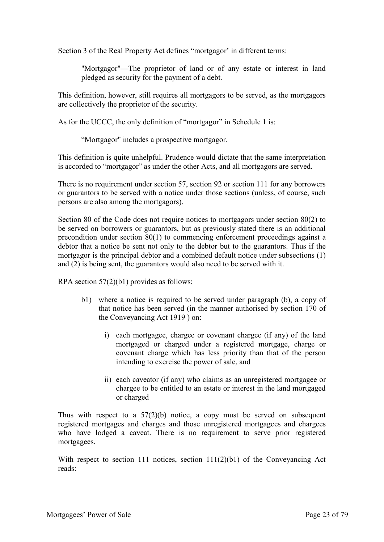Section 3 of the Real Property Act defines "mortgagor' in different terms:

"Mortgagor"—The proprietor of land or of any estate or interest in land pledged as security for the payment of a debt.

This definition, however, still requires all mortgagors to be served, as the mortgagors are collectively the proprietor of the security.

As for the UCCC, the only definition of "mortgagor" in Schedule 1 is:

"Mortgagor" includes a prospective mortgagor.

This definition is quite unhelpful. Prudence would dictate that the same interpretation is accorded to "mortgagor" as under the other Acts, and all mortgagors are served.

There is no requirement under section 57, section 92 or section 111 for any borrowers or guarantors to be served with a notice under those sections (unless, of course, such persons are also among the mortgagors).

Section 80 of the Code does not require notices to mortgagors under section 80(2) to be served on borrowers or guarantors, but as previously stated there is an additional precondition under section 80(1) to commencing enforcement proceedings against a debtor that a notice be sent not only to the debtor but to the guarantors. Thus if the mortgagor is the principal debtor and a combined default notice under subsections (1) and (2) is being sent, the guarantors would also need to be served with it.

RPA section 57(2)(b1) provides as follows:

- b1) where a notice is required to be served under paragraph (b), a copy of that notice has been served (in the manner authorised by section 170 of the Conveyancing Act 1919 ) on:
	- i) each mortgagee, chargee or covenant chargee (if any) of the land mortgaged or charged under a registered mortgage, charge or covenant charge which has less priority than that of the person intending to exercise the power of sale, and
	- ii) each caveator (if any) who claims as an unregistered mortgagee or chargee to be entitled to an estate or interest in the land mortgaged or charged

Thus with respect to a  $57(2)(b)$  notice, a copy must be served on subsequent registered mortgages and charges and those unregistered mortgagees and chargees who have lodged a caveat. There is no requirement to serve prior registered mortgagees.

With respect to section 111 notices, section 111(2)(b1) of the Conveyancing Act reads: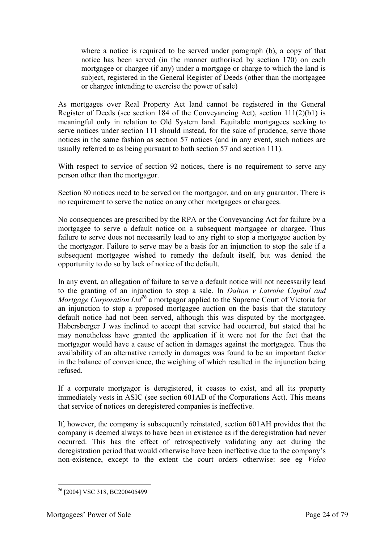where a notice is required to be served under paragraph (b), a copy of that notice has been served (in the manner authorised by section 170) on each mortgagee or chargee (if any) under a mortgage or charge to which the land is subject, registered in the General Register of Deeds (other than the mortgagee or chargee intending to exercise the power of sale)

As mortgages over Real Property Act land cannot be registered in the General Register of Deeds (see section 184 of the Conveyancing Act), section 111(2)(b1) is meaningful only in relation to Old System land. Equitable mortgagees seeking to serve notices under section 111 should instead, for the sake of prudence, serve those notices in the same fashion as section 57 notices (and in any event, such notices are usually referred to as being pursuant to both section 57 and section 111).

With respect to service of section 92 notices, there is no requirement to serve any person other than the mortgagor.

Section 80 notices need to be served on the mortgagor, and on any guarantor. There is no requirement to serve the notice on any other mortgagees or chargees.

No consequences are prescribed by the RPA or the Conveyancing Act for failure by a mortgagee to serve a default notice on a subsequent mortgagee or chargee. Thus failure to serve does not necessarily lead to any right to stop a mortgagee auction by the mortgagor. Failure to serve may be a basis for an injunction to stop the sale if a subsequent mortgagee wished to remedy the default itself, but was denied the opportunity to do so by lack of notice of the default.

In any event, an allegation of failure to serve a default notice will not necessarily lead to the granting of an injunction to stop a sale. In *Dalton v Latrobe Capital and Mortgage Corporation Ltd*<sup>26</sup> a mortgagor applied to the Supreme Court of Victoria for an injunction to stop a proposed mortgagee auction on the basis that the statutory default notice had not been served, although this was disputed by the mortgagee. Habersberger J was inclined to accept that service had occurred, but stated that he may nonetheless have granted the application if it were not for the fact that the mortgagor would have a cause of action in damages against the mortgagee. Thus the availability of an alternative remedy in damages was found to be an important factor in the balance of convenience, the weighing of which resulted in the injunction being refused.

If a corporate mortgagor is deregistered, it ceases to exist, and all its property immediately vests in ASIC (see section 601AD of the Corporations Act). This means that service of notices on deregistered companies is ineffective.

If, however, the company is subsequently reinstated, section 601AH provides that the company is deemed always to have been in existence as if the deregistration had never occurred. This has the effect of retrospectively validating any act during the deregistration period that would otherwise have been ineffective due to the company's non-existence, except to the extent the court orders otherwise: see eg *Video* 

<sup>-</sup><sup>26</sup> [2004] VSC 318, BC200405499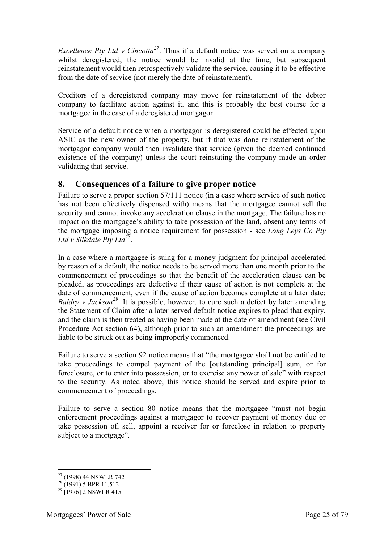*Excellence Pty Ltd v Cincotta*<sup>27</sup>. Thus if a default notice was served on a company whilst deregistered, the notice would be invalid at the time, but subsequent reinstatement would then retrospectively validate the service, causing it to be effective from the date of service (not merely the date of reinstatement).

Creditors of a deregistered company may move for reinstatement of the debtor company to facilitate action against it, and this is probably the best course for a mortgagee in the case of a deregistered mortgagor.

Service of a default notice when a mortgagor is deregistered could be effected upon ASIC as the new owner of the property, but if that was done reinstatement of the mortgagor company would then invalidate that service (given the deemed continued existence of the company) unless the court reinstating the company made an order validating that service.

### <span id="page-24-0"></span>**8. Consequences of a failure to give proper notice**

Failure to serve a proper section 57/111 notice (in a case where service of such notice has not been effectively dispensed with) means that the mortgagee cannot sell the security and cannot invoke any acceleration clause in the mortgage. The failure has no impact on the mortgagee's ability to take possession of the land, absent any terms of the mortgage imposing a notice requirement for possession - see *Long Leys Co Pty Ltd v Silkdale Pty Ltd<sup>28</sup>* .

In a case where a mortgagee is suing for a money judgment for principal accelerated by reason of a default, the notice needs to be served more than one month prior to the commencement of proceedings so that the benefit of the acceleration clause can be pleaded, as proceedings are defective if their cause of action is not complete at the date of commencement, even if the cause of action becomes complete at a later date: *Baldry v Jackson<sup>29</sup>*. It is possible, however, to cure such a defect by later amending the Statement of Claim after a later-served default notice expires to plead that expiry, and the claim is then treated as having been made at the date of amendment (see Civil Procedure Act section 64), although prior to such an amendment the proceedings are liable to be struck out as being improperly commenced.

Failure to serve a section 92 notice means that "the mortgagee shall not be entitled to take proceedings to compel payment of the [outstanding principal] sum, or for foreclosure, or to enter into possession, or to exercise any power of sale" with respect to the security. As noted above, this notice should be served and expire prior to commencement of proceedings.

Failure to serve a section 80 notice means that the mortgagee "must not begin enforcement proceedings against a mortgagor to recover payment of money due or take possession of, sell, appoint a receiver for or foreclose in relation to property subject to a mortgage".

<sup>-</sup><sup>27</sup> (1998) 44 NSWLR 742

 $^{28}$  (1991) 5 BPR 11,512

 $^{29}$  [1976] 2 NSWLR 415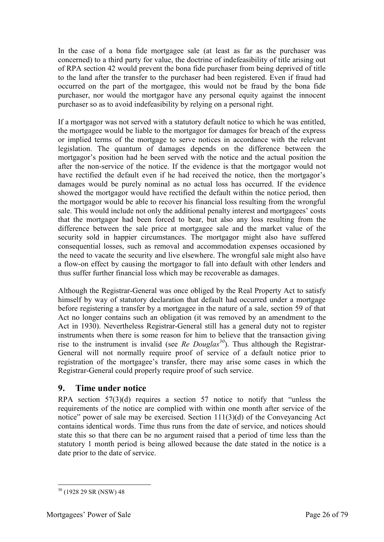In the case of a bona fide mortgagee sale (at least as far as the purchaser was concerned) to a third party for value, the doctrine of indefeasibility of title arising out of RPA section 42 would prevent the bona fide purchaser from being deprived of title to the land after the transfer to the purchaser had been registered. Even if fraud had occurred on the part of the mortgagee, this would not be fraud by the bona fide purchaser, nor would the mortgagor have any personal equity against the innocent purchaser so as to avoid indefeasibility by relying on a personal right.

If a mortgagor was not served with a statutory default notice to which he was entitled, the mortgagee would be liable to the mortgagor for damages for breach of the express or implied terms of the mortgage to serve notices in accordance with the relevant legislation. The quantum of damages depends on the difference between the mortgagor's position had he been served with the notice and the actual position the after the non-service of the notice. If the evidence is that the mortgagor would not have rectified the default even if he had received the notice, then the mortgagor's damages would be purely nominal as no actual loss has occurred. If the evidence showed the mortgagor would have rectified the default within the notice period, then the mortgagor would be able to recover his financial loss resulting from the wrongful sale. This would include not only the additional penalty interest and mortgagees' costs that the mortgagor had been forced to bear, but also any loss resulting from the difference between the sale price at mortgagee sale and the market value of the security sold in happier circumstances. The mortgagor might also have suffered consequential losses, such as removal and accommodation expenses occasioned by the need to vacate the security and live elsewhere. The wrongful sale might also have a flow-on effect by causing the mortgagor to fall into default with other lenders and thus suffer further financial loss which may be recoverable as damages.

Although the Registrar-General was once obliged by the Real Property Act to satisfy himself by way of statutory declaration that default had occurred under a mortgage before registering a transfer by a mortgagee in the nature of a sale, section 59 of that Act no longer contains such an obligation (it was removed by an amendment to the Act in 1930). Nevertheless Registrar-General still has a general duty not to register instruments when there is some reason for him to believe that the transaction giving rise to the instrument is invalid (see *Re Douglas<sup>30</sup>*). Thus although the Registrar-General will not normally require proof of service of a default notice prior to registration of the mortgagee's transfer, there may arise some cases in which the Registrar-General could properly require proof of such service.

## <span id="page-25-0"></span>**9. Time under notice**

RPA section 57(3)(d) requires a section 57 notice to notify that "unless the requirements of the notice are complied with within one month after service of the notice" power of sale may be exercised. Section 111(3)(d) of the Conveyancing Act contains identical words. Time thus runs from the date of service, and notices should state this so that there can be no argument raised that a period of time less than the statutory 1 month period is being allowed because the date stated in the notice is a date prior to the date of service.

<sup>30</sup> (1928 29 SR (NSW) 48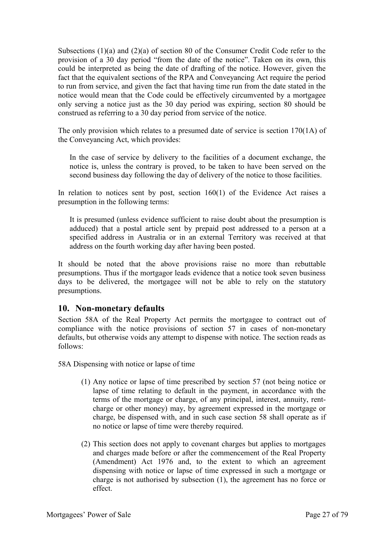Subsections (1)(a) and (2)(a) of section 80 of the Consumer Credit Code refer to the provision of a 30 day period "from the date of the notice". Taken on its own, this could be interpreted as being the date of drafting of the notice. However, given the fact that the equivalent sections of the RPA and Conveyancing Act require the period to run from service, and given the fact that having time run from the date stated in the notice would mean that the Code could be effectively circumvented by a mortgagee only serving a notice just as the 30 day period was expiring, section 80 should be construed as referring to a 30 day period from service of the notice.

The only provision which relates to a presumed date of service is section 170(1A) of the Conveyancing Act, which provides:

In the case of service by delivery to the facilities of a document exchange, the notice is, unless the contrary is proved, to be taken to have been served on the second business day following the day of delivery of the notice to those facilities.

In relation to notices sent by post, section 160(1) of the Evidence Act raises a presumption in the following terms:

It is presumed (unless evidence sufficient to raise doubt about the presumption is adduced) that a postal article sent by prepaid post addressed to a person at a specified address in Australia or in an external Territory was received at that address on the fourth working day after having been posted.

It should be noted that the above provisions raise no more than rebuttable presumptions. Thus if the mortgagor leads evidence that a notice took seven business days to be delivered, the mortgagee will not be able to rely on the statutory presumptions.

#### <span id="page-26-0"></span>**10. Non-monetary defaults**

Section 58A of the Real Property Act permits the mortgagee to contract out of compliance with the notice provisions of section 57 in cases of non-monetary defaults, but otherwise voids any attempt to dispense with notice. The section reads as follows:

58A Dispensing with notice or lapse of time

- (1) Any notice or lapse of time prescribed by section 57 (not being notice or lapse of time relating to default in the payment, in accordance with the terms of the mortgage or charge, of any principal, interest, annuity, rentcharge or other money) may, by agreement expressed in the mortgage or charge, be dispensed with, and in such case section 58 shall operate as if no notice or lapse of time were thereby required.
- (2) This section does not apply to covenant charges but applies to mortgages and charges made before or after the commencement of the Real Property (Amendment) Act 1976 and, to the extent to which an agreement dispensing with notice or lapse of time expressed in such a mortgage or charge is not authorised by subsection (1), the agreement has no force or effect.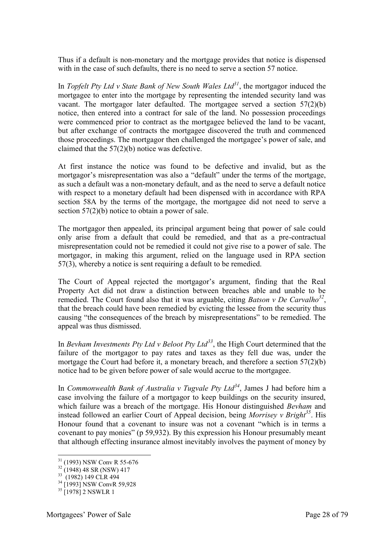Thus if a default is non-monetary and the mortgage provides that notice is dispensed with in the case of such defaults, there is no need to serve a section 57 notice.

In *Topfelt Pty Ltd v State Bank of New South Wales Ltd<sup>31</sup>*, the mortgagor induced the mortgagee to enter into the mortgage by representing the intended security land was vacant. The mortgagor later defaulted. The mortgagee served a section 57(2)(b) notice, then entered into a contract for sale of the land. No possession proceedings were commenced prior to contract as the mortgagee believed the land to be vacant, but after exchange of contracts the mortgagee discovered the truth and commenced those proceedings. The mortgagor then challenged the mortgagee's power of sale, and claimed that the 57(2)(b) notice was defective.

At first instance the notice was found to be defective and invalid, but as the mortgagor's misrepresentation was also a "default" under the terms of the mortgage, as such a default was a non-monetary default, and as the need to serve a default notice with respect to a monetary default had been dispensed with in accordance with RPA section 58A by the terms of the mortgage, the mortgagee did not need to serve a section 57(2)(b) notice to obtain a power of sale.

The mortgagor then appealed, its principal argument being that power of sale could only arise from a default that could be remedied, and that as a pre-contractual misrepresentation could not be remedied it could not give rise to a power of sale. The mortgagor, in making this argument, relied on the language used in RPA section 57(3), whereby a notice is sent requiring a default to be remedied.

The Court of Appeal rejected the mortgagor's argument, finding that the Real Property Act did not draw a distinction between breaches able and unable to be remedied. The Court found also that it was arguable, citing *Batson v De Carvalho<sup>32</sup>* , that the breach could have been remedied by evicting the lessee from the security thus causing "the consequences of the breach by misrepresentations" to be remedied. The appeal was thus dismissed.

In *Bevham Investments Pty Ltd v Beloot Pty Ltd<sup>33</sup>*, the High Court determined that the failure of the mortgagor to pay rates and taxes as they fell due was, under the mortgage the Court had before it, a monetary breach, and therefore a section 57(2)(b) notice had to be given before power of sale would accrue to the mortgagee.

In *Commonwealth Bank of Australia v Tugvale Pty Ltd<sup>34</sup>*, James J had before him a case involving the failure of a mortgagor to keep buildings on the security insured, which failure was a breach of the mortgage. His Honour distinguished *Bevham* and instead followed an earlier Court of Appeal decision, being *Morrisey v Bright<sup>35</sup>*. His Honour found that a covenant to insure was not a covenant "which is in terms a covenant to pay monies" (p 59,932). By this expression his Honour presumably meant that although effecting insurance almost inevitably involves the payment of money by

<sup>31</sup> (1993) NSW Conv R 55-676

 $32$  (1948) 48 SR (NSW) 417

<sup>&</sup>lt;sup>33</sup> (1982) 149 CLR 494

<sup>&</sup>lt;sup>34</sup> [1993] NSW ConvR 59,928

 $35$  [1978] 2 NSWLR 1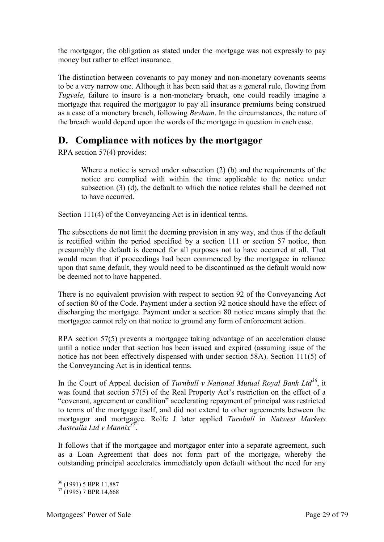the mortgagor, the obligation as stated under the mortgage was not expressly to pay money but rather to effect insurance.

The distinction between covenants to pay money and non-monetary covenants seems to be a very narrow one. Although it has been said that as a general rule, flowing from *Tugvale*, failure to insure is a non-monetary breach, one could readily imagine a mortgage that required the mortgagor to pay all insurance premiums being construed as a case of a monetary breach, following *Bevham*. In the circumstances, the nature of the breach would depend upon the words of the mortgage in question in each case.

# <span id="page-28-0"></span>**D. Compliance with notices by the mortgagor**

RPA section 57(4) provides:

Where a notice is served under subsection (2) (b) and the requirements of the notice are complied with within the time applicable to the notice under subsection (3) (d), the default to which the notice relates shall be deemed not to have occurred.

Section 111(4) of the Conveyancing Act is in identical terms.

The subsections do not limit the deeming provision in any way, and thus if the default is rectified within the period specified by a section 111 or section 57 notice, then presumably the default is deemed for all purposes not to have occurred at all. That would mean that if proceedings had been commenced by the mortgagee in reliance upon that same default, they would need to be discontinued as the default would now be deemed not to have happened.

There is no equivalent provision with respect to section 92 of the Conveyancing Act of section 80 of the Code. Payment under a section 92 notice should have the effect of discharging the mortgage. Payment under a section 80 notice means simply that the mortgagee cannot rely on that notice to ground any form of enforcement action.

RPA section 57(5) prevents a mortgagee taking advantage of an acceleration clause until a notice under that section has been issued and expired (assuming issue of the notice has not been effectively dispensed with under section 58A). Section 111(5) of the Conveyancing Act is in identical terms.

In the Court of Appeal decision of *Turnbull v National Mutual Royal Bank Ltd<sup>36</sup>*, it was found that section 57(5) of the Real Property Act's restriction on the effect of a "covenant, agreement or condition" accelerating repayment of principal was restricted to terms of the mortgage itself, and did not extend to other agreements between the mortgagor and mortgagee. Rolfe J later applied *Turnbull* in *Natwest Markets Australia Ltd v Mannix<sup>37</sup>* .

It follows that if the mortgagee and mortgagor enter into a separate agreement, such as a Loan Agreement that does not form part of the mortgage, whereby the outstanding principal accelerates immediately upon default without the need for any

<sup>-</sup><sup>36</sup> (1991) 5 BPR 11,887

 $37(1995)$  7 BPR 14.668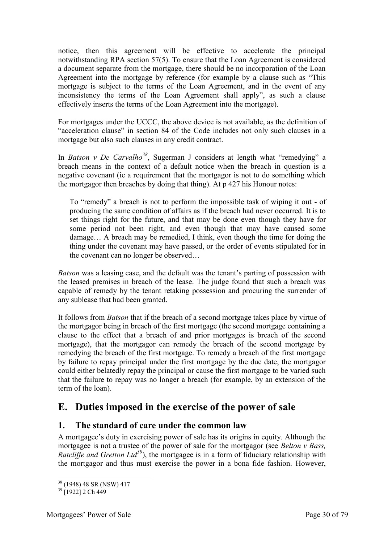notice, then this agreement will be effective to accelerate the principal notwithstanding RPA section 57(5). To ensure that the Loan Agreement is considered a document separate from the mortgage, there should be no incorporation of the Loan Agreement into the mortgage by reference (for example by a clause such as "This mortgage is subject to the terms of the Loan Agreement, and in the event of any inconsistency the terms of the Loan Agreement shall apply", as such a clause effectively inserts the terms of the Loan Agreement into the mortgage).

For mortgages under the UCCC, the above device is not available, as the definition of "acceleration clause" in section 84 of the Code includes not only such clauses in a mortgage but also such clauses in any credit contract.

In *Batson v De Carvalho<sup>38</sup>*, Sugerman J considers at length what "remedying" a breach means in the context of a default notice when the breach in question is a negative covenant (ie a requirement that the mortgagor is not to do something which the mortgagor then breaches by doing that thing). At p 427 his Honour notes:

To "remedy" a breach is not to perform the impossible task of wiping it out - of producing the same condition of affairs as if the breach had never occurred. It is to set things right for the future, and that may be done even though they have for some period not been right, and even though that may have caused some damage… A breach may be remedied, I think, even though the time for doing the thing under the covenant may have passed, or the order of events stipulated for in the covenant can no longer be observed…

*Batson* was a leasing case, and the default was the tenant's parting of possession with the leased premises in breach of the lease. The judge found that such a breach was capable of remedy by the tenant retaking possession and procuring the surrender of any sublease that had been granted.

It follows from *Batson* that if the breach of a second mortgage takes place by virtue of the mortgagor being in breach of the first mortgage (the second mortgage containing a clause to the effect that a breach of and prior mortgages is breach of the second mortgage), that the mortgagor can remedy the breach of the second mortgage by remedying the breach of the first mortgage. To remedy a breach of the first mortgage by failure to repay principal under the first mortgage by the due date, the mortgagor could either belatedly repay the principal or cause the first mortgage to be varied such that the failure to repay was no longer a breach (for example, by an extension of the term of the loan).

# <span id="page-29-0"></span>**E. Duties imposed in the exercise of the power of sale**

#### <span id="page-29-1"></span>**1. The standard of care under the common law**

A mortgagee's duty in exercising power of sale has its origins in equity. Although the mortgagee is not a trustee of the power of sale for the mortgagor (see *Belton v Bass, Ratcliffe and Gretton Ltd*<sup>39</sup>), the mortgagee is in a form of fiduciary relationship with the mortgagor and thus must exercise the power in a bona fide fashion. However,

<sup>-</sup><sup>38</sup> (1948) 48 SR (NSW) 417

 $39$  [1922] 2 Ch 449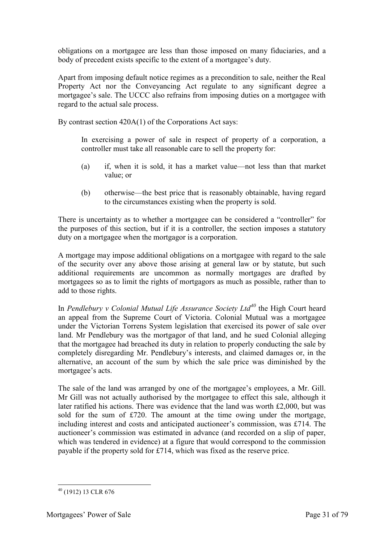obligations on a mortgagee are less than those imposed on many fiduciaries, and a body of precedent exists specific to the extent of a mortgagee's duty.

Apart from imposing default notice regimes as a precondition to sale, neither the Real Property Act nor the Conveyancing Act regulate to any significant degree a mortgagee's sale. The UCCC also refrains from imposing duties on a mortgagee with regard to the actual sale process.

By contrast section 420A(1) of the Corporations Act says:

In exercising a power of sale in respect of property of a corporation, a controller must take all reasonable care to sell the property for:

- (a) if, when it is sold, it has a market value—not less than that market value; or
- (b) otherwise—the best price that is reasonably obtainable, having regard to the circumstances existing when the property is sold.

There is uncertainty as to whether a mortgagee can be considered a "controller" for the purposes of this section, but if it is a controller, the section imposes a statutory duty on a mortgagee when the mortgagor is a corporation.

A mortgage may impose additional obligations on a mortgagee with regard to the sale of the security over any above those arising at general law or by statute, but such additional requirements are uncommon as normally mortgages are drafted by mortgagees so as to limit the rights of mortgagors as much as possible, rather than to add to those rights.

In *Pendlebury v Colonial Mutual Life Assurance Society Ltd<sup>40</sup>* the High Court heard an appeal from the Supreme Court of Victoria. Colonial Mutual was a mortgagee under the Victorian Torrens System legislation that exercised its power of sale over land. Mr Pendlebury was the mortgagor of that land, and he sued Colonial alleging that the mortgagee had breached its duty in relation to properly conducting the sale by completely disregarding Mr. Pendlebury's interests, and claimed damages or, in the alternative, an account of the sum by which the sale price was diminished by the mortgagee's acts.

The sale of the land was arranged by one of the mortgagee's employees, a Mr. Gill. Mr Gill was not actually authorised by the mortgagee to effect this sale, although it later ratified his actions. There was evidence that the land was worth £2,000, but was sold for the sum of £720. The amount at the time owing under the mortgage, including interest and costs and anticipated auctioneer's commission, was £714. The auctioneer's commission was estimated in advance (and recorded on a slip of paper, which was tendered in evidence) at a figure that would correspond to the commission payable if the property sold for £714, which was fixed as the reserve price.

 $40$  (1912) 13 CLR 676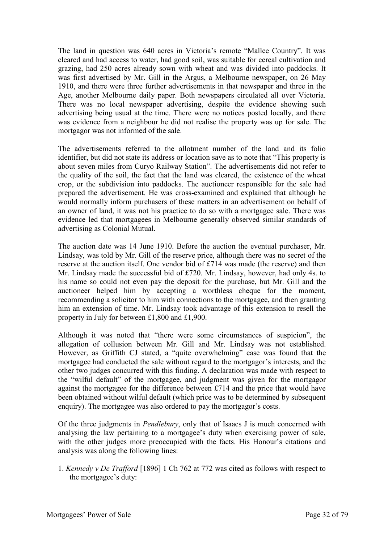The land in question was 640 acres in Victoria's remote "Mallee Country". It was cleared and had access to water, had good soil, was suitable for cereal cultivation and grazing, had 250 acres already sown with wheat and was divided into paddocks. It was first advertised by Mr. Gill in the Argus, a Melbourne newspaper, on 26 May 1910, and there were three further advertisements in that newspaper and three in the Age, another Melbourne daily paper. Both newspapers circulated all over Victoria. There was no local newspaper advertising, despite the evidence showing such advertising being usual at the time. There were no notices posted locally, and there was evidence from a neighbour he did not realise the property was up for sale. The mortgagor was not informed of the sale.

The advertisements referred to the allotment number of the land and its folio identifier, but did not state its address or location save as to note that "This property is about seven miles from Curyo Railway Station". The advertisements did not refer to the quality of the soil, the fact that the land was cleared, the existence of the wheat crop, or the subdivision into paddocks. The auctioneer responsible for the sale had prepared the advertisement. He was cross-examined and explained that although he would normally inform purchasers of these matters in an advertisement on behalf of an owner of land, it was not his practice to do so with a mortgagee sale. There was evidence led that mortgagees in Melbourne generally observed similar standards of advertising as Colonial Mutual.

The auction date was 14 June 1910. Before the auction the eventual purchaser, Mr. Lindsay, was told by Mr. Gill of the reserve price, although there was no secret of the reserve at the auction itself. One vendor bid of £714 was made (the reserve) and then Mr. Lindsay made the successful bid of £720. Mr. Lindsay, however, had only 4s. to his name so could not even pay the deposit for the purchase, but Mr. Gill and the auctioneer helped him by accepting a worthless cheque for the moment, recommending a solicitor to him with connections to the mortgagee, and then granting him an extension of time. Mr. Lindsay took advantage of this extension to resell the property in July for between £1,800 and £1,900.

Although it was noted that "there were some circumstances of suspicion", the allegation of collusion between Mr. Gill and Mr. Lindsay was not established. However, as Griffith CJ stated, a "quite overwhelming" case was found that the mortgagee had conducted the sale without regard to the mortgagor's interests, and the other two judges concurred with this finding. A declaration was made with respect to the "wilful default" of the mortgagee, and judgment was given for the mortgagor against the mortgagee for the difference between £714 and the price that would have been obtained without wilful default (which price was to be determined by subsequent enquiry). The mortgagee was also ordered to pay the mortgagor's costs.

Of the three judgments in *Pendlebury*, only that of Isaacs J is much concerned with analysing the law pertaining to a mortgagee's duty when exercising power of sale, with the other judges more preoccupied with the facts. His Honour's citations and analysis was along the following lines:

1. *Kennedy v De Trafford* [1896] 1 Ch 762 at 772 was cited as follows with respect to the mortgagee's duty: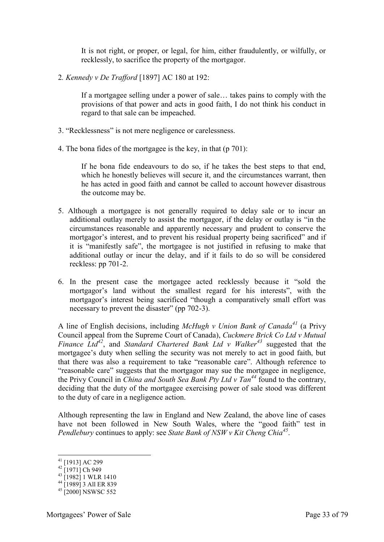It is not right, or proper, or legal, for him, either fraudulently, or wilfully, or recklessly, to sacrifice the property of the mortgagor.

2*. Kennedy v De Trafford* [1897] AC 180 at 192:

If a mortgagee selling under a power of sale… takes pains to comply with the provisions of that power and acts in good faith, I do not think his conduct in regard to that sale can be impeached.

- 3. "Recklessness" is not mere negligence or carelessness.
- 4. The bona fides of the mortgagee is the key, in that (p 701):

If he bona fide endeavours to do so, if he takes the best steps to that end, which he honestly believes will secure it, and the circumstances warrant, then he has acted in good faith and cannot be called to account however disastrous the outcome may be.

- 5. Although a mortgagee is not generally required to delay sale or to incur an additional outlay merely to assist the mortgagor, if the delay or outlay is "in the circumstances reasonable and apparently necessary and prudent to conserve the mortgagor's interest, and to prevent his residual property being sacrificed" and if it is "manifestly safe", the mortgagee is not justified in refusing to make that additional outlay or incur the delay, and if it fails to do so will be considered reckless: pp 701-2.
- 6. In the present case the mortgagee acted recklessly because it "sold the mortgagor's land without the smallest regard for his interests", with the mortgagor's interest being sacrificed "though a comparatively small effort was necessary to prevent the disaster" (pp 702-3).

A line of English decisions, including *McHugh v Union Bank of Canada<sup>41</sup>* (a Privy Council appeal from the Supreme Court of Canada), *Cuckmere Brick Co Ltd v Mutual Finance Ltd<sup>42</sup>*, and *Standard Chartered Bank Ltd v Walker<sup>43</sup>* suggested that the mortgagee's duty when selling the security was not merely to act in good faith, but that there was also a requirement to take "reasonable care". Although reference to "reasonable care" suggests that the mortgagor may sue the mortgagee in negligence, the Privy Council in *China and South Sea Bank Pty Ltd v Tan<sup>44</sup>* found to the contrary, deciding that the duty of the mortgagee exercising power of sale stood was different to the duty of care in a negligence action.

Although representing the law in England and New Zealand, the above line of cases have not been followed in New South Wales, where the "good faith" test in *Pendlebury* continues to apply: see *State Bank of NSW v Kit Cheng Chia<sup>45</sup>* .

<sup>41</sup> [1913] AC 299

 $42$  [1971] Ch 949

 $^{43}$  [1982] 1 WLR 1410

 $^{44}$  [1989] 3 All ER 839

 $45$  [2000] NSWSC 552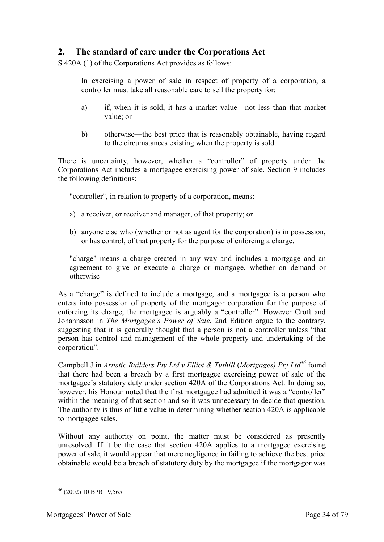## <span id="page-33-0"></span>**2. The standard of care under the Corporations Act**

S 420A (1) of the Corporations Act provides as follows:

In exercising a power of sale in respect of property of a corporation, a controller must take all reasonable care to sell the property for:

- a) if, when it is sold, it has a market value—not less than that market value; or
- b) otherwise—the best price that is reasonably obtainable, having regard to the circumstances existing when the property is sold.

There is uncertainty, however, whether a "controller" of property under the Corporations Act includes a mortgagee exercising power of sale. Section 9 includes the following definitions:

"controller", in relation to property of a corporation, means:

- a) a receiver, or receiver and manager, of that property; or
- b) anyone else who (whether or not as agent for the corporation) is in possession, or has control, of that property for the purpose of enforcing a charge.

"charge" means a charge created in any way and includes a mortgage and an agreement to give or execute a charge or mortgage, whether on demand or otherwise

As a "charge" is defined to include a mortgage, and a mortgagee is a person who enters into possession of property of the mortgagor corporation for the purpose of enforcing its charge, the mortgagee is arguably a "controller". However Croft and Johannsson in *The Mortgagee's Power of Sale*, 2nd Edition argue to the contrary, suggesting that it is generally thought that a person is not a controller unless "that person has control and management of the whole property and undertaking of the corporation".

Campbell J in *Artistic Builders Pty Ltd v Elliot & Tuthill* (*Mortgages) Pty Ltd<sup>46</sup>* found that there had been a breach by a first mortgagee exercising power of sale of the mortgagee's statutory duty under section 420A of the Corporations Act. In doing so, however, his Honour noted that the first mortgagee had admitted it was a "controller" within the meaning of that section and so it was unnecessary to decide that question. The authority is thus of little value in determining whether section 420A is applicable to mortgagee sales.

Without any authority on point, the matter must be considered as presently unresolved. If it be the case that section 420A applies to a mortgagee exercising power of sale, it would appear that mere negligence in failing to achieve the best price obtainable would be a breach of statutory duty by the mortgagee if the mortgagor was

<sup>-</sup><sup>46</sup> (2002) 10 BPR 19,565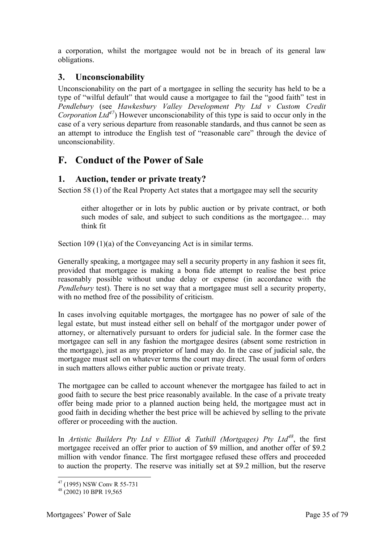a corporation, whilst the mortgagee would not be in breach of its general law obligations.

## <span id="page-34-0"></span>**3. Unconscionability**

Unconscionability on the part of a mortgagee in selling the security has held to be a type of "wilful default" that would cause a mortgagee to fail the "good faith" test in *Pendlebury* (see *Hawkesbury Valley Development Pty Ltd v Custom Credit Corporation Ltd<sup>47</sup>*) However unconscionability of this type is said to occur only in the case of a very serious departure from reasonable standards, and thus cannot be seen as an attempt to introduce the English test of "reasonable care" through the device of unconscionability.

# <span id="page-34-1"></span>**F. Conduct of the Power of Sale**

## <span id="page-34-2"></span>**1. Auction, tender or private treaty?**

Section 58 (1) of the Real Property Act states that a mortgagee may sell the security

either altogether or in lots by public auction or by private contract, or both such modes of sale, and subject to such conditions as the mortgagee... may think fit

Section 109 (1)(a) of the Conveyancing Act is in similar terms.

Generally speaking, a mortgagee may sell a security property in any fashion it sees fit, provided that mortgagee is making a bona fide attempt to realise the best price reasonably possible without undue delay or expense (in accordance with the *Pendlebury* test). There is no set way that a mortgagee must sell a security property, with no method free of the possibility of criticism.

In cases involving equitable mortgages, the mortgagee has no power of sale of the legal estate, but must instead either sell on behalf of the mortgagor under power of attorney, or alternatively pursuant to orders for judicial sale. In the former case the mortgagee can sell in any fashion the mortgagee desires (absent some restriction in the mortgage), just as any proprietor of land may do. In the case of judicial sale, the mortgagee must sell on whatever terms the court may direct. The usual form of orders in such matters allows either public auction or private treaty.

The mortgagee can be called to account whenever the mortgagee has failed to act in good faith to secure the best price reasonably available. In the case of a private treaty offer being made prior to a planned auction being held, the mortgagee must act in good faith in deciding whether the best price will be achieved by selling to the private offerer or proceeding with the auction.

In *Artistic Builders Pty Ltd v Elliot & Tuthill (Mortgages) Pty Ltd<sup>48</sup>*, the first mortgagee received an offer prior to auction of \$9 million, and another offer of \$9.2 million with vendor finance. The first mortgagee refused these offers and proceeded to auction the property. The reserve was initially set at \$9.2 million, but the reserve

<sup>-</sup> $47$  (1995) NSW Conv R 55-731

<sup>48</sup> (2002) 10 BPR 19,565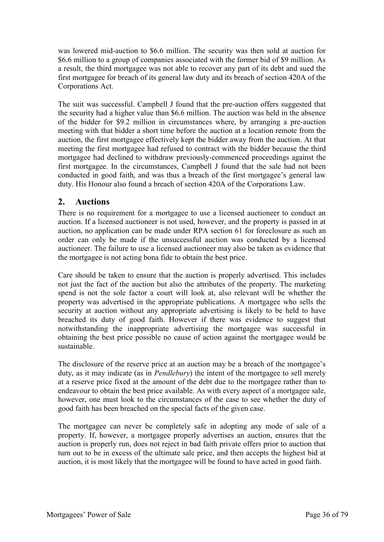was lowered mid-auction to \$6.6 million. The security was then sold at auction for \$6.6 million to a group of companies associated with the former bid of \$9 million. As a result, the third mortgagee was not able to recover any part of its debt and sued the first mortgagee for breach of its general law duty and its breach of section 420A of the Corporations Act.

The suit was successful. Campbell J found that the pre-auction offers suggested that the security had a higher value than \$6.6 million. The auction was held in the absence of the bidder for \$9.2 million in circumstances where, by arranging a pre-auction meeting with that bidder a short time before the auction at a location remote from the auction, the first mortgagee effectively kept the bidder away from the auction. At that meeting the first mortgagee had refused to contract with the bidder because the third mortgagee had declined to withdraw previously-commenced proceedings against the first mortgagee. In the circumstances, Campbell J found that the sale had not been conducted in good faith, and was thus a breach of the first mortgagee's general law duty. His Honour also found a breach of section 420A of the Corporations Law.

## <span id="page-35-0"></span>**2. Auctions**

There is no requirement for a mortgagee to use a licensed auctioneer to conduct an auction. If a licensed auctioneer is not used, however, and the property is passed in at auction, no application can be made under RPA section 61 for foreclosure as such an order can only be made if the unsuccessful auction was conducted by a licensed auctioneer. The failure to use a licensed auctioneer may also be taken as evidence that the mortgagee is not acting bona fide to obtain the best price.

Care should be taken to ensure that the auction is properly advertised. This includes not just the fact of the auction but also the attributes of the property. The marketing spend is not the sole factor a court will look at, also relevant will be whether the property was advertised in the appropriate publications. A mortgagee who sells the security at auction without any appropriate advertising is likely to be held to have breached its duty of good faith. However if there was evidence to suggest that notwithstanding the inappropriate advertising the mortgagee was successful in obtaining the best price possible no cause of action against the mortgagee would be sustainable.

The disclosure of the reserve price at an auction may be a breach of the mortgagee's duty, as it may indicate (as in *Pendlebury*) the intent of the mortgagee to sell merely at a reserve price fixed at the amount of the debt due to the mortgagee rather than to endeavour to obtain the best price available. As with every aspect of a mortgagee sale, however, one must look to the circumstances of the case to see whether the duty of good faith has been breached on the special facts of the given case.

The mortgagee can never be completely safe in adopting any mode of sale of a property. If, however, a mortgagee properly advertises an auction, ensures that the auction is properly run, does not reject in bad faith private offers prior to auction that turn out to be in excess of the ultimate sale price, and then accepts the highest bid at auction, it is most likely that the mortgagee will be found to have acted in good faith.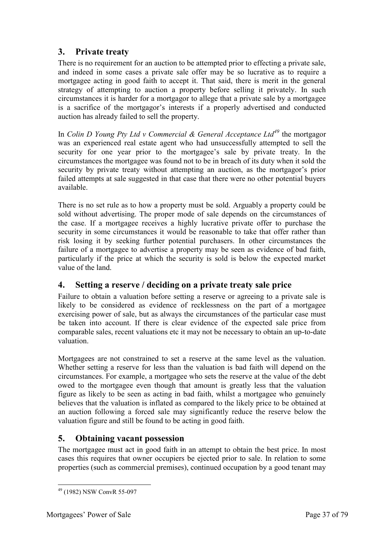# **3. Private treaty**

There is no requirement for an auction to be attempted prior to effecting a private sale, and indeed in some cases a private sale offer may be so lucrative as to require a mortgagee acting in good faith to accept it. That said, there is merit in the general strategy of attempting to auction a property before selling it privately. In such circumstances it is harder for a mortgagor to allege that a private sale by a mortgagee is a sacrifice of the mortgagor's interests if a properly advertised and conducted auction has already failed to sell the property.

In *Colin D Young Pty Ltd v Commercial & General Acceptance Ltd<sup>49</sup>* the mortgagor was an experienced real estate agent who had unsuccessfully attempted to sell the security for one year prior to the mortgagee's sale by private treaty. In the circumstances the mortgagee was found not to be in breach of its duty when it sold the security by private treaty without attempting an auction, as the mortgagor's prior failed attempts at sale suggested in that case that there were no other potential buyers available.

There is no set rule as to how a property must be sold. Arguably a property could be sold without advertising. The proper mode of sale depends on the circumstances of the case. If a mortgagee receives a highly lucrative private offer to purchase the security in some circumstances it would be reasonable to take that offer rather than risk losing it by seeking further potential purchasers. In other circumstances the failure of a mortgagee to advertise a property may be seen as evidence of bad faith, particularly if the price at which the security is sold is below the expected market value of the land.

# **4. Setting a reserve / deciding on a private treaty sale price**

Failure to obtain a valuation before setting a reserve or agreeing to a private sale is likely to be considered as evidence of recklessness on the part of a mortgagee exercising power of sale, but as always the circumstances of the particular case must be taken into account. If there is clear evidence of the expected sale price from comparable sales, recent valuations etc it may not be necessary to obtain an up-to-date valuation.

Mortgagees are not constrained to set a reserve at the same level as the valuation. Whether setting a reserve for less than the valuation is bad faith will depend on the circumstances. For example, a mortgagee who sets the reserve at the value of the debt owed to the mortgagee even though that amount is greatly less that the valuation figure as likely to be seen as acting in bad faith, whilst a mortgagee who genuinely believes that the valuation is inflated as compared to the likely price to be obtained at an auction following a forced sale may significantly reduce the reserve below the valuation figure and still be found to be acting in good faith.

# **5. Obtaining vacant possession**

The mortgagee must act in good faith in an attempt to obtain the best price. In most cases this requires that owner occupiers be ejected prior to sale. In relation to some properties (such as commercial premises), continued occupation by a good tenant may

<sup>-</sup><sup>49</sup> (1982) NSW ConvR 55-097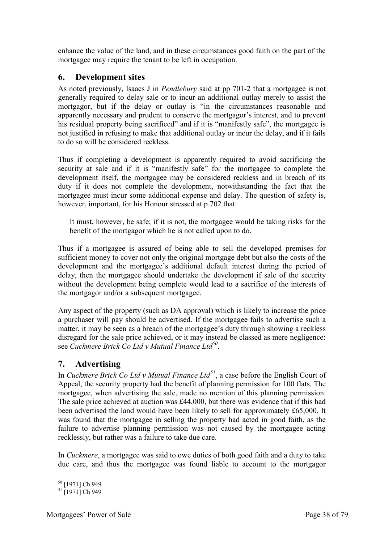enhance the value of the land, and in these circumstances good faith on the part of the mortgagee may require the tenant to be left in occupation.

#### **6. Development sites**

As noted previously, Isaacs J in *Pendlebury* said at pp 701-2 that a mortgagee is not generally required to delay sale or to incur an additional outlay merely to assist the mortgagor, but if the delay or outlay is "in the circumstances reasonable and apparently necessary and prudent to conserve the mortgagor's interest, and to prevent his residual property being sacrificed" and if it is "manifestly safe", the mortgagee is not justified in refusing to make that additional outlay or incur the delay, and if it fails to do so will be considered reckless.

Thus if completing a development is apparently required to avoid sacrificing the security at sale and if it is "manifestly safe" for the mortgagee to complete the development itself, the mortgagee may be considered reckless and in breach of its duty if it does not complete the development, notwithstanding the fact that the mortgagee must incur some additional expense and delay. The question of safety is, however, important, for his Honour stressed at p 702 that:

It must, however, be safe; if it is not, the mortgagee would be taking risks for the benefit of the mortgagor which he is not called upon to do.

Thus if a mortgagee is assured of being able to sell the developed premises for sufficient money to cover not only the original mortgage debt but also the costs of the development and the mortgagee's additional default interest during the period of delay, then the mortgagee should undertake the development if sale of the security without the development being complete would lead to a sacrifice of the interests of the mortgagor and/or a subsequent mortgagee.

Any aspect of the property (such as DA approval) which is likely to increase the price a purchaser will pay should be advertised. If the mortgagee fails to advertise such a matter, it may be seen as a breach of the mortgagee's duty through showing a reckless disregard for the sale price achieved, or it may instead be classed as mere negligence: see *Cuckmere Brick Co Ltd v Mutual Finance Ltd<sup>50</sup>* .

# **7. Advertising**

In *Cuckmere Brick Co Ltd v Mutual Finance Ltd<sup>51</sup>*, a case before the English Court of Appeal, the security property had the benefit of planning permission for 100 flats. The mortgagee, when advertising the sale, made no mention of this planning permission. The sale price achieved at auction was £44,000, but there was evidence that if this had been advertised the land would have been likely to sell for approximately £65,000. It was found that the mortgagee in selling the property had acted in good faith, as the failure to advertise planning permission was not caused by the mortgagee acting recklessly, but rather was a failure to take due care.

In *Cuckmere*, a mortgagee was said to owe duties of both good faith and a duty to take due care, and thus the mortgagee was found liable to account to the mortgagor

<sup>-</sup><sup>50</sup> [1971] Ch 949

 $51$  [1971] Ch 949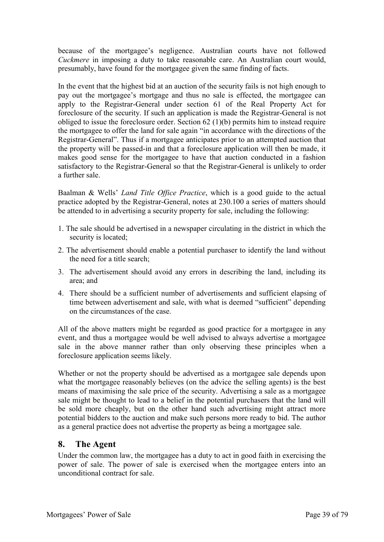because of the mortgagee's negligence. Australian courts have not followed *Cuckmere* in imposing a duty to take reasonable care. An Australian court would, presumably, have found for the mortgagee given the same finding of facts.

In the event that the highest bid at an auction of the security fails is not high enough to pay out the mortgagee's mortgage and thus no sale is effected, the mortgagee can apply to the Registrar-General under section 61 of the Real Property Act for foreclosure of the security. If such an application is made the Registrar-General is not obliged to issue the foreclosure order. Section 62 (1)(b) permits him to instead require the mortgagee to offer the land for sale again "in accordance with the directions of the Registrar-General". Thus if a mortgagee anticipates prior to an attempted auction that the property will be passed-in and that a foreclosure application will then be made, it makes good sense for the mortgagee to have that auction conducted in a fashion satisfactory to the Registrar-General so that the Registrar-General is unlikely to order a further sale.

Baalman & Wells' *Land Title Office Practice*, which is a good guide to the actual practice adopted by the Registrar-General, notes at 230.100 a series of matters should be attended to in advertising a security property for sale, including the following:

- 1. The sale should be advertised in a newspaper circulating in the district in which the security is located;
- 2. The advertisement should enable a potential purchaser to identify the land without the need for a title search;
- 3. The advertisement should avoid any errors in describing the land, including its area; and
- 4. There should be a sufficient number of advertisements and sufficient elapsing of time between advertisement and sale, with what is deemed "sufficient" depending on the circumstances of the case.

All of the above matters might be regarded as good practice for a mortgagee in any event, and thus a mortgagee would be well advised to always advertise a mortgagee sale in the above manner rather than only observing these principles when a foreclosure application seems likely.

Whether or not the property should be advertised as a mortgagee sale depends upon what the mortgagee reasonably believes (on the advice the selling agents) is the best means of maximising the sale price of the security. Advertising a sale as a mortgagee sale might be thought to lead to a belief in the potential purchasers that the land will be sold more cheaply, but on the other hand such advertising might attract more potential bidders to the auction and make such persons more ready to bid. The author as a general practice does not advertise the property as being a mortgagee sale.

#### **8. The Agent**

Under the common law, the mortgagee has a duty to act in good faith in exercising the power of sale. The power of sale is exercised when the mortgagee enters into an unconditional contract for sale.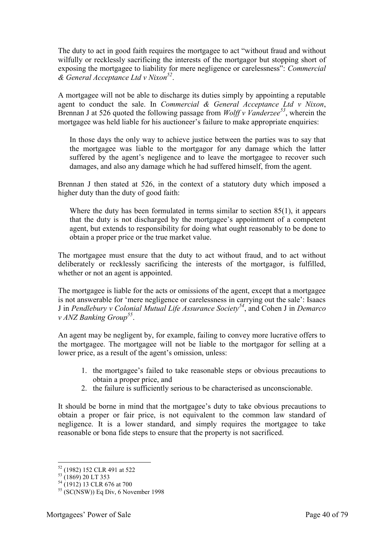The duty to act in good faith requires the mortgagee to act "without fraud and without wilfully or recklessly sacrificing the interests of the mortgagor but stopping short of exposing the mortgagee to liability for mere negligence or carelessness": *Commercial & General Acceptance Ltd v Nixon<sup>52</sup>* .

A mortgagee will not be able to discharge its duties simply by appointing a reputable agent to conduct the sale. In *Commercial & General Acceptance Ltd v Nixon*, Brennan J at 526 quoted the following passage from *Wolff v Vanderzee<sup>53</sup>*, wherein the mortgagee was held liable for his auctioneer's failure to make appropriate enquiries:

In those days the only way to achieve justice between the parties was to say that the mortgagee was liable to the mortgagor for any damage which the latter suffered by the agent's negligence and to leave the mortgagee to recover such damages, and also any damage which he had suffered himself, from the agent.

Brennan J then stated at 526, in the context of a statutory duty which imposed a higher duty than the duty of good faith:

Where the duty has been formulated in terms similar to section 85(1), it appears that the duty is not discharged by the mortgagee's appointment of a competent agent, but extends to responsibility for doing what ought reasonably to be done to obtain a proper price or the true market value.

The mortgagee must ensure that the duty to act without fraud, and to act without deliberately or recklessly sacrificing the interests of the mortgagor, is fulfilled, whether or not an agent is appointed.

The mortgagee is liable for the acts or omissions of the agent, except that a mortgagee is not answerable for 'mere negligence or carelessness in carrying out the sale': Isaacs J in *Pendlebury v Colonial Mutual Life Assurance Society<sup>54</sup>*, and Cohen J in *Demarco v ANZ Banking Group<sup>55</sup>* .

An agent may be negligent by, for example, failing to convey more lucrative offers to the mortgagee. The mortgagee will not be liable to the mortgagor for selling at a lower price, as a result of the agent's omission, unless:

- 1. the mortgagee's failed to take reasonable steps or obvious precautions to obtain a proper price, and
- 2. the failure is sufficiently serious to be characterised as unconscionable.

It should be borne in mind that the mortgagee's duty to take obvious precautions to obtain a proper or fair price, is not equivalent to the common law standard of negligence. It is a lower standard, and simply requires the mortgagee to take reasonable or bona fide steps to ensure that the property is not sacrificed.

<sup>52</sup> (1982) 152 CLR 491 at 522

 $^{53}$  (1869) 20 LT 353

 $^{54}$  (1912) 13 CLR 676 at 700

 $55$  (SC(NSW)) Eq Div, 6 November 1998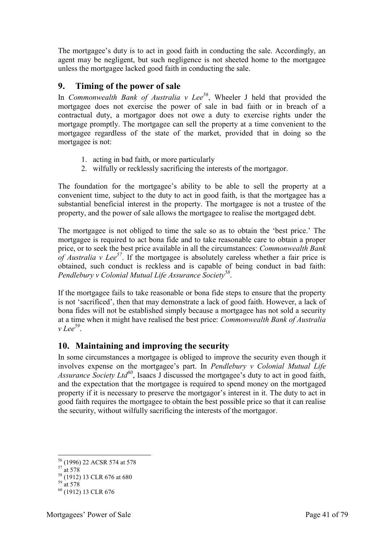The mortgagee's duty is to act in good faith in conducting the sale. Accordingly, an agent may be negligent, but such negligence is not sheeted home to the mortgagee unless the mortgagee lacked good faith in conducting the sale.

#### **9. Timing of the power of sale**

In *Commonwealth Bank of Australia v Lee<sup>56</sup>*, Wheeler J held that provided the mortgagee does not exercise the power of sale in bad faith or in breach of a contractual duty, a mortgagor does not owe a duty to exercise rights under the mortgage promptly. The mortgagee can sell the property at a time convenient to the mortgagee regardless of the state of the market, provided that in doing so the mortgagee is not:

- 1. acting in bad faith, or more particularly
- 2. wilfully or recklessly sacrificing the interests of the mortgagor.

The foundation for the mortgagee's ability to be able to sell the property at a convenient time, subject to the duty to act in good faith, is that the mortgagee has a substantial beneficial interest in the property. The mortgagee is not a trustee of the property, and the power of sale allows the mortgagee to realise the mortgaged debt.

The mortgagee is not obliged to time the sale so as to obtain the 'best price.' The mortgagee is required to act bona fide and to take reasonable care to obtain a proper price, or to seek the best price available in all the circumstances: *Commonwealth Bank of Australia v Lee<sup>57</sup>*. If the mortgagee is absolutely careless whether a fair price is obtained, such conduct is reckless and is capable of being conduct in bad faith: *Pendlebury v Colonial Mutual Life Assurance Society<sup>58</sup>* .

If the mortgagee fails to take reasonable or bona fide steps to ensure that the property is not 'sacrificed', then that may demonstrate a lack of good faith. However, a lack of bona fides will not be established simply because a mortgagee has not sold a security at a time when it might have realised the best price: *Commonwealth Bank of Australia v Lee<sup>59</sup>* .

# **10. Maintaining and improving the security**

In some circumstances a mortgagee is obliged to improve the security even though it involves expense on the mortgagee's part. In *Pendlebury v Colonial Mutual Life Assurance Society Ltd<sup>60</sup>*, Isaacs J discussed the mortgagee's duty to act in good faith, and the expectation that the mortgagee is required to spend money on the mortgaged property if it is necessary to preserve the mortgagor's interest in it. The duty to act in good faith requires the mortgagee to obtain the best possible price so that it can realise the security, without wilfully sacrificing the interests of the mortgagor.

<sup>-</sup><sup>56</sup> (1996) 22 ACSR 574 at 578

 $57 \text{ at } 578$ 

 $58$  (1912) 13 CLR 676 at 680

 $59 \text{ at } 578$ 

<sup>60</sup> (1912) 13 CLR 676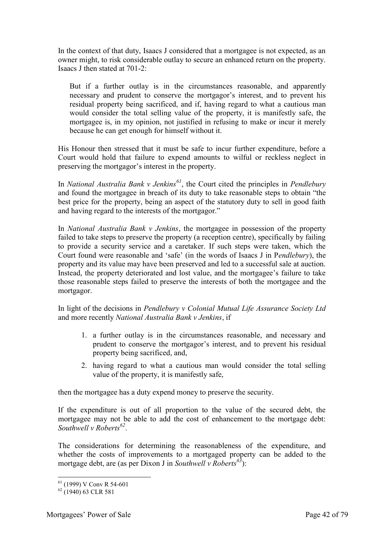In the context of that duty, Isaacs J considered that a mortgagee is not expected, as an owner might, to risk considerable outlay to secure an enhanced return on the property. Isaacs J then stated at 701-2:

But if a further outlay is in the circumstances reasonable, and apparently necessary and prudent to conserve the mortgagor's interest, and to prevent his residual property being sacrificed, and if, having regard to what a cautious man would consider the total selling value of the property, it is manifestly safe, the mortgagee is, in my opinion, not justified in refusing to make or incur it merely because he can get enough for himself without it.

His Honour then stressed that it must be safe to incur further expenditure, before a Court would hold that failure to expend amounts to wilful or reckless neglect in preserving the mortgagor's interest in the property.

In *National Australia Bank v Jenkins<sup>61</sup>*, the Court cited the principles in *Pendlebury* and found the mortgagee in breach of its duty to take reasonable steps to obtain "the best price for the property, being an aspect of the statutory duty to sell in good faith and having regard to the interests of the mortgagor."

In *National Australia Bank v Jenkins*, the mortgagee in possession of the property failed to take steps to preserve the property (a reception centre), specifically by failing to provide a security service and a caretaker. If such steps were taken, which the Court found were reasonable and 'safe' (in the words of Isaacs J in P*endlebury*), the property and its value may have been preserved and led to a successful sale at auction. Instead, the property deteriorated and lost value, and the mortgagee's failure to take those reasonable steps failed to preserve the interests of both the mortgagee and the mortgagor.

In light of the decisions in *Pendlebury v Colonial Mutual Life Assurance Society Ltd* and more recently *National Australia Bank v Jenkins*, if

- 1. a further outlay is in the circumstances reasonable, and necessary and prudent to conserve the mortgagor's interest, and to prevent his residual property being sacrificed, and,
- 2. having regard to what a cautious man would consider the total selling value of the property, it is manifestly safe,

then the mortgagee has a duty expend money to preserve the security.

If the expenditure is out of all proportion to the value of the secured debt, the mortgagee may not be able to add the cost of enhancement to the mortgage debt: *Southwell v Roberts<sup>62</sup>* .

The considerations for determining the reasonableness of the expenditure, and whether the costs of improvements to a mortgaged property can be added to the mortgage debt, are (as per Dixon J in *Southwell v Roberts<sup>63</sup>*):

<sup>-</sup><sup>61</sup> (1999) V Conv R 54-601

 $^{62}$  (1940) 63 CLR 581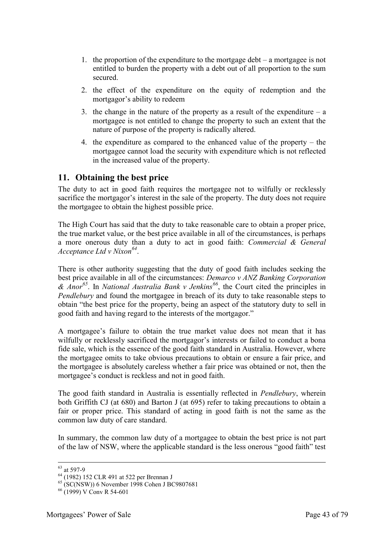- 1. the proportion of the expenditure to the mortgage debt  $-$  a mortgagee is not entitled to burden the property with a debt out of all proportion to the sum secured.
- 2. the effect of the expenditure on the equity of redemption and the mortgagor's ability to redeem
- 3. the change in the nature of the property as a result of the expenditure  $-$  a mortgagee is not entitled to change the property to such an extent that the nature of purpose of the property is radically altered.
- 4. the expenditure as compared to the enhanced value of the property the mortgagee cannot load the security with expenditure which is not reflected in the increased value of the property.

#### **11. Obtaining the best price**

The duty to act in good faith requires the mortgagee not to wilfully or recklessly sacrifice the mortgagor's interest in the sale of the property. The duty does not require the mortgagee to obtain the highest possible price.

The High Court has said that the duty to take reasonable care to obtain a proper price, the true market value, or the best price available in all of the circumstances, is perhaps a more onerous duty than a duty to act in good faith: *Commercial & General Acceptance Ltd v Nixon<sup>64</sup>* .

There is other authority suggesting that the duty of good faith includes seeking the best price available in all of the circumstances: *Demarco v ANZ Banking Corporation & Anor<sup>65</sup>*. In *National Australia Bank v Jenkins<sup>66</sup>*, the Court cited the principles in *Pendlebury* and found the mortgagee in breach of its duty to take reasonable steps to obtain "the best price for the property, being an aspect of the statutory duty to sell in good faith and having regard to the interests of the mortgagor."

A mortgagee's failure to obtain the true market value does not mean that it has wilfully or recklessly sacrificed the mortgagor's interests or failed to conduct a bona fide sale, which is the essence of the good faith standard in Australia. However, where the mortgagee omits to take obvious precautions to obtain or ensure a fair price, and the mortgagee is absolutely careless whether a fair price was obtained or not, then the mortgagee's conduct is reckless and not in good faith.

The good faith standard in Australia is essentially reflected in *Pendlebury*, wherein both Griffith CJ (at 680) and Barton J (at 695) refer to taking precautions to obtain a fair or proper price. This standard of acting in good faith is not the same as the common law duty of care standard.

In summary, the common law duty of a mortgagee to obtain the best price is not part of the law of NSW, where the applicable standard is the less onerous "good faith" test

 $63$  at 597-9

 $^{64}$  (1982) 152 CLR 491 at 522 per Brennan J

 $^{65}$  (SC(NSW)) 6 November 1998 Cohen J BC9807681

 $66$  (1999) V Conv R 54-601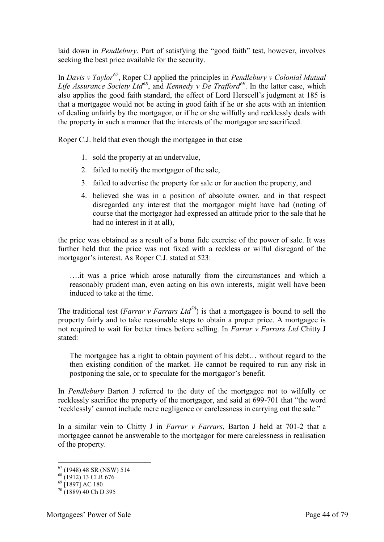laid down in *Pendlebury*. Part of satisfying the "good faith" test, however, involves seeking the best price available for the security.

In *Davis v Taylor<sup>67</sup>*, Roper CJ applied the principles in *Pendlebury v Colonial Mutual Life Assurance Society Ltd<sup>68</sup>*, and *Kennedy v De Trafford<sup>69</sup>*. In the latter case, which also applies the good faith standard, the effect of Lord Herscell's judgment at 185 is that a mortgagee would not be acting in good faith if he or she acts with an intention of dealing unfairly by the mortgagor, or if he or she wilfully and recklessly deals with the property in such a manner that the interests of the mortgagor are sacrificed.

Roper C.J. held that even though the mortgagee in that case

- 1. sold the property at an undervalue,
- 2. failed to notify the mortgagor of the sale,
- 3. failed to advertise the property for sale or for auction the property, and
- 4. believed she was in a position of absolute owner, and in that respect disregarded any interest that the mortgagor might have had (noting of course that the mortgagor had expressed an attitude prior to the sale that he had no interest in it at all).

the price was obtained as a result of a bona fide exercise of the power of sale. It was further held that the price was not fixed with a reckless or wilful disregard of the mortgagor's interest. As Roper C.J. stated at 523:

….it was a price which arose naturally from the circumstances and which a reasonably prudent man, even acting on his own interests, might well have been induced to take at the time.

The traditional test (*Farrar v Farrars Ltd*<sup>70</sup>) is that a mortgagee is bound to sell the property fairly and to take reasonable steps to obtain a proper price. A mortgagee is not required to wait for better times before selling. In *Farrar v Farrars Ltd* Chitty J stated:

The mortgagee has a right to obtain payment of his debt… without regard to the then existing condition of the market. He cannot be required to run any risk in postponing the sale, or to speculate for the mortgagor's benefit.

In *Pendlebury* Barton J referred to the duty of the mortgagee not to wilfully or recklessly sacrifice the property of the mortgagor, and said at 699-701 that "the word 'recklessly' cannot include mere negligence or carelessness in carrying out the sale."

In a similar vein to Chitty J in *Farrar v Farrars*, Barton J held at 701-2 that a mortgagee cannot be answerable to the mortgagor for mere carelessness in realisation of the property.

 $67$  (1948) 48 SR (NSW) 514

 $68(1912)$  13 CLR 676

<sup>69</sup> [1897] AC 180

 $70(1889)$  40 Ch D 395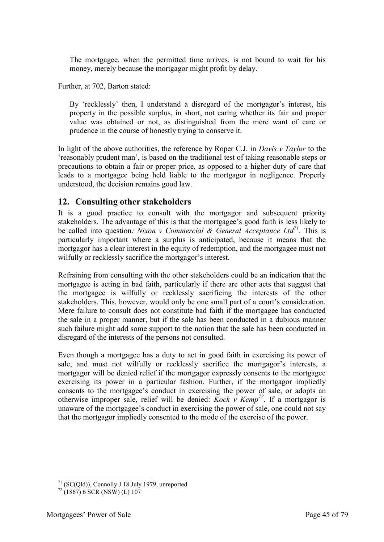The mortgagee, when the permitted time arrives, is not bound to wait for his money, merely because the mortgagor might profit by delay.

Further, at 702, Barton stated:

By 'recklessly' then, I understand a disregard of the mortgagor's interest, his property in the possible surplus, in short, not caring whether its fair and proper value was obtained or not, as distinguished from the mere want of care or prudence in the course of honestly trying to conserve it.

In light of the above authorities, the reference by Roper C.J. in *Davis v Taylor* to the 'reasonably prudent man', is based on the traditional test of taking reasonable steps or precautions to obtain a fair or proper price, as opposed to a higher duty of care that leads to a mortgagee being held liable to the mortgagor in negligence. Properly understood, the decision remains good law.

#### **12. Consulting other stakeholders**

It is a good practice to consult with the mortgagor and subsequent priority stakeholders. The advantage of this is that the mortgagee's good faith is less likely to be called into question*: Nixon v Commercial & General Acceptance Ltd<sup>71</sup>*. This is particularly important where a surplus is anticipated, because it means that the mortgagor has a clear interest in the equity of redemption, and the mortgagee must not wilfully or recklessly sacrifice the mortgagor's interest.

Refraining from consulting with the other stakeholders could be an indication that the mortgagee is acting in bad faith, particularly if there are other acts that suggest that the mortgagee is wilfully or recklessly sacrificing the interests of the other stakeholders. This, however, would only be one small part of a court's consideration. Mere failure to consult does not constitute bad faith if the mortgagee has conducted the sale in a proper manner, but if the sale has been conducted in a dubious manner such failure might add some support to the notion that the sale has been conducted in disregard of the interests of the persons not consulted.

Even though a mortgagee has a duty to act in good faith in exercising its power of sale, and must not wilfully or recklessly sacrifice the mortgagor's interests, a mortgagor will be denied relief if the mortgagor expressly consents to the mortgagee exercising its power in a particular fashion. Further, if the mortgagor impliedly consents to the mortgagee's conduct in exercising the power of sale, or adopts an otherwise improper sale, relief will be denied: *Kock v Kemp<sup>72</sup>*. If a mortgagor is unaware of the mortgagee's conduct in exercising the power of sale, one could not say that the mortgagor impliedly consented to the mode of the exercise of the power.

<sup>-</sup> $71$  (SC(Qld)), Connolly J 18 July 1979, unreported

 $72$  (1867) 6 SCR (NSW) (L) 107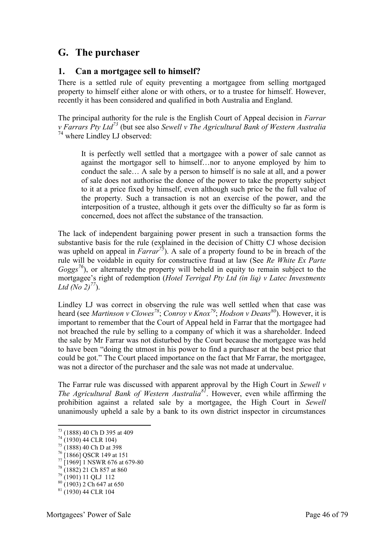# **G. The purchaser**

#### **1. Can a mortgagee sell to himself?**

There is a settled rule of equity preventing a mortgagee from selling mortgaged property to himself either alone or with others, or to a trustee for himself. However, recently it has been considered and qualified in both Australia and England.

The principal authority for the rule is the English Court of Appeal decision in *Farrar v Farrars Pty Ltd<sup>73</sup>* (but see also *Sewell v The Agricultural Bank of Western Australia* <sup>74</sup> where Lindley LJ observed:

It is perfectly well settled that a mortgagee with a power of sale cannot as against the mortgagor sell to himself…nor to anyone employed by him to conduct the sale… A sale by a person to himself is no sale at all, and a power of sale does not authorise the donee of the power to take the property subject to it at a price fixed by himself, even although such price be the full value of the property. Such a transaction is not an exercise of the power, and the interposition of a trustee, although it gets over the difficulty so far as form is concerned, does not affect the substance of the transaction.

The lack of independent bargaining power present in such a transaction forms the substantive basis for the rule (explained in the decision of Chitty CJ whose decision was upheld on appeal in *Farrar*<sup>75</sup>). A sale of a property found to be in breach of the rule will be voidable in equity for constructive fraud at law (See *Re White Ex Parte Goggs*<sup> $76$ </sup>), or alternately the property will beheld in equity to remain subject to the mortgagee's right of redemption (*Hotel Terrigal Pty Ltd (in liq) v Latec Investments Ltd* (*No*  $2)^{77}$ ).

Lindley LJ was correct in observing the rule was well settled when that case was heard (see *Martinson v Clowes<sup>78</sup>*; *Conroy v Knox<sup>79</sup>*; *Hodson v Deans<sup>80</sup>*). However, it is important to remember that the Court of Appeal held in Farrar that the mortgagee had not breached the rule by selling to a company of which it was a shareholder. Indeed the sale by Mr Farrar was not disturbed by the Court because the mortgagee was held to have been "doing the utmost in his power to find a purchaser at the best price that could be got." The Court placed importance on the fact that Mr Farrar, the mortgagee, was not a director of the purchaser and the sale was not made at undervalue.

The Farrar rule was discussed with apparent approval by the High Court in *Sewell v The Agricultural Bank of Western Australia<sup>81</sup>*. However, even while affirming the prohibition against a related sale by a mortgagee, the High Court in *Sewell*  unanimously upheld a sale by a bank to its own district inspector in circumstances

<sup>-</sup><sup>73</sup> (1888) 40 Ch D 395 at 409

 $^{74}$  (1930) 44 CLR 104)

 $75 (1888) 40$  Ch D at 398

<sup>76</sup> [1866] QSCR 149 at 151

 $^{77}$  [1969] 1 NSWR 676 at 679-80

<sup>78</sup> (1882) 21 Ch 857 at 860

<sup>79</sup> (1901) 11 QLJ 112

<sup>80</sup> (1903) 2 Ch 647 at 650  $81$  (1930) 44 CLR 104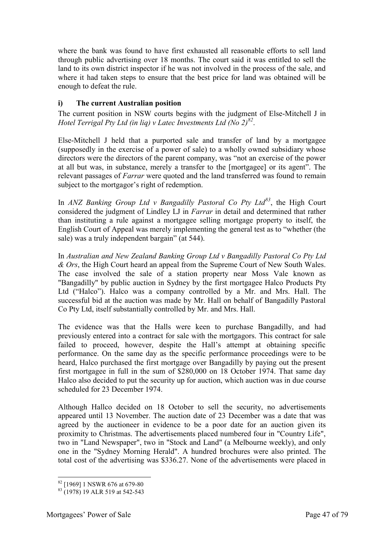where the bank was found to have first exhausted all reasonable efforts to sell land through public advertising over 18 months. The court said it was entitled to sell the land to its own district inspector if he was not involved in the process of the sale, and where it had taken steps to ensure that the best price for land was obtained will be enough to defeat the rule.

#### **i) The current Australian position**

The current position in NSW courts begins with the judgment of Else-Mitchell J in *Hotel Terrigal Pty Ltd (in liq) v Latec Investments Ltd (No 2)<sup>82</sup>* .

Else-Mitchell J held that a purported sale and transfer of land by a mortgagee (supposedly in the exercise of a power of sale) to a wholly owned subsidiary whose directors were the directors of the parent company, was "not an exercise of the power at all but was, in substance, merely a transfer to the [mortgagee] or its agent". The relevant passages of *Farrar* were quoted and the land transferred was found to remain subject to the mortgagor's right of redemption.

In *ANZ Banking Group Ltd v Bangadilly Pastoral Co Pty Ltd<sup>83</sup>*, the High Court considered the judgment of Lindley LJ in *Farrar* in detail and determined that rather than instituting a rule against a mortgagee selling mortgage property to itself, the English Court of Appeal was merely implementing the general test as to "whether (the sale) was a truly independent bargain" (at 544).

In *Australian and New Zealand Banking Group Ltd v Bangadilly Pastoral Co Pty Ltd & Ors*, the High Court heard an appeal from the Supreme Court of New South Wales. The case involved the sale of a station property near Moss Vale known as "Bangadilly" by public auction in Sydney by the first mortgagee Halco Products Pty Ltd ("Halco"). Halco was a company controlled by a Mr. and Mrs. Hall. The successful bid at the auction was made by Mr. Hall on behalf of Bangadilly Pastoral Co Pty Ltd, itself substantially controlled by Mr. and Mrs. Hall.

The evidence was that the Halls were keen to purchase Bangadilly, and had previously entered into a contract for sale with the mortgagors. This contract for sale failed to proceed, however, despite the Hall's attempt at obtaining specific performance. On the same day as the specific performance proceedings were to be heard, Halco purchased the first mortgage over Bangadilly by paying out the present first mortgagee in full in the sum of \$280,000 on 18 October 1974. That same day Halco also decided to put the security up for auction, which auction was in due course scheduled for 23 December 1974.

Although Hallco decided on 18 October to sell the security, no advertisements appeared until 13 November. The auction date of 23 December was a date that was agreed by the auctioneer in evidence to be a poor date for an auction given its proximity to Christmas. The advertisements placed numbered four in "Country Life", two in "Land Newspaper", two in "Stock and Land" (a Melbourne weekly), and only one in the "Sydney Morning Herald". A hundred brochures were also printed. The total cost of the advertising was \$336.27. None of the advertisements were placed in

<sup>-</sup><sup>82</sup> [1969] 1 NSWR 676 at 679-80

 $83$  (1978) 19 ALR 519 at 542-543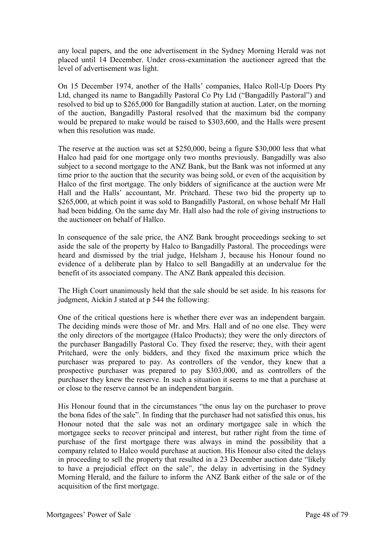any local papers, and the one advertisement in the Sydney Morning Herald was not placed until 14 December. Under cross-examination the auctioneer agreed that the level of advertisement was light.

On 15 December 1974, another of the Halls' companies, Halco Roll-Up Doors Pty Ltd, changed its name to Bangadilly Pastoral Co Pty Ltd ("Bangadilly Pastoral") and resolved to bid up to \$265,000 for Bangadilly station at auction. Later, on the morning of the auction, Bangadilly Pastoral resolved that the maximum bid the company would be prepared to make would be raised to \$303,600, and the Halls were present when this resolution was made.

The reserve at the auction was set at \$250,000, being a figure \$30,000 less that what Halco had paid for one mortgage only two months previously. Bangadilly was also subject to a second mortgage to the ANZ Bank, but the Bank was not informed at any time prior to the auction that the security was being sold, or even of the acquisition by Halco of the first mortgage. The only bidders of significance at the auction were Mr Hall and the Halls' accountant, Mr. Pritchard. These two bid the property up to \$265,000, at which point it was sold to Bangadilly Pastoral, on whose behalf Mr Hall had been bidding. On the same day Mr. Hall also had the role of giving instructions to the auctioneer on behalf of Hallco.

In consequence of the sale price, the ANZ Bank brought proceedings seeking to set aside the sale of the property by Halco to Bangadilly Pastoral. The proceedings were heard and dismissed by the trial judge, Helsham J, because his Honour found no evidence of a deliberate plan by Halco to sell Bangadilly at an undervalue for the benefit of its associated company. The ANZ Bank appealed this decision.

The High Court unanimously held that the sale should be set aside. In his reasons for judgment, Aickin J stated at p 544 the following:

One of the critical questions here is whether there ever was an independent bargain. The deciding minds were those of Mr. and Mrs. Hall and of no one else. They were the only directors of the mortgagee (Halco Products); they were the only directors of the purchaser Bangadilly Pastoral Co. They fixed the reserve; they, with their agent Pritchard, were the only bidders, and they fixed the maximum price which the purchaser was prepared to pay. As controllers of the vendor, they knew that a prospective purchaser was prepared to pay \$303,000, and as controllers of the purchaser they knew the reserve. In such a situation it seems to me that a purchase at or close to the reserve cannot be an independent bargain.

His Honour found that in the circumstances "the onus lay on the purchaser to prove the bona fides of the sale". In finding that the purchaser had not satisfied this onus, his Honour noted that the sale was not an ordinary mortgagee sale in which the mortgagee seeks to recover principal and interest, but rather right from the time of purchase of the first mortgage there was always in mind the possibility that a company related to Halco would purchase at auction. His Honour also cited the delays in proceeding to sell the property that resulted in a 23 December auction date "likely to have a prejudicial effect on the sale", the delay in advertising in the Sydney Morning Herald, and the failure to inform the ANZ Bank either of the sale or of the acquisition of the first mortgage.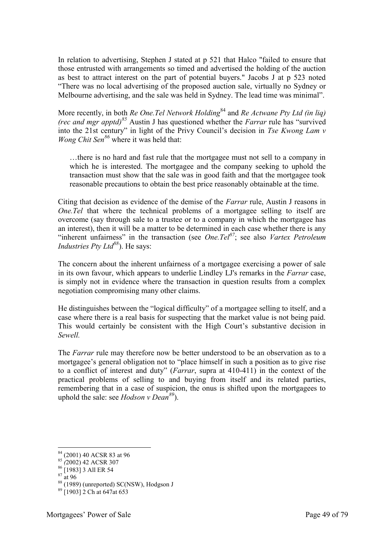In relation to advertising, Stephen J stated at p 521 that Halco "failed to ensure that those entrusted with arrangements so timed and advertised the holding of the auction as best to attract interest on the part of potential buyers." Jacobs J at p 523 noted "There was no local advertising of the proposed auction sale, virtually no Sydney or Melbourne advertising, and the sale was held in Sydney. The lead time was minimal".

More recently, in both *Re One.Tel Network Holding*<sup>84</sup> and *Re Actwane Pty Ltd (in liq) (rec and mgr apptd)<sup>85</sup>* Austin J has questioned whether the *Farrar* rule has "survived into the 21st century" in light of the Privy Council's decision in *Tse Kwong Lam v Wong Chit Sen<sup>86</sup>* where it was held that:

…there is no hard and fast rule that the mortgagee must not sell to a company in which he is interested. The mortgagee and the company seeking to uphold the transaction must show that the sale was in good faith and that the mortgagee took reasonable precautions to obtain the best price reasonably obtainable at the time.

Citing that decision as evidence of the demise of the *Farrar* rule, Austin J reasons in *One.Tel* that where the technical problems of a mortgagee selling to itself are overcome (say through sale to a trustee or to a company in which the mortgagee has an interest), then it will be a matter to be determined in each case whether there is any "inherent unfairness" in the transaction (see *One.Tel<sup>87</sup>*; see also *Vartex Petroleum Industries Pty Ltd<sup>88</sup>*). He says:

The concern about the inherent unfairness of a mortgagee exercising a power of sale in its own favour, which appears to underlie Lindley LJ's remarks in the *Farrar* case, is simply not in evidence where the transaction in question results from a complex negotiation compromising many other claims.

He distinguishes between the "logical difficulty" of a mortgagee selling to itself, and a case where there is a real basis for suspecting that the market value is not being paid. This would certainly be consistent with the High Court's substantive decision in *Sewell.*

The *Farrar* rule may therefore now be better understood to be an observation as to a mortgagee's general obligation not to "place himself in such a position as to give rise to a conflict of interest and duty" (*Farrar*, supra at 410-411) in the context of the practical problems of selling to and buying from itself and its related parties, remembering that in a case of suspicion, the onus is shifted upon the mortgagees to uphold the sale: see *Hodson v Dean<sup>89</sup>*).

<u>.</u>

<sup>&</sup>lt;sup>84</sup> (2001) 40 ACSR 83 at 96

<sup>85</sup> *(*2002) 42 ACSR 307

 $86$  [1983] 3 All ER 54

 $87 \frac{1}{at} 96$ 

 $88$  (1989) (unreported) SC(NSW), Hodgson J

<sup>89</sup> [1903] 2 Ch at 647at 653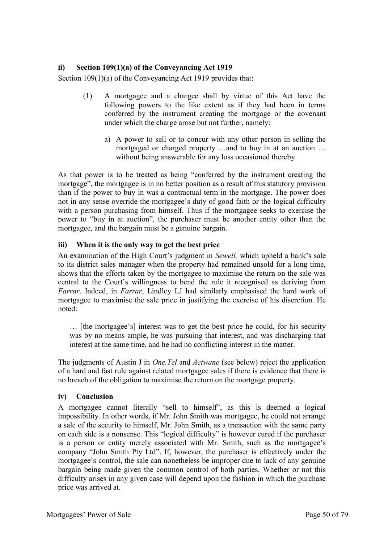#### **ii) Section 109(1)(a) of the Conveyancing Act 1919**

Section 109(1)(a) of the Conveyancing Act 1919 provides that:

- (1) A mortgagee and a chargee shall by virtue of this Act have the following powers to the like extent as if they had been in terms conferred by the instrument creating the mortgage or the covenant under which the charge arose but not further, namely:
	- a) A power to sell or to concur with any other person in selling the mortgaged or charged property …and to buy in at an auction … without being answerable for any loss occasioned thereby.

As that power is to be treated as being "conferred by the instrument creating the mortgage", the mortgagee is in no better position as a result of this statutory provision than if the power to buy in was a contractual term in the mortgage. The power does not in any sense override the mortgagee's duty of good faith or the logical difficulty with a person purchasing from himself. Thus if the mortgagee seeks to exercise the power to "buy in at auction", the purchaser must be another entity other than the mortgagee, and the bargain must be a genuine bargain.

#### **iii) When it is the only way to get the best price**

An examination of the High Court's judgment in *Sewell,* which upheld a bank's sale to its district sales manager when the property had remained unsold for a long time, shows that the efforts taken by the mortgagee to maximise the return on the sale was central to the Court's willingness to bend the rule it recognised as deriving from *Farrar*. Indeed, in *Farrar*, Lindley LJ had similarly emphasised the hard work of mortgagee to maximise the sale price in justifying the exercise of his discretion. He noted:

… [the mortgagee's] interest was to get the best price he could, for his security was by no means ample, he was pursuing that interest, and was discharging that interest at the same time, and he had no conflicting interest in the matter.

The judgments of Austin J in *One.Tel* and *Actwane* (see below) reject the application of a hard and fast rule against related mortgagee sales if there is evidence that there is no breach of the obligation to maximise the return on the mortgage property.

#### **iv) Conclusion**

A mortgagee cannot literally "sell to himself", as this is deemed a logical impossibility. In other words, if Mr. John Smith was mortgagee, he could not arrange a sale of the security to himself, Mr. John Smith, as a transaction with the same party on each side is a nonsense. This "logical difficulty" is however cured if the purchaser is a person or entity merely associated with Mr. Smith, such as the mortgagee's company "John Smith Pty Ltd". If, however, the purchaser is effectively under the mortgagee's control, the sale can nonetheless be improper due to lack of any genuine bargain being made given the common control of both parties. Whether or not this difficulty arises in any given case will depend upon the fashion in which the purchase price was arrived at.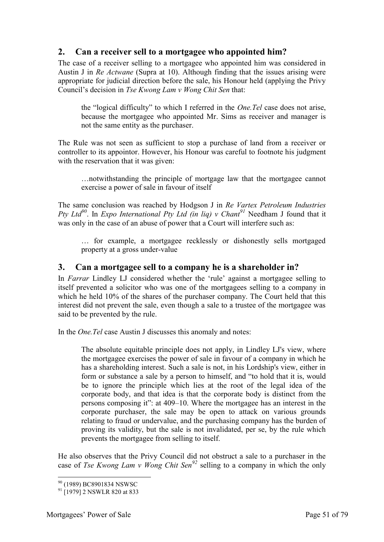#### **2. Can a receiver sell to a mortgagee who appointed him?**

The case of a receiver selling to a mortgagee who appointed him was considered in Austin J in *Re Actwane* (Supra at 10). Although finding that the issues arising were appropriate for judicial direction before the sale, his Honour held (applying the Privy Council's decision in *Tse Kwong Lam v Wong Chit Sen* that:

the "logical difficulty" to which I referred in the *One.Tel* case does not arise, because the mortgagee who appointed Mr. Sims as receiver and manager is not the same entity as the purchaser.

The Rule was not seen as sufficient to stop a purchase of land from a receiver or controller to its appointor. However, his Honour was careful to footnote his judgment with the reservation that it was given:

…notwithstanding the principle of mortgage law that the mortgagee cannot exercise a power of sale in favour of itself

The same conclusion was reached by Hodgson J in *Re Vartex Petroleum Industries Pty Ltd<sup>90</sup>*. In *Expo International Pty Ltd (in liq) v Chant<sup>91</sup>* Needham J found that it was only in the case of an abuse of power that a Court will interfere such as:

… for example, a mortgagee recklessly or dishonestly sells mortgaged property at a gross under-value

#### **3. Can a mortgagee sell to a company he is a shareholder in?**

In *Farrar* Lindley LJ considered whether the 'rule' against a mortgagee selling to itself prevented a solicitor who was one of the mortgagees selling to a company in which he held 10% of the shares of the purchaser company. The Court held that this interest did not prevent the sale, even though a sale to a trustee of the mortgagee was said to be prevented by the rule.

In the *One.Tel* case Austin J discusses this anomaly and notes:

The absolute equitable principle does not apply, in Lindley LJ's view, where the mortgagee exercises the power of sale in favour of a company in which he has a shareholding interest. Such a sale is not, in his Lordship's view, either in form or substance a sale by a person to himself, and "to hold that it is, would be to ignore the principle which lies at the root of the legal idea of the corporate body, and that idea is that the corporate body is distinct from the persons composing it": at 409–10. Where the mortgagee has an interest in the corporate purchaser, the sale may be open to attack on various grounds relating to fraud or undervalue, and the purchasing company has the burden of proving its validity, but the sale is not invalidated, per se, by the rule which prevents the mortgagee from selling to itself.

He also observes that the Privy Council did not obstruct a sale to a purchaser in the case of *Tse Kwong Lam v Wong Chit Sen<sup>92</sup>* selling to a company in which the only

<sup>-</sup><sup>90</sup> (1989) BC8901834 NSWSC

<sup>&</sup>lt;sup>91</sup> [1979] 2 NSWLR 820 at 833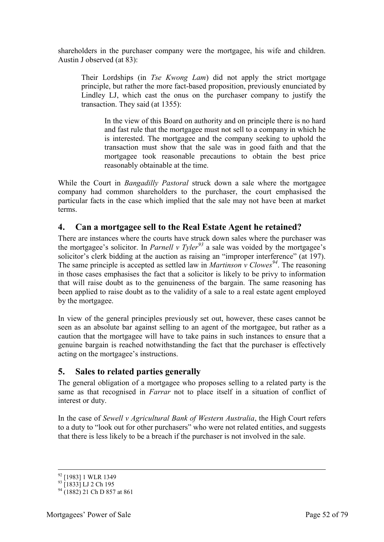shareholders in the purchaser company were the mortgagee, his wife and children. Austin J observed (at 83):

Their Lordships (in *Tse Kwong Lam*) did not apply the strict mortgage principle, but rather the more fact-based proposition, previously enunciated by Lindley LJ, which cast the onus on the purchaser company to justify the transaction. They said (at 1355):

In the view of this Board on authority and on principle there is no hard and fast rule that the mortgagee must not sell to a company in which he is interested. The mortgagee and the company seeking to uphold the transaction must show that the sale was in good faith and that the mortgagee took reasonable precautions to obtain the best price reasonably obtainable at the time.

While the Court in *Bangadilly Pastoral* struck down a sale where the mortgagee company had common shareholders to the purchaser, the court emphasised the particular facts in the case which implied that the sale may not have been at market terms.

#### **4. Can a mortgagee sell to the Real Estate Agent he retained?**

There are instances where the courts have struck down sales where the purchaser was the mortgagee's solicitor. In *Parnell v Tyler<sup>93</sup>* a sale was voided by the mortgagee's solicitor's clerk bidding at the auction as raising an "improper interference" (at 197). The same principle is accepted as settled law in *Martinson v Clowes<sup>94</sup>*. The reasoning in those cases emphasises the fact that a solicitor is likely to be privy to information that will raise doubt as to the genuineness of the bargain. The same reasoning has been applied to raise doubt as to the validity of a sale to a real estate agent employed by the mortgagee.

In view of the general principles previously set out, however, these cases cannot be seen as an absolute bar against selling to an agent of the mortgagee, but rather as a caution that the mortgagee will have to take pains in such instances to ensure that a genuine bargain is reached notwithstanding the fact that the purchaser is effectively acting on the mortgagee's instructions.

# **5. Sales to related parties generally**

The general obligation of a mortgagee who proposes selling to a related party is the same as that recognised in *Farrar* not to place itself in a situation of conflict of interest or duty.

In the case of *Sewell v Agricultural Bank of Western Australia*, the High Court refers to a duty to "look out for other purchasers" who were not related entities, and suggests that there is less likely to be a breach if the purchaser is not involved in the sale.

<sup>&</sup>lt;sup>92</sup> [1983] 1 WLR 1349

<sup>&</sup>lt;sup>93</sup> [1833] LJ 2 Ch 195

 $^{94}$  (1882) 21 Ch D 857 at 861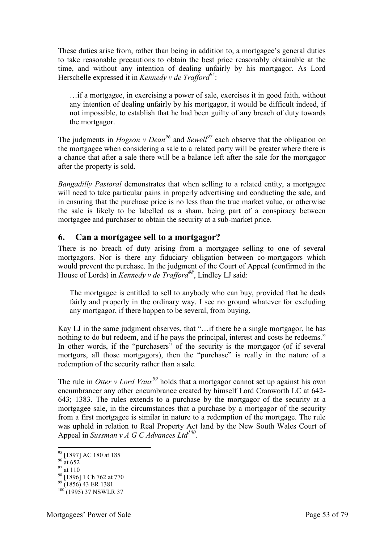These duties arise from, rather than being in addition to, a mortgagee's general duties to take reasonable precautions to obtain the best price reasonably obtainable at the time, and without any intention of dealing unfairly by his mortgagor. As Lord Herschelle expressed it in *Kennedy v de Trafford<sup>95</sup>*:

…if a mortgagee, in exercising a power of sale, exercises it in good faith, without any intention of dealing unfairly by his mortgagor, it would be difficult indeed, if not impossible, to establish that he had been guilty of any breach of duty towards the mortgagor.

The judgments in *Hogson v Dean<sup>96</sup>* and *Sewell<sup>97</sup>* each observe that the obligation on the mortgagee when considering a sale to a related party will be greater where there is a chance that after a sale there will be a balance left after the sale for the mortgagor after the property is sold.

*Bangadilly Pastoral* demonstrates that when selling to a related entity, a mortgagee will need to take particular pains in properly advertising and conducting the sale, and in ensuring that the purchase price is no less than the true market value, or otherwise the sale is likely to be labelled as a sham, being part of a conspiracy between mortgagee and purchaser to obtain the security at a sub-market price.

#### **6. Can a mortgagee sell to a mortgagor?**

There is no breach of duty arising from a mortgagee selling to one of several mortgagors. Nor is there any fiduciary obligation between co-mortgagors which would prevent the purchase. In the judgment of the Court of Appeal (confirmed in the House of Lords) in *Kennedy v de Trafford<sup>98</sup>*, Lindley LJ said:

The mortgagee is entitled to sell to anybody who can buy, provided that he deals fairly and properly in the ordinary way. I see no ground whatever for excluding any mortgagor, if there happen to be several, from buying.

Kay LJ in the same judgment observes, that "…if there be a single mortgagor, he has nothing to do but redeem, and if he pays the principal, interest and costs he redeems." In other words, if the "purchasers" of the security is the mortgagor (of if several mortgors, all those mortgagors), then the "purchase" is really in the nature of a redemption of the security rather than a sale.

The rule in *Otter v Lord Vaux<sup>99</sup>* holds that a mortgagor cannot set up against his own encumbrancer any other encumbrance created by himself Lord Cranworth LC at 642- 643; 1383. The rules extends to a purchase by the mortgagor of the security at a mortgagee sale, in the circumstances that a purchase by a mortgagor of the security from a first mortgagee is similar in nature to a redemption of the mortgage. The rule was upheld in relation to Real Property Act land by the New South Wales Court of Appeal in *Sussman v A G C Advances Ltd<sup>100</sup>* .

<u>.</u>

<sup>&</sup>lt;sup>95</sup> [1897] AC 180 at 185

 $96 \frac{11}{2}$  at 652

 $97 \frac{\text{at}}{\text{at}} 110$ 

<sup>&</sup>lt;sup>98</sup> [1896] 1 Ch 762 at 770

 $^{99}$  (1856) 43 ER 1381  $100(1995)$  37 NSWLR 37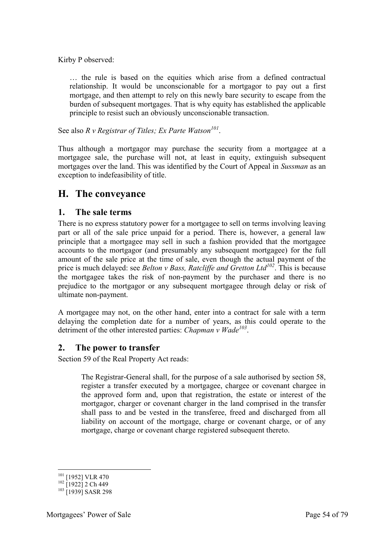Kirby P observed:

… the rule is based on the equities which arise from a defined contractual relationship. It would be unconscionable for a mortgagor to pay out a first mortgage, and then attempt to rely on this newly bare security to escape from the burden of subsequent mortgages. That is why equity has established the applicable principle to resist such an obviously unconscionable transaction.

See also *R v Registrar of Titles; Ex Parte Watson<sup>101</sup>* .

Thus although a mortgagor may purchase the security from a mortgagee at a mortgagee sale, the purchase will not, at least in equity, extinguish subsequent mortgages over the land. This was identified by the Court of Appeal in *Sussman* as an exception to indefeasibility of title.

# **H. The conveyance**

#### **1. The sale terms**

There is no express statutory power for a mortgagee to sell on terms involving leaving part or all of the sale price unpaid for a period. There is, however, a general law principle that a mortgagee may sell in such a fashion provided that the mortgagee accounts to the mortgagor (and presumably any subsequent mortgagee) for the full amount of the sale price at the time of sale, even though the actual payment of the price is much delayed: see *Belton v Bass, Ratcliffe and Gretton Ltd*<sup>*102*</sup>. This is because the mortgagee takes the risk of non-payment by the purchaser and there is no prejudice to the mortgagor or any subsequent mortgagee through delay or risk of ultimate non-payment.

A mortgagee may not, on the other hand, enter into a contract for sale with a term delaying the completion date for a number of years, as this could operate to the detriment of the other interested parties: *Chapman v Wade<sup>103</sup>* .

#### **2. The power to transfer**

Section 59 of the Real Property Act reads:

The Registrar-General shall, for the purpose of a sale authorised by section 58, register a transfer executed by a mortgagee, chargee or covenant chargee in the approved form and, upon that registration, the estate or interest of the mortgagor, charger or covenant charger in the land comprised in the transfer shall pass to and be vested in the transferee, freed and discharged from all liability on account of the mortgage, charge or covenant charge, or of any mortgage, charge or covenant charge registered subsequent thereto.

<sup>-</sup><sup>101</sup> [1952] VLR 470

 $102$  [1922] 2 Ch 449

<sup>&</sup>lt;sup>103</sup> [1939] SASR 298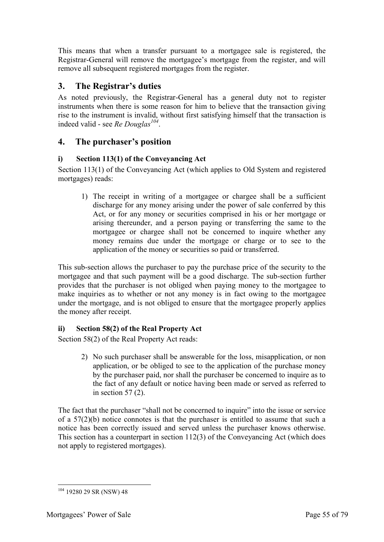This means that when a transfer pursuant to a mortgagee sale is registered, the Registrar-General will remove the mortgagee's mortgage from the register, and will remove all subsequent registered mortgages from the register.

# **3. The Registrar's duties**

As noted previously, the Registrar-General has a general duty not to register instruments when there is some reason for him to believe that the transaction giving rise to the instrument is invalid, without first satisfying himself that the transaction is indeed valid - see *Re Douglas<sup>104</sup>* .

# **4. The purchaser's position**

#### **i) Section 113(1) of the Conveyancing Act**

Section 113(1) of the Conveyancing Act (which applies to Old System and registered mortgages) reads:

1) The receipt in writing of a mortgagee or chargee shall be a sufficient discharge for any money arising under the power of sale conferred by this Act, or for any money or securities comprised in his or her mortgage or arising thereunder, and a person paying or transferring the same to the mortgagee or chargee shall not be concerned to inquire whether any money remains due under the mortgage or charge or to see to the application of the money or securities so paid or transferred.

This sub-section allows the purchaser to pay the purchase price of the security to the mortgagee and that such payment will be a good discharge. The sub-section further provides that the purchaser is not obliged when paying money to the mortgagee to make inquiries as to whether or not any money is in fact owing to the mortgagee under the mortgage, and is not obliged to ensure that the mortgagee properly applies the money after receipt.

# **ii) Section 58(2) of the Real Property Act**

Section 58(2) of the Real Property Act reads:

2) No such purchaser shall be answerable for the loss, misapplication, or non application, or be obliged to see to the application of the purchase money by the purchaser paid, nor shall the purchaser be concerned to inquire as to the fact of any default or notice having been made or served as referred to in section 57 (2).

The fact that the purchaser "shall not be concerned to inquire" into the issue or service of a 57(2)(b) notice connotes is that the purchaser is entitled to assume that such a notice has been correctly issued and served unless the purchaser knows otherwise. This section has a counterpart in section 112(3) of the Conveyancing Act (which does not apply to registered mortgages).

<sup>-</sup> $104$  19280 29 SR (NSW) 48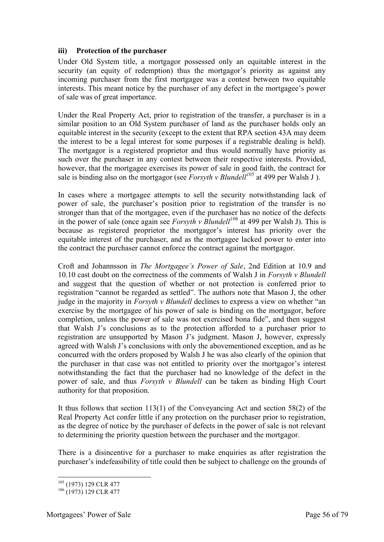#### **iii) Protection of the purchaser**

Under Old System title, a mortgagor possessed only an equitable interest in the security (an equity of redemption) thus the mortgagor's priority as against any incoming purchaser from the first mortgagee was a contest between two equitable interests. This meant notice by the purchaser of any defect in the mortgagee's power of sale was of great importance.

Under the Real Property Act, prior to registration of the transfer, a purchaser is in a similar position to an Old System purchaser of land as the purchaser holds only an equitable interest in the security (except to the extent that RPA section 43A may deem the interest to be a legal interest for some purposes if a registrable dealing is held). The mortgagor is a registered proprietor and thus would normally have priority as such over the purchaser in any contest between their respective interests. Provided, however, that the mortgagee exercises its power of sale in good faith, the contract for sale is binding also on the mortgagor (see *Forsyth v Blundell<sup>105</sup>* at 499 per Walsh J).

In cases where a mortgagee attempts to sell the security notwithstanding lack of power of sale, the purchaser's position prior to registration of the transfer is no stronger than that of the mortgagee, even if the purchaser has no notice of the defects in the power of sale (once again see *Forsyth v Blundell<sup>106</sup>* at 499 per Walsh J). This is because as registered proprietor the mortgagor's interest has priority over the equitable interest of the purchaser, and as the mortgagee lacked power to enter into the contract the purchaser cannot enforce the contract against the mortgagor.

Croft and Johannsson in *The Mortgagee's Power of Sale*, 2nd Edition at 10.9 and 10.10 cast doubt on the correctness of the comments of Walsh J in *Forsyth v Blundell* and suggest that the question of whether or not protection is conferred prior to registration "cannot be regarded as settled". The authors note that Mason J, the other judge in the majority in *Forsyth v Blundell* declines to express a view on whether "an exercise by the mortgagee of his power of sale is binding on the mortgagor, before completion, unless the power of sale was not exercised bona fide", and then suggest that Walsh J's conclusions as to the protection afforded to a purchaser prior to registration are unsupported by Mason J's judgment. Mason J, however, expressly agreed with Walsh J's conclusions with only the abovementioned exception, and as he concurred with the orders proposed by Walsh J he was also clearly of the opinion that the purchaser in that case was not entitled to priority over the mortgagor's interest notwithstanding the fact that the purchaser had no knowledge of the defect in the power of sale, and thus *Forsyth v Blundell* can be taken as binding High Court authority for that proposition.

It thus follows that section 113(1) of the Conveyancing Act and section 58(2) of the Real Property Act confer little if any protection on the purchaser prior to registration, as the degree of notice by the purchaser of defects in the power of sale is not relevant to determining the priority question between the purchaser and the mortgagor.

There is a disincentive for a purchaser to make enquiries as after registration the purchaser's indefeasibility of title could then be subject to challenge on the grounds of

<sup>-</sup><sup>105</sup> (1973) 129 CLR 477

<sup>&</sup>lt;sup>106</sup> (1973) 129 CLR 477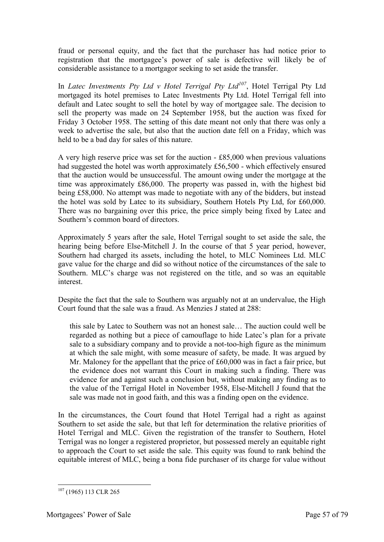fraud or personal equity, and the fact that the purchaser has had notice prior to registration that the mortgagee's power of sale is defective will likely be of considerable assistance to a mortgagor seeking to set aside the transfer.

In *Latec Investments Pty Ltd v Hotel Terrigal Pty Ltd<sup>107</sup>*, Hotel Terrigal Pty Ltd mortgaged its hotel premises to Latec Investments Pty Ltd. Hotel Terrigal fell into default and Latec sought to sell the hotel by way of mortgagee sale. The decision to sell the property was made on 24 September 1958, but the auction was fixed for Friday 3 October 1958. The setting of this date meant not only that there was only a week to advertise the sale, but also that the auction date fell on a Friday, which was held to be a bad day for sales of this nature.

A very high reserve price was set for the auction - £85,000 when previous valuations had suggested the hotel was worth approximately £56,500 - which effectively ensured that the auction would be unsuccessful. The amount owing under the mortgage at the time was approximately £86,000. The property was passed in, with the highest bid being £58,000. No attempt was made to negotiate with any of the bidders, but instead the hotel was sold by Latec to its subsidiary, Southern Hotels Pty Ltd, for £60,000. There was no bargaining over this price, the price simply being fixed by Latec and Southern's common board of directors.

Approximately 5 years after the sale, Hotel Terrigal sought to set aside the sale, the hearing being before Else-Mitchell J. In the course of that 5 year period, however, Southern had charged its assets, including the hotel, to MLC Nominees Ltd. MLC gave value for the charge and did so without notice of the circumstances of the sale to Southern. MLC's charge was not registered on the title, and so was an equitable interest.

Despite the fact that the sale to Southern was arguably not at an undervalue, the High Court found that the sale was a fraud. As Menzies J stated at 288:

this sale by Latec to Southern was not an honest sale… The auction could well be regarded as nothing but a piece of camouflage to hide Latec's plan for a private sale to a subsidiary company and to provide a not-too-high figure as the minimum at which the sale might, with some measure of safety, be made. It was argued by Mr. Maloney for the appellant that the price of £60,000 was in fact a fair price, but the evidence does not warrant this Court in making such a finding. There was evidence for and against such a conclusion but, without making any finding as to the value of the Terrigal Hotel in November 1958, Else-Mitchell J found that the sale was made not in good faith, and this was a finding open on the evidence.

In the circumstances, the Court found that Hotel Terrigal had a right as against Southern to set aside the sale, but that left for determination the relative priorities of Hotel Terrigal and MLC. Given the registration of the transfer to Southern, Hotel Terrigal was no longer a registered proprietor, but possessed merely an equitable right to approach the Court to set aside the sale. This equity was found to rank behind the equitable interest of MLC, being a bona fide purchaser of its charge for value without

<sup>-</sup><sup>107</sup> (1965) 113 CLR 265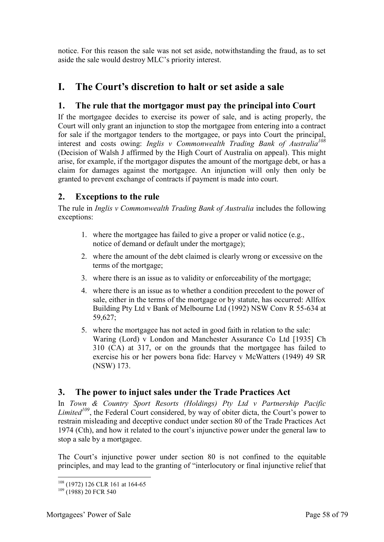notice. For this reason the sale was not set aside, notwithstanding the fraud, as to set aside the sale would destroy MLC's priority interest.

# **I. The Court's discretion to halt or set aside a sale**

# **1. The rule that the mortgagor must pay the principal into Court**

If the mortgagee decides to exercise its power of sale, and is acting properly, the Court will only grant an injunction to stop the mortgagee from entering into a contract for sale if the mortgagor tenders to the mortgagee, or pays into Court the principal, interest and costs owing: *Inglis v Commonwealth Trading Bank of Australia<sup>108</sup>* (Decision of Walsh J affirmed by the High Court of Australia on appeal). This might arise, for example, if the mortgagor disputes the amount of the mortgage debt, or has a claim for damages against the mortgagee. An injunction will only then only be granted to prevent exchange of contracts if payment is made into court.

# **2. Exceptions to the rule**

The rule in *Inglis v Commonwealth Trading Bank of Australia* includes the following exceptions:

- 1. where the mortgagee has failed to give a proper or valid notice (e.g., notice of demand or default under the mortgage);
- 2. where the amount of the debt claimed is clearly wrong or excessive on the terms of the mortgage;
- 3. where there is an issue as to validity or enforceability of the mortgage;
- 4. where there is an issue as to whether a condition precedent to the power of sale, either in the terms of the mortgage or by statute, has occurred: Allfox Building Pty Ltd v Bank of Melbourne Ltd (1992) NSW Conv R 55-634 at 59,627;
- 5. where the mortgagee has not acted in good faith in relation to the sale: Waring (Lord) v London and Manchester Assurance Co Ltd [1935] Ch 310 (CA) at 317, or on the grounds that the mortgagee has failed to exercise his or her powers bona fide: Harvey v McWatters (1949) 49 SR (NSW) 173.

#### **3. The power to injuct sales under the Trade Practices Act**

In *Town & Country Sport Resorts (Holdings) Pty Ltd v Partnership Pacific Limited<sup>109</sup>*, the Federal Court considered, by way of obiter dicta, the Court's power to restrain misleading and deceptive conduct under section 80 of the Trade Practices Act 1974 (Cth), and how it related to the court's injunctive power under the general law to stop a sale by a mortgagee.

The Court's injunctive power under section 80 is not confined to the equitable principles, and may lead to the granting of "interlocutory or final injunctive relief that

<sup>-</sup><sup>108</sup> (1972) 126 CLR 161 at 164-65

 $109$  (1988) 20 FCR 540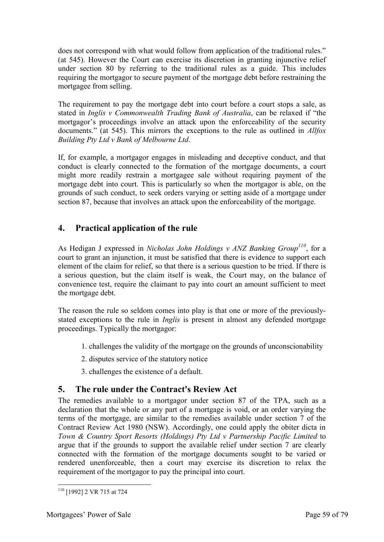does not correspond with what would follow from application of the traditional rules." (at 545). However the Court can exercise its discretion in granting injunctive relief under section 80 by referring to the traditional rules as a guide. This includes requiring the mortgagor to secure payment of the mortgage debt before restraining the mortgagee from selling.

The requirement to pay the mortgage debt into court before a court stops a sale, as stated in *Inglis v Commonwealth Trading Bank of Australia*, can be relaxed if "the mortgagor's proceedings involve an attack upon the enforceability of the security documents." (at 545). This mirrors the exceptions to the rule as outlined in *Allfox Building Pty Ltd v Bank of Melbourne Ltd*.

If, for example, a mortgagor engages in misleading and deceptive conduct, and that conduct is clearly connected to the formation of the mortgage documents, a court might more readily restrain a mortgagee sale without requiring payment of the mortgage debt into court. This is particularly so when the mortgagor is able, on the grounds of such conduct, to seek orders varying or setting aside of a mortgage under section 87, because that involves an attack upon the enforceability of the mortgage.

# **4. Practical application of the rule**

As Hedigan J expressed in *Nicholas John Holdings v ANZ Banking Group<sup>110</sup>*, for a court to grant an injunction, it must be satisfied that there is evidence to support each element of the claim for relief, so that there is a serious question to be tried. If there is a serious question, but the claim itself is weak, the Court may, on the balance of convenience test, require the claimant to pay into court an amount sufficient to meet the mortgage debt.

The reason the rule so seldom comes into play is that one or more of the previouslystated exceptions to the rule in *Inglis* is present in almost any defended mortgage proceedings. Typically the mortgagor:

- 1. challenges the validity of the mortgage on the grounds of unconscionability
- 2. disputes service of the statutory notice
- 3. challenges the existence of a default.

# **5. The rule under the Contract's Review Act**

The remedies available to a mortgagor under section 87 of the TPA, such as a declaration that the whole or any part of a mortgage is void, or an order varying the terms of the mortgage, are similar to the remedies available under section 7 of the Contract Review Act 1980 (NSW). Accordingly, one could apply the obiter dicta in *Town & Country Sport Resorts (Holdings) Pty Ltd v Partnership Pacific Limited* to argue that if the grounds to support the available relief under section 7 are clearly connected with the formation of the mortgage documents sought to be varied or rendered unenforceable, then a court may exercise its discretion to relax the requirement of the mortgagor to pay the principal into court.

<sup>-</sup><sup>110</sup> [1992] 2 VR 715 at 724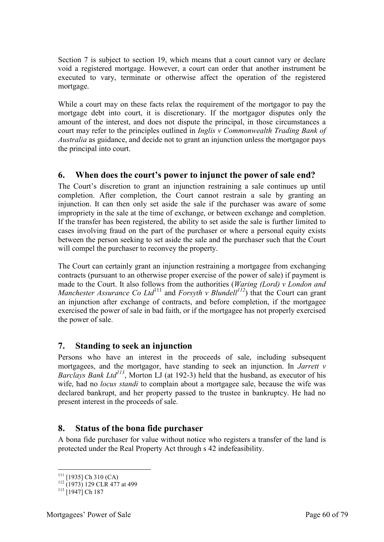Section 7 is subject to section 19, which means that a court cannot vary or declare void a registered mortgage. However, a court can order that another instrument be executed to vary, terminate or otherwise affect the operation of the registered mortgage.

While a court may on these facts relax the requirement of the mortgagor to pay the mortgage debt into court, it is discretionary. If the mortgagor disputes only the amount of the interest, and does not dispute the principal, in those circumstances a court may refer to the principles outlined in *Inglis v Commonwealth Trading Bank of Australia* as guidance, and decide not to grant an injunction unless the mortgagor pays the principal into court.

# **6. When does the court's power to injunct the power of sale end?**

The Court's discretion to grant an injunction restraining a sale continues up until completion. After completion, the Court cannot restrain a sale by granting an injunction. It can then only set aside the sale if the purchaser was aware of some impropriety in the sale at the time of exchange, or between exchange and completion. If the transfer has been registered, the ability to set aside the sale is further limited to cases involving fraud on the part of the purchaser or where a personal equity exists between the person seeking to set aside the sale and the purchaser such that the Court will compel the purchaser to reconvey the property.

The Court can certainly grant an injunction restraining a mortgagee from exchanging contracts (pursuant to an otherwise proper exercise of the power of sale) if payment is made to the Court. It also follows from the authorities (*Waring (Lord) v London and Manchester Assurance Co Ltd*<sup>111</sup> and *Forsyth v Blundell*<sup>112</sup>) that the Court can grant an injunction after exchange of contracts, and before completion, if the mortgagee exercised the power of sale in bad faith, or if the mortgagee has not properly exercised the power of sale.

# **7. Standing to seek an injunction**

Persons who have an interest in the proceeds of sale, including subsequent mortgagees, and the mortgagor, have standing to seek an injunction. In *Jarrett v Barclays Bank Ltd<sup>113</sup>*, Morton LJ (at 192-3) held that the husband, as executor of his wife, had no *locus standi* to complain about a mortgagee sale, because the wife was declared bankrupt, and her property passed to the trustee in bankruptcy. He had no present interest in the proceeds of sale.

# **8. Status of the bona fide purchaser**

A bona fide purchaser for value without notice who registers a transfer of the land is protected under the Real Property Act through s 42 indefeasibility.

<sup>-</sup> $111$  [1935] Ch 310 (CA)

 $112$  (1973) 129 CLR 477 at 499

 $113$  [1947] Ch 187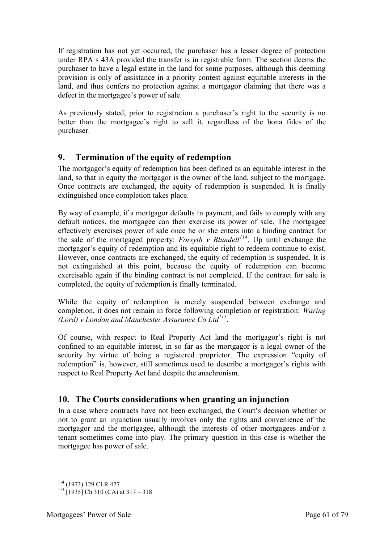If registration has not yet occurred, the purchaser has a lesser degree of protection under RPA s 43A provided the transfer is in registrable form. The section deems the purchaser to have a legal estate in the land for some purposes, although this deeming provision is only of assistance in a priority contest against equitable interests in the land, and thus confers no protection against a mortgagor claiming that there was a defect in the mortgagee's power of sale.

As previously stated, prior to registration a purchaser's right to the security is no better than the mortgagee's right to sell it, regardless of the bona fides of the purchaser.

# **9. Termination of the equity of redemption**

The mortgagor's equity of redemption has been defined as an equitable interest in the land, so that in equity the mortgagor is the owner of the land, subject to the mortgage. Once contracts are exchanged, the equity of redemption is suspended. It is finally extinguished once completion takes place.

By way of example, if a mortgagor defaults in payment, and fails to comply with any default notices, the mortgagee can then exercise its power of sale. The mortgagee effectively exercises power of sale once he or she enters into a binding contract for the sale of the mortgaged property: *Forsyth v Blundell<sup>114</sup>*. Up until exchange the mortgagor's equity of redemption and its equitable right to redeem continue to exist. However, once contracts are exchanged, the equity of redemption is suspended. It is not extinguished at this point, because the equity of redemption can become exercisable again if the binding contract is not completed. If the contract for sale is completed, the equity of redemption is finally terminated.

While the equity of redemption is merely suspended between exchange and completion, it does not remain in force following completion or registration: *Waring (Lord) v London and Manchester Assurance Co Ltd<sup>115</sup>* .

Of course, with respect to Real Property Act land the mortgagor's right is not confined to an equitable interest, in so far as the mortgagor is a legal owner of the security by virtue of being a registered proprietor. The expression "equity of redemption" is, however, still sometimes used to describe a mortgagor's rights with respect to Real Property Act land despite the anachronism.

# **10. The Courts considerations when granting an injunction**

In a case where contracts have not been exchanged, the Court's decision whether or not to grant an injunction usually involves only the rights and convenience of the mortgagor and the mortgagee, although the interests of other mortgagees and/or a tenant sometimes come into play. The primary question in this case is whether the mortgagee has power of sale.

<sup>-</sup><sup>114</sup> (1973) 129 CLR 477

 $115$  [1935] Ch 310 (CA) at 317 – 318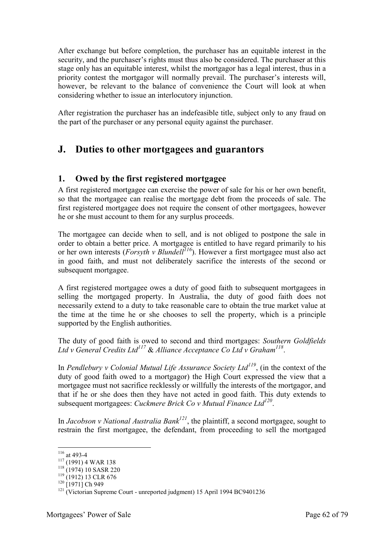After exchange but before completion, the purchaser has an equitable interest in the security, and the purchaser's rights must thus also be considered. The purchaser at this stage only has an equitable interest, whilst the mortgagor has a legal interest, thus in a priority contest the mortgagor will normally prevail. The purchaser's interests will, however, be relevant to the balance of convenience the Court will look at when considering whether to issue an interlocutory injunction.

After registration the purchaser has an indefeasible title, subject only to any fraud on the part of the purchaser or any personal equity against the purchaser.

# **J. Duties to other mortgagees and guarantors**

#### **1. Owed by the first registered mortgagee**

A first registered mortgagee can exercise the power of sale for his or her own benefit, so that the mortgagee can realise the mortgage debt from the proceeds of sale. The first registered mortgagee does not require the consent of other mortgagees, however he or she must account to them for any surplus proceeds.

The mortgagee can decide when to sell, and is not obliged to postpone the sale in order to obtain a better price. A mortgagee is entitled to have regard primarily to his order to octain a better price. The mortgage is entitled to have regard primarity to ms<br>or her own interests (*Forsyth v Blundell<sup>116</sup>*). However a first mortgagee must also act in good faith, and must not deliberately sacrifice the interests of the second or subsequent mortgagee.

A first registered mortgagee owes a duty of good faith to subsequent mortgagees in selling the mortgaged property. In Australia, the duty of good faith does not necessarily extend to a duty to take reasonable care to obtain the true market value at the time at the time he or she chooses to sell the property, which is a principle supported by the English authorities.

The duty of good faith is owed to second and third mortgages: *Southern Goldfields Ltd v General Credits Ltd<sup>117</sup>* & *Alliance Acceptance Co Ltd v Graham<sup>118</sup>* .

In *Pendlebury v Colonial Mutual Life Assurance Society Ltd<sup>119</sup>*, (in the context of the duty of good faith owed to a mortgagor) the High Court expressed the view that a mortgagee must not sacrifice recklessly or willfully the interests of the mortgagor, and that if he or she does then they have not acted in good faith. This duty extends to subsequent mortgagees: *Cuckmere Brick Co v Mutual Finance Ltd<sup>120</sup>* .

In *Jacobson v National Australia Bank<sup>121</sup>*, the plaintiff, a second mortgagee, sought to restrain the first mortgagee, the defendant, from proceeding to sell the mortgaged

<u>.</u>

 $116$  at 493-4

 $117$  (1991) 4 WAR 138

<sup>118</sup> (1974) 10 SASR 220

<sup>119</sup> (1912) 13 CLR 676

 $120$  [1971] Ch 949

<sup>&</sup>lt;sup>121</sup> (Victorian Supreme Court - unreported judgment) 15 April 1994 BC9401236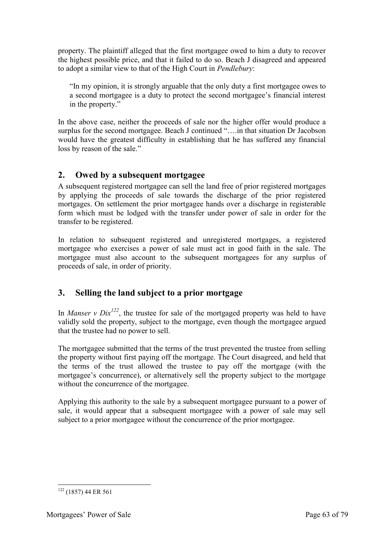property. The plaintiff alleged that the first mortgagee owed to him a duty to recover the highest possible price, and that it failed to do so. Beach J disagreed and appeared to adopt a similar view to that of the High Court in *Pendlebury*:

"In my opinion, it is strongly arguable that the only duty a first mortgagee owes to a second mortgagee is a duty to protect the second mortgagee's financial interest in the property."

In the above case, neither the proceeds of sale nor the higher offer would produce a surplus for the second mortgagee. Beach J continued "….in that situation Dr Jacobson would have the greatest difficulty in establishing that he has suffered any financial loss by reason of the sale."

# **2. Owed by a subsequent mortgagee**

A subsequent registered mortgagee can sell the land free of prior registered mortgages by applying the proceeds of sale towards the discharge of the prior registered mortgages. On settlement the prior mortgagee hands over a discharge in registerable form which must be lodged with the transfer under power of sale in order for the transfer to be registered.

In relation to subsequent registered and unregistered mortgages, a registered mortgagee who exercises a power of sale must act in good faith in the sale. The mortgagee must also account to the subsequent mortgagees for any surplus of proceeds of sale, in order of priority.

# **3. Selling the land subject to a prior mortgage**

In *Manser v Dix*<sup> $122$ </sup>, the trustee for sale of the mortgaged property was held to have validly sold the property, subject to the mortgage, even though the mortgagee argued that the trustee had no power to sell.

The mortgagee submitted that the terms of the trust prevented the trustee from selling the property without first paying off the mortgage. The Court disagreed, and held that the terms of the trust allowed the trustee to pay off the mortgage (with the mortgagee's concurrence), or alternatively sell the property subject to the mortgage without the concurrence of the mortgagee.

Applying this authority to the sale by a subsequent mortgagee pursuant to a power of sale, it would appear that a subsequent mortgagee with a power of sale may sell subject to a prior mortgagee without the concurrence of the prior mortgagee.

<sup>-</sup> $122$  (1857) 44 ER 561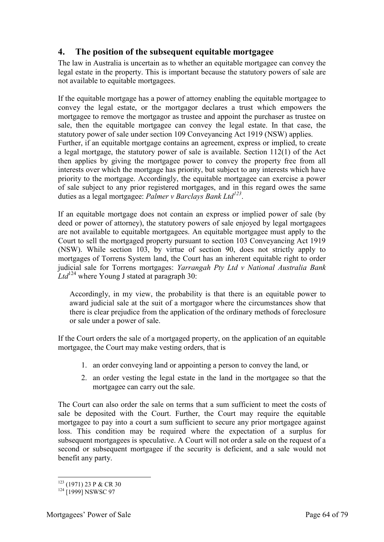# **4. The position of the subsequent equitable mortgagee**

The law in Australia is uncertain as to whether an equitable mortgagee can convey the legal estate in the property. This is important because the statutory powers of sale are not available to equitable mortgagees.

If the equitable mortgage has a power of attorney enabling the equitable mortgagee to convey the legal estate, or the mortgagor declares a trust which empowers the mortgagee to remove the mortgagor as trustee and appoint the purchaser as trustee on sale, then the equitable mortgagee can convey the legal estate. In that case, the statutory power of sale under section 109 Conveyancing Act 1919 (NSW) applies. Further, if an equitable mortgage contains an agreement, express or implied, to create a legal mortgage, the statutory power of sale is available. Section 112(1) of the Act then applies by giving the mortgagee power to convey the property free from all interests over which the mortgage has priority, but subject to any interests which have priority to the mortgage. Accordingly, the equitable mortgagee can exercise a power of sale subject to any prior registered mortgages, and in this regard owes the same duties as a legal mortgagee: *Palmer v Barclays Bank Ltd<sup>123</sup>* .

If an equitable mortgage does not contain an express or implied power of sale (by deed or power of attorney), the statutory powers of sale enjoyed by legal mortgagees are not available to equitable mortgagees. An equitable mortgagee must apply to the Court to sell the mortgaged property pursuant to section 103 Conveyancing Act 1919 (NSW). While section 103, by virtue of section 90, does not strictly apply to mortgages of Torrens System land, the Court has an inherent equitable right to order judicial sale for Torrens mortgages: *Yarrangah Pty Ltd v National Australia Bank*   $Ltd^{124}$  where Young J stated at paragraph 30:

Accordingly, in my view, the probability is that there is an equitable power to award judicial sale at the suit of a mortgagor where the circumstances show that there is clear prejudice from the application of the ordinary methods of foreclosure or sale under a power of sale.

If the Court orders the sale of a mortgaged property, on the application of an equitable mortgagee, the Court may make vesting orders, that is

- 1. an order conveying land or appointing a person to convey the land, or
- 2. an order vesting the legal estate in the land in the mortgagee so that the mortgagee can carry out the sale.

The Court can also order the sale on terms that a sum sufficient to meet the costs of sale be deposited with the Court. Further, the Court may require the equitable mortgagee to pay into a court a sum sufficient to secure any prior mortgagee against loss. This condition may be required where the expectation of a surplus for subsequent mortgagees is speculative. A Court will not order a sale on the request of a second or subsequent mortgagee if the security is deficient, and a sale would not benefit any party.

<sup>-</sup><sup>123</sup> (1971) 23 P & CR 30

<sup>&</sup>lt;sup>124</sup> [1999] NSWSC 97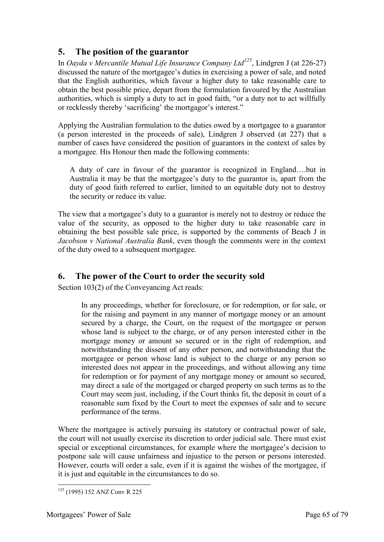# **5. The position of the guarantor**

In *Oayda v Mercantile Mutual Life Insurance Company Ltd<sup>125</sup>*, Lindgren J (at 226-27) discussed the nature of the mortgagee's duties in exercising a power of sale, and noted that the English authorities, which favour a higher duty to take reasonable care to obtain the best possible price, depart from the formulation favoured by the Australian authorities, which is simply a duty to act in good faith, "or a duty not to act willfully or recklessly thereby 'sacrificing' the mortgagor's interest."

Applying the Australian formulation to the duties owed by a mortgagee to a guarantor (a person interested in the proceeds of sale), Lindgren J observed (at 227) that a number of cases have considered the position of guarantors in the context of sales by a mortgagee. His Honour then made the following comments:

A duty of care in favour of the guarantor is recognized in England….but in Australia it may be that the mortgagee's duty to the guarantor is, apart from the duty of good faith referred to earlier, limited to an equitable duty not to destroy the security or reduce its value.

The view that a mortgagee's duty to a guarantor is merely not to destroy or reduce the value of the security, as opposed to the higher duty to take reasonable care in obtaining the best possible sale price, is supported by the comments of Beach J in *Jacobson v National Australia Bank*, even though the comments were in the context of the duty owed to a subsequent mortgagee.

# **6. The power of the Court to order the security sold**

Section 103(2) of the Conveyancing Act reads:

In any proceedings, whether for foreclosure, or for redemption, or for sale, or for the raising and payment in any manner of mortgage money or an amount secured by a charge, the Court, on the request of the mortgagee or person whose land is subject to the charge, or of any person interested either in the mortgage money or amount so secured or in the right of redemption, and notwithstanding the dissent of any other person, and notwithstanding that the mortgagee or person whose land is subject to the charge or any person so interested does not appear in the proceedings, and without allowing any time for redemption or for payment of any mortgage money or amount so secured, may direct a sale of the mortgaged or charged property on such terms as to the Court may seem just, including, if the Court thinks fit, the deposit in court of a reasonable sum fixed by the Court to meet the expenses of sale and to secure performance of the terms.

Where the mortgagee is actively pursuing its statutory or contractual power of sale, the court will not usually exercise its discretion to order judicial sale. There must exist special or exceptional circumstances, for example where the mortgagee's decision to postpone sale will cause unfairness and injustice to the person or persons interested. However, courts will order a sale, even if it is against the wishes of the mortgagee, if it is just and equitable in the circumstances to do so.

<sup>-</sup><sup>125</sup> (1995) 152 ANZ Conv R 225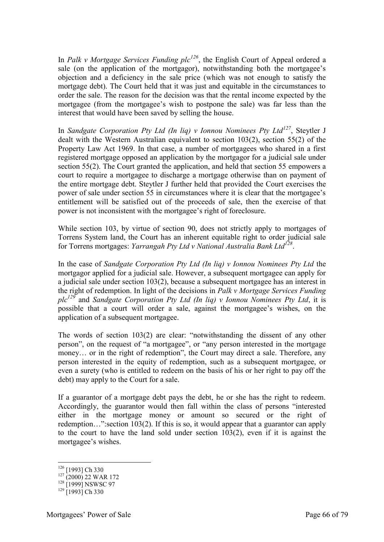In *Palk v Mortgage Services Funding plc<sup>126</sup>*, the English Court of Appeal ordered a sale (on the application of the mortgagor), notwithstanding both the mortgagee's objection and a deficiency in the sale price (which was not enough to satisfy the mortgage debt). The Court held that it was just and equitable in the circumstances to order the sale. The reason for the decision was that the rental income expected by the mortgagee (from the mortgagee's wish to postpone the sale) was far less than the interest that would have been saved by selling the house.

In *Sandgate Corporation Pty Ltd (In liq) v Ionnou Nominees Pty Ltd<sup>127</sup>*, Steytler J dealt with the Western Australian equivalent to section 103(2), section 55(2) of the Property Law Act 1969. In that case, a number of mortgagees who shared in a first registered mortgage opposed an application by the mortgagor for a judicial sale under section 55(2). The Court granted the application, and held that section 55 empowers a court to require a mortgagee to discharge a mortgage otherwise than on payment of the entire mortgage debt. Steytler J further held that provided the Court exercises the power of sale under section 55 in circumstances where it is clear that the mortgagee's entitlement will be satisfied out of the proceeds of sale, then the exercise of that power is not inconsistent with the mortgagee's right of foreclosure.

While section 103, by virtue of section 90, does not strictly apply to mortgages of Torrens System land, the Court has an inherent equitable right to order judicial sale for Torrens mortgages: *Yarrangah Pty Ltd v National Australia Bank Ltd<sup>128</sup>* .

In the case of *Sandgate Corporation Pty Ltd (In liq) v Ionnou Nominees Pty Ltd* the mortgagor applied for a judicial sale. However, a subsequent mortgagee can apply for a judicial sale under section 103(2), because a subsequent mortgagee has an interest in the right of redemption. In light of the decisions in *Palk v Mortgage Services Funding plc<sup>129</sup>* and *Sandgate Corporation Pty Ltd (In liq) v Ionnou Nominees Pty Ltd*, it is possible that a court will order a sale, against the mortgagee's wishes, on the application of a subsequent mortgagee.

The words of section 103(2) are clear: "notwithstanding the dissent of any other person", on the request of "a mortgagee", or "any person interested in the mortgage money… or in the right of redemption", the Court may direct a sale. Therefore, any person interested in the equity of redemption, such as a subsequent mortgagee, or even a surety (who is entitled to redeem on the basis of his or her right to pay off the debt) may apply to the Court for a sale.

If a guarantor of a mortgage debt pays the debt, he or she has the right to redeem. Accordingly, the guarantor would then fall within the class of persons "interested either in the mortgage money or amount so secured or the right of redemption…":section 103(2). If this is so, it would appear that a guarantor can apply to the court to have the land sold under section 103(2), even if it is against the mortgagee's wishes.

 $126$  [1993] Ch 330

<sup>127</sup> (2000) 22 WAR 172

 $128$  [1999] NSWSC 97

 $129$  [1993] Ch 330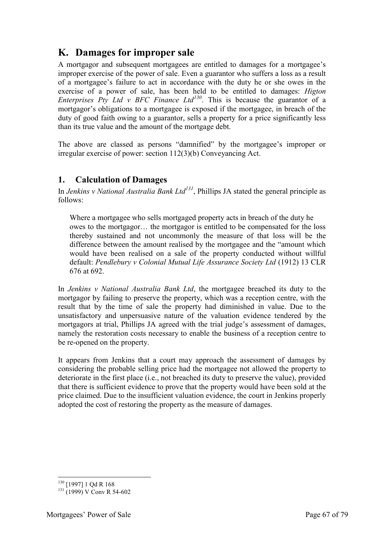# **K. Damages for improper sale**

A mortgagor and subsequent mortgagees are entitled to damages for a mortgagee's improper exercise of the power of sale. Even a guarantor who suffers a loss as a result of a mortgagee's failure to act in accordance with the duty he or she owes in the exercise of a power of sale, has been held to be entitled to damages: *Higton Enterprises Pty Ltd v BFC Finance Ltd<sup>130</sup>*. This is because the guarantor of a mortgagor's obligations to a mortgagee is exposed if the mortgagee, in breach of the duty of good faith owing to a guarantor, sells a property for a price significantly less than its true value and the amount of the mortgage debt.

The above are classed as persons "damnified" by the mortgagee's improper or irregular exercise of power: section 112(3)(b) Conveyancing Act.

#### **1. Calculation of Damages**

In *Jenkins v National Australia Bank Ltd<sup>131</sup>*, Phillips JA stated the general principle as follows:

Where a mortgagee who sells mortgaged property acts in breach of the duty he owes to the mortgagor… the mortgagor is entitled to be compensated for the loss thereby sustained and not uncommonly the measure of that loss will be the difference between the amount realised by the mortgagee and the "amount which would have been realised on a sale of the property conducted without willful default: *Pendlebury v Colonial Mutual Life Assurance Society Ltd* (1912) 13 CLR 676 at 692.

In *Jenkins v National Australia Bank Ltd*, the mortgagee breached its duty to the mortgagor by failing to preserve the property, which was a reception centre, with the result that by the time of sale the property had diminished in value. Due to the unsatisfactory and unpersuasive nature of the valuation evidence tendered by the mortgagors at trial, Phillips JA agreed with the trial judge's assessment of damages, namely the restoration costs necessary to enable the business of a reception centre to be re-opened on the property.

It appears from Jenkins that a court may approach the assessment of damages by considering the probable selling price had the mortgagee not allowed the property to deteriorate in the first place (i.e., not breached its duty to preserve the value), provided that there is sufficient evidence to prove that the property would have been sold at the price claimed. Due to the insufficient valuation evidence, the court in Jenkins properly adopted the cost of restoring the property as the measure of damages.

<sup>-</sup><sup>130</sup> [1997] 1 Qd R 168

 $131 (1999) V$  Conv R 54-602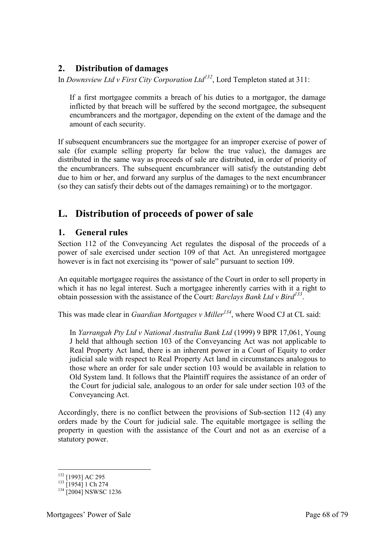# **2. Distribution of damages**

In *Downsview Ltd v First City Corporation Ltd<sup>132</sup>*, Lord Templeton stated at 311:

If a first mortgagee commits a breach of his duties to a mortgagor, the damage inflicted by that breach will be suffered by the second mortgagee, the subsequent encumbrancers and the mortgagor, depending on the extent of the damage and the amount of each security.

If subsequent encumbrancers sue the mortgagee for an improper exercise of power of sale (for example selling property far below the true value), the damages are distributed in the same way as proceeds of sale are distributed, in order of priority of the encumbrancers. The subsequent encumbrancer will satisfy the outstanding debt due to him or her, and forward any surplus of the damages to the next encumbrancer (so they can satisfy their debts out of the damages remaining) or to the mortgagor.

# **L. Distribution of proceeds of power of sale**

#### **1. General rules**

Section 112 of the Conveyancing Act regulates the disposal of the proceeds of a power of sale exercised under section 109 of that Act. An unregistered mortgagee however is in fact not exercising its "power of sale" pursuant to section 109.

An equitable mortgagee requires the assistance of the Court in order to sell property in which it has no legal interest. Such a mortgagee inherently carries with it a right to obtain possession with the assistance of the Court: *Barclays Bank Ltd v Bird<sup>133</sup>* .

This was made clear in *Guardian Mortgages v Miller<sup>134</sup>*, where Wood CJ at CL said:

In *Yarrangah Pty Ltd v National Australia Bank Ltd* (1999) 9 BPR 17,061, Young J held that although section 103 of the Conveyancing Act was not applicable to Real Property Act land, there is an inherent power in a Court of Equity to order judicial sale with respect to Real Property Act land in circumstances analogous to those where an order for sale under section 103 would be available in relation to Old System land. It follows that the Plaintiff requires the assistance of an order of the Court for judicial sale, analogous to an order for sale under section 103 of the Conveyancing Act.

Accordingly, there is no conflict between the provisions of Sub-section 112 (4) any orders made by the Court for judicial sale. The equitable mortgagee is selling the property in question with the assistance of the Court and not as an exercise of a statutory power.

<sup>-</sup><sup>132</sup> [1993] AC 295

 $133$  [1954] 1 Ch 274

<sup>&</sup>lt;sup>134</sup> [2004] NSWSC 1236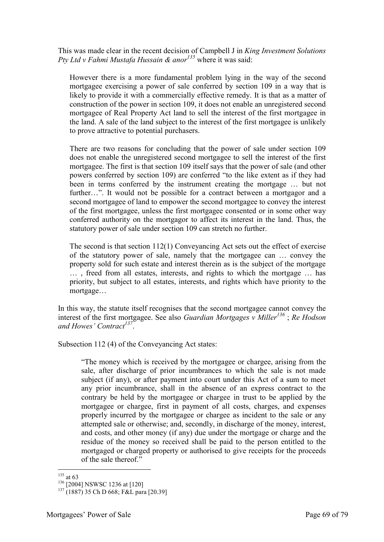This was made clear in the recent decision of Campbell J in *King Investment Solutions Pty Ltd v Fahmi Mustafa Hussain & anor<sup>135</sup>* where it was said:

However there is a more fundamental problem lying in the way of the second mortgagee exercising a power of sale conferred by section 109 in a way that is likely to provide it with a commercially effective remedy. It is that as a matter of construction of the power in section 109, it does not enable an unregistered second mortgagee of Real Property Act land to sell the interest of the first mortgagee in the land. A sale of the land subject to the interest of the first mortgagee is unlikely to prove attractive to potential purchasers.

There are two reasons for concluding that the power of sale under section 109 does not enable the unregistered second mortgagee to sell the interest of the first mortgagee. The first is that section 109 itself says that the power of sale (and other powers conferred by section 109) are conferred "to the like extent as if they had been in terms conferred by the instrument creating the mortgage … but not further…". It would not be possible for a contract between a mortgagor and a second mortgagee of land to empower the second mortgagee to convey the interest of the first mortgagee, unless the first mortgagee consented or in some other way conferred authority on the mortgagor to affect its interest in the land. Thus, the statutory power of sale under section 109 can stretch no further.

The second is that section 112(1) Conveyancing Act sets out the effect of exercise of the statutory power of sale, namely that the mortgagee can … convey the property sold for such estate and interest therein as is the subject of the mortgage … , freed from all estates, interests, and rights to which the mortgage … has priority, but subject to all estates, interests, and rights which have priority to the mortgage…

In this way, the statute itself recognises that the second mortgagee cannot convey the interest of the first mortgagee. See also *Guardian Mortgages v Miller<sup>136</sup>* ; *Re Hodson and Howes' Contract<sup>137</sup>* .

Subsection 112 (4) of the Conveyancing Act states:

"The money which is received by the mortgagee or chargee, arising from the sale, after discharge of prior incumbrances to which the sale is not made subject (if any), or after payment into court under this Act of a sum to meet any prior incumbrance, shall in the absence of an express contract to the contrary be held by the mortgagee or chargee in trust to be applied by the mortgagee or chargee, first in payment of all costs, charges, and expenses properly incurred by the mortgagee or chargee as incident to the sale or any attempted sale or otherwise; and, secondly, in discharge of the money, interest, and costs, and other money (if any) due under the mortgage or charge and the residue of the money so received shall be paid to the person entitled to the mortgaged or charged property or authorised to give receipts for the proceeds of the sale thereof."

<sup>-</sup> $135$  at 63

<sup>136</sup> [2004] NSWSC 1236 at [120]

<sup>&</sup>lt;sup>137</sup> (1887) 35 Ch D 668; F&L para [20.39]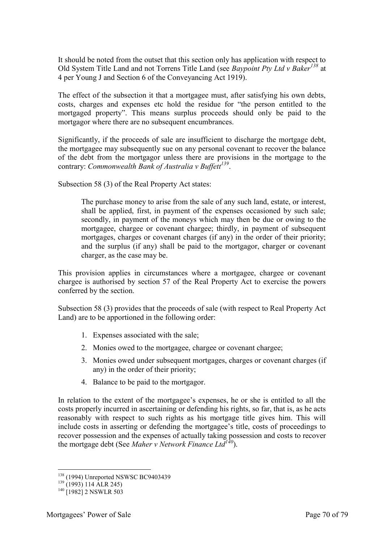It should be noted from the outset that this section only has application with respect to Old System Title Land and not Torrens Title Land (see *Baypoint Pty Ltd v Baker<sup>138</sup>* at 4 per Young J and Section 6 of the Conveyancing Act 1919).

The effect of the subsection it that a mortgagee must, after satisfying his own debts, costs, charges and expenses etc hold the residue for "the person entitled to the mortgaged property". This means surplus proceeds should only be paid to the mortgagor where there are no subsequent encumbrances.

Significantly, if the proceeds of sale are insufficient to discharge the mortgage debt, the mortgagee may subsequently sue on any personal covenant to recover the balance of the debt from the mortgagor unless there are provisions in the mortgage to the contrary: *Commonwealth Bank of Australia v Buffett<sup>139</sup>* .

Subsection 58 (3) of the Real Property Act states:

The purchase money to arise from the sale of any such land, estate, or interest, shall be applied, first, in payment of the expenses occasioned by such sale; secondly, in payment of the moneys which may then be due or owing to the mortgagee, chargee or covenant chargee; thirdly, in payment of subsequent mortgages, charges or covenant charges (if any) in the order of their priority; and the surplus (if any) shall be paid to the mortgagor, charger or covenant charger, as the case may be.

This provision applies in circumstances where a mortgagee, chargee or covenant chargee is authorised by section 57 of the Real Property Act to exercise the powers conferred by the section.

Subsection 58 (3) provides that the proceeds of sale (with respect to Real Property Act Land) are to be apportioned in the following order:

- 1. Expenses associated with the sale;
- 2. Monies owed to the mortgagee, chargee or covenant chargee;
- 3. Monies owed under subsequent mortgages, charges or covenant charges (if any) in the order of their priority;
- 4. Balance to be paid to the mortgagor.

In relation to the extent of the mortgagee's expenses, he or she is entitled to all the costs properly incurred in ascertaining or defending his rights, so far, that is, as he acts reasonably with respect to such rights as his mortgage title gives him. This will include costs in asserting or defending the mortgagee's title, costs of proceedings to recover possession and the expenses of actually taking possession and costs to recover the mortgage debt (See *Maher v Network Finance Ltd<sup>140</sup>*).

<sup>&</sup>lt;sup>138</sup> (1994) Unreported NSWSC BC9403439

 $139$  (1993) 114 ALR 245)

 $140$  [1982] 2 NSWLR 503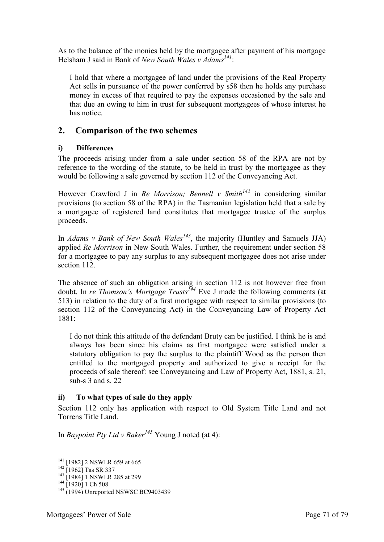As to the balance of the monies held by the mortgagee after payment of his mortgage Helsham J said in Bank of *New South Wales v Adams<sup>141</sup>*:

I hold that where a mortgagee of land under the provisions of the Real Property Act sells in pursuance of the power conferred by s58 then he holds any purchase money in excess of that required to pay the expenses occasioned by the sale and that due an owing to him in trust for subsequent mortgagees of whose interest he has notice.

#### **2. Comparison of the two schemes**

#### **i) Differences**

The proceeds arising under from a sale under section 58 of the RPA are not by reference to the wording of the statute, to be held in trust by the mortgagee as they would be following a sale governed by section 112 of the Conveyancing Act.

However Crawford J in *Re Morrison; Bennell v Smith<sup>142</sup>* in considering similar provisions (to section 58 of the RPA) in the Tasmanian legislation held that a sale by a mortgagee of registered land constitutes that mortgagee trustee of the surplus proceeds.

In *Adams v Bank of New South Wales<sup>143</sup>*, the majority (Huntley and Samuels JJA) applied *Re Morrison* in New South Wales. Further, the requirement under section 58 for a mortgagee to pay any surplus to any subsequent mortgagee does not arise under section 112.

The absence of such an obligation arising in section 112 is not however free from doubt. In *re Thomson's Mortgage Trusts*<sup>144</sup> Eve J made the following comments (at 513) in relation to the duty of a first mortgagee with respect to similar provisions (to section 112 of the Conveyancing Act) in the Conveyancing Law of Property Act 1881:

I do not think this attitude of the defendant Bruty can be justified. I think he is and always has been since his claims as first mortgagee were satisfied under a statutory obligation to pay the surplus to the plaintiff Wood as the person then entitled to the mortgaged property and authorized to give a receipt for the proceeds of sale thereof: see Conveyancing and Law of Property Act, 1881, s. 21, sub-s 3 and s. 22

#### **ii) To what types of sale do they apply**

Section 112 only has application with respect to Old System Title Land and not Torrens Title Land.

In *Baypoint Pty Ltd v Baker<sup>145</sup>* Young J noted (at 4):

<sup>&</sup>lt;sup>141</sup> [1982] 2 NSWLR 659 at 665

 $142$  [1962] Tas SR 337

<sup>&</sup>lt;sup>143</sup> [1984] 1 NSWLR 285 at 299

<sup>&</sup>lt;sup>144</sup> [1920] 1 Ch 508

<sup>&</sup>lt;sup>145</sup> (1994) Unreported NSWSC BC9403439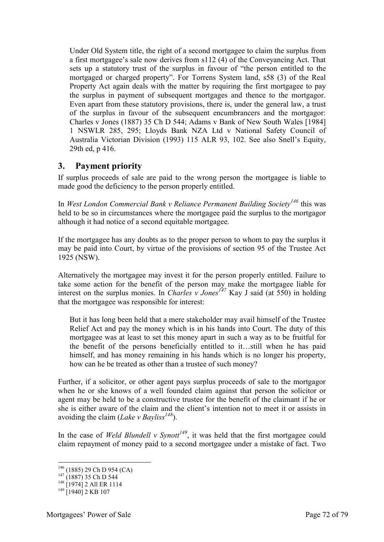Under Old System title, the right of a second mortgagee to claim the surplus from a first mortgagee's sale now derives from s112 (4) of the Conveyancing Act. That sets up a statutory trust of the surplus in favour of "the person entitled to the mortgaged or charged property". For Torrens System land, s58 (3) of the Real Property Act again deals with the matter by requiring the first mortgagee to pay the surplus in payment of subsequent mortgages and thence to the mortgagor. Even apart from these statutory provisions, there is, under the general law, a trust of the surplus in favour of the subsequent encumbrancers and the mortgagor: Charles v Jones (1887) 35 Ch D 544; Adams v Bank of New South Wales [1984] 1 NSWLR 285, 295; Lloyds Bank NZA Ltd v National Safety Council of Australia Victorian Division (1993) 115 ALR 93, 102. See also Snell's Equity, 29th ed, p 416.

# **3. Payment priority**

If surplus proceeds of sale are paid to the wrong person the mortgagee is liable to made good the deficiency to the person properly entitled.

In *West London Commercial Bank v Reliance Permanent Building Society<sup>146</sup>* this was held to be so in circumstances where the mortgagee paid the surplus to the mortgagor although it had notice of a second equitable mortgagee.

If the mortgagee has any doubts as to the proper person to whom to pay the surplus it may be paid into Court, by virtue of the provisions of section 95 of the Trustee Act 1925 (NSW).

Alternatively the mortgagee may invest it for the person properly entitled. Failure to take some action for the benefit of the person may make the mortgagee liable for interest on the surplus monies. In *Charles v Jones*<sup> $147$ </sup> Kay J said (at 550) in holding that the mortgagee was responsible for interest:

But it has long been held that a mere stakeholder may avail himself of the Trustee Relief Act and pay the money which is in his hands into Court. The duty of this mortgagee was at least to set this money apart in such a way as to be fruitful for the benefit of the persons beneficially entitled to it…still when he has paid himself, and has money remaining in his hands which is no longer his property, how can he be treated as other than a trustee of such money?

Further, if a solicitor, or other agent pays surplus proceeds of sale to the mortgagor when he or she knows of a well founded claim against that person the solicitor or agent may be held to be a constructive trustee for the benefit of the claimant if he or she is either aware of the claim and the client's intention not to meet it or assists in avoiding the claim (*Lake v Bayliss<sup>148</sup>*).

In the case of *Weld Blundell v Synott<sup>149</sup>*, it was held that the first mortgagee could claim repayment of money paid to a second mortgagee under a mistake of fact. Two

<sup>146</sup> (1885) 29 Ch D 954 (CA)

 $147$  (1887) 35 Ch D 544

<sup>148</sup> [1974] 2 All ER 1114

<sup>&</sup>lt;sup>149</sup> [1940] 2 KB 107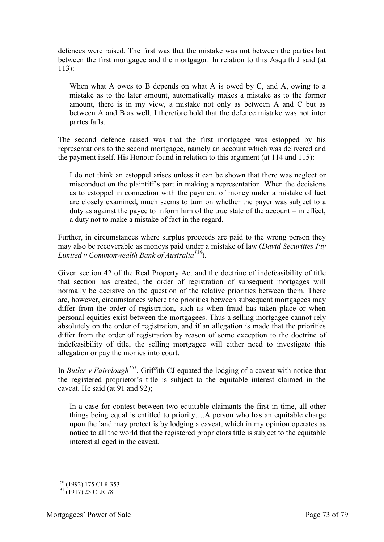defences were raised. The first was that the mistake was not between the parties but between the first mortgagee and the mortgagor. In relation to this Asquith J said (at  $113$ 

When what A owes to B depends on what A is owed by C, and A, owing to a mistake as to the later amount, automatically makes a mistake as to the former amount, there is in my view, a mistake not only as between A and C but as between A and B as well. I therefore hold that the defence mistake was not inter partes fails.

The second defence raised was that the first mortgagee was estopped by his representations to the second mortgagee, namely an account which was delivered and the payment itself. His Honour found in relation to this argument (at 114 and 115):

I do not think an estoppel arises unless it can be shown that there was neglect or misconduct on the plaintiff's part in making a representation. When the decisions as to estoppel in connection with the payment of money under a mistake of fact are closely examined, much seems to turn on whether the payer was subject to a duty as against the payee to inform him of the true state of the account – in effect, a duty not to make a mistake of fact in the regard.

Further, in circumstances where surplus proceeds are paid to the wrong person they may also be recoverable as moneys paid under a mistake of law (*David Securities Pty Limited v Commonwealth Bank of Australia<sup>150</sup>*).

Given section 42 of the Real Property Act and the doctrine of indefeasibility of title that section has created, the order of registration of subsequent mortgages will normally be decisive on the question of the relative priorities between them. There are, however, circumstances where the priorities between subsequent mortgagees may differ from the order of registration, such as when fraud has taken place or when personal equities exist between the mortgagees. Thus a selling mortgagee cannot rely absolutely on the order of registration, and if an allegation is made that the priorities differ from the order of registration by reason of some exception to the doctrine of indefeasibility of title, the selling mortgagee will either need to investigate this allegation or pay the monies into court.

In *Butler v Fairclough*<sup>151</sup>, Griffith CJ equated the lodging of a caveat with notice that the registered proprietor's title is subject to the equitable interest claimed in the caveat. He said (at 91 and 92);

In a case for contest between two equitable claimants the first in time, all other things being equal is entitled to priority….A person who has an equitable charge upon the land may protect is by lodging a caveat, which in my opinion operates as notice to all the world that the registered proprietors title is subject to the equitable interest alleged in the caveat.

<sup>-</sup><sup>150</sup> (1992) 175 CLR 353

 $^{151}$  (1917) 23 CLR 78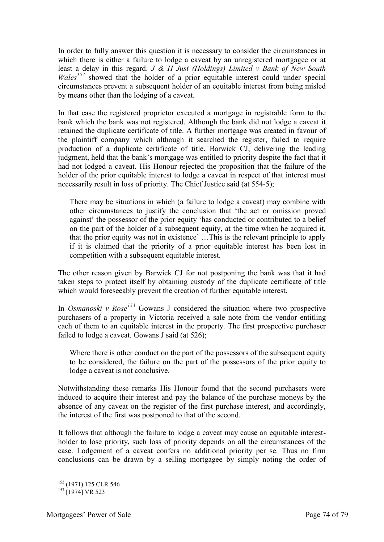In order to fully answer this question it is necessary to consider the circumstances in which there is either a failure to lodge a caveat by an unregistered mortgagee or at least a delay in this regard. *J & H Just (Holdings) Limited v Bank of New South Wales<sup>152</sup>* showed that the holder of a prior equitable interest could under special circumstances prevent a subsequent holder of an equitable interest from being misled by means other than the lodging of a caveat.

In that case the registered proprietor executed a mortgage in registrable form to the bank which the bank was not registered. Although the bank did not lodge a caveat it retained the duplicate certificate of title. A further mortgage was created in favour of the plaintiff company which although it searched the register, failed to require production of a duplicate certificate of title. Barwick CJ, delivering the leading judgment, held that the bank's mortgage was entitled to priority despite the fact that it had not lodged a caveat. His Honour rejected the proposition that the failure of the holder of the prior equitable interest to lodge a caveat in respect of that interest must necessarily result in loss of priority. The Chief Justice said (at 554-5);

There may be situations in which (a failure to lodge a caveat) may combine with other circumstances to justify the conclusion that 'the act or omission proved against' the possessor of the prior equity 'has conducted or contributed to a belief on the part of the holder of a subsequent equity, at the time when he acquired it, that the prior equity was not in existence' …This is the relevant principle to apply if it is claimed that the priority of a prior equitable interest has been lost in competition with a subsequent equitable interest.

The other reason given by Barwick CJ for not postponing the bank was that it had taken steps to protect itself by obtaining custody of the duplicate certificate of title which would foreseeably prevent the creation of further equitable interest.

In *Osmanoski v Rose<sup>153</sup>* Gowans J considered the situation where two prospective purchasers of a property in Victoria received a sale note from the vendor entitling each of them to an equitable interest in the property. The first prospective purchaser failed to lodge a caveat. Gowans J said (at 526);

Where there is other conduct on the part of the possessors of the subsequent equity to be considered, the failure on the part of the possessors of the prior equity to lodge a caveat is not conclusive.

Notwithstanding these remarks His Honour found that the second purchasers were induced to acquire their interest and pay the balance of the purchase moneys by the absence of any caveat on the register of the first purchase interest, and accordingly, the interest of the first was postponed to that of the second.

It follows that although the failure to lodge a caveat may cause an equitable interestholder to lose priority, such loss of priority depends on all the circumstances of the case. Lodgement of a caveat confers no additional priority per se. Thus no firm conclusions can be drawn by a selling mortgagee by simply noting the order of

<sup>-</sup><sup>152</sup> (1971) 125 CLR 546

 $153$  [1974] VR 523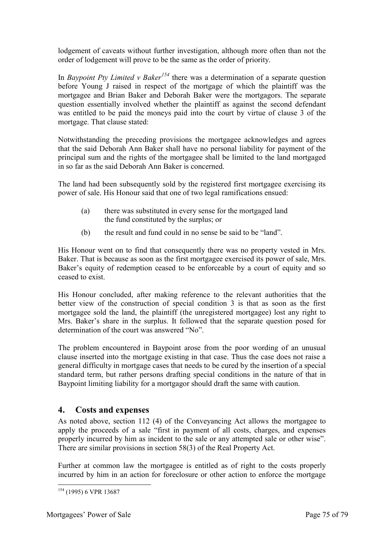lodgement of caveats without further investigation, although more often than not the order of lodgement will prove to be the same as the order of priority.

In *Baypoint Pty Limited v Baker<sup>154</sup>* there was a determination of a separate question before Young J raised in respect of the mortgage of which the plaintiff was the mortgagee and Brian Baker and Deborah Baker were the mortgagors. The separate question essentially involved whether the plaintiff as against the second defendant was entitled to be paid the moneys paid into the court by virtue of clause 3 of the mortgage. That clause stated:

Notwithstanding the preceding provisions the mortgagee acknowledges and agrees that the said Deborah Ann Baker shall have no personal liability for payment of the principal sum and the rights of the mortgagee shall be limited to the land mortgaged in so far as the said Deborah Ann Baker is concerned.

The land had been subsequently sold by the registered first mortgagee exercising its power of sale. His Honour said that one of two legal ramifications ensued:

- (a) there was substituted in every sense for the mortgaged land the fund constituted by the surplus; or
- (b) the result and fund could in no sense be said to be "land".

His Honour went on to find that consequently there was no property vested in Mrs. Baker. That is because as soon as the first mortgagee exercised its power of sale, Mrs. Baker's equity of redemption ceased to be enforceable by a court of equity and so ceased to exist.

His Honour concluded, after making reference to the relevant authorities that the better view of the construction of special condition 3 is that as soon as the first mortgagee sold the land, the plaintiff (the unregistered mortgagee) lost any right to Mrs. Baker's share in the surplus. It followed that the separate question posed for determination of the court was answered "No".

The problem encountered in Baypoint arose from the poor wording of an unusual clause inserted into the mortgage existing in that case. Thus the case does not raise a general difficulty in mortgage cases that needs to be cured by the insertion of a special standard term, but rather persons drafting special conditions in the nature of that in Baypoint limiting liability for a mortgagor should draft the same with caution.

## **4. Costs and expenses**

As noted above, section 112 (4) of the Conveyancing Act allows the mortgagee to apply the proceeds of a sale "first in payment of all costs, charges, and expenses properly incurred by him as incident to the sale or any attempted sale or other wise". There are similar provisions in section 58(3) of the Real Property Act.

Further at common law the mortgagee is entitled as of right to the costs properly incurred by him in an action for foreclosure or other action to enforce the mortgage

<sup>-</sup><sup>154</sup> (1995) 6 VPR 13687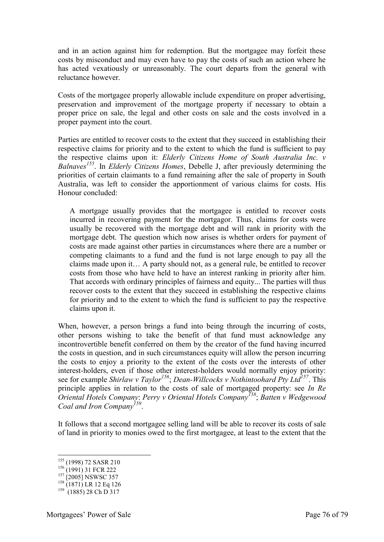and in an action against him for redemption. But the mortgagee may forfeit these costs by misconduct and may even have to pay the costs of such an action where he has acted vexatiously or unreasonably. The court departs from the general with reluctance however.

Costs of the mortgagee properly allowable include expenditure on proper advertising, preservation and improvement of the mortgage property if necessary to obtain a proper price on sale, the legal and other costs on sale and the costs involved in a proper payment into the court.

Parties are entitled to recover costs to the extent that they succeed in establishing their respective claims for priority and to the extent to which the fund is sufficient to pay the respective claims upon it: *Elderly Citizens Home of South Australia Inc. v Balnaves<sup>155</sup>*. In *Elderly Citizens Homes*, Debelle J, after previously determining the priorities of certain claimants to a fund remaining after the sale of property in South Australia, was left to consider the apportionment of various claims for costs. His Honour concluded:

A mortgage usually provides that the mortgagee is entitled to recover costs incurred in recovering payment for the mortgagor. Thus, claims for costs were usually be recovered with the mortgage debt and will rank in priority with the mortgage debt. The question which now arises is whether orders for payment of costs are made against other parties in circumstances where there are a number or competing claimants to a fund and the fund is not large enough to pay all the claims made upon it… A party should not, as a general rule, be entitled to recover costs from those who have held to have an interest ranking in priority after him. That accords with ordinary principles of fairness and equity... The parties will thus recover costs to the extent that they succeed in establishing the respective claims for priority and to the extent to which the fund is sufficient to pay the respective claims upon it.

When, however, a person brings a fund into being through the incurring of costs, other persons wishing to take the benefit of that fund must acknowledge any incontrovertible benefit conferred on them by the creator of the fund having incurred the costs in question, and in such circumstances equity will allow the person incurring the costs to enjoy a priority to the extent of the costs over the interests of other interest-holders, even if those other interest-holders would normally enjoy priority: see for example *Shirlaw v Taylor<sup>156</sup>*; *Dean-Willcocks v Nothintoohard Pty Ltd<sup>157</sup>*. This principle applies in relation to the costs of sale of mortgaged property: see *In Re Oriental Hotels Company*: *Perry v Oriental Hotels Company<sup>158</sup>*; *Batten v Wedgewood Coal and Iron Company<sup>159</sup>* .

It follows that a second mortgagee selling land will be able to recover its costs of sale of land in priority to monies owed to the first mortgagee, at least to the extent that the

-

<sup>&</sup>lt;sup>155</sup> (1998) 72 SASR 210

 $156$  (1991) 31 FCR 222

 $^{157}$  [2005] NSWSC 357

<sup>&</sup>lt;sup>158</sup> (1871) LR 12 Eq 126

 $159$  (1885) 28 Ch D 317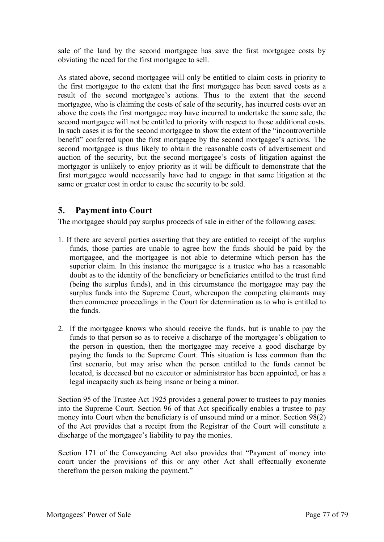sale of the land by the second mortgagee has save the first mortgagee costs by obviating the need for the first mortgagee to sell.

As stated above, second mortgagee will only be entitled to claim costs in priority to the first mortgagee to the extent that the first mortgagee has been saved costs as a result of the second mortgagee's actions. Thus to the extent that the second mortgagee, who is claiming the costs of sale of the security, has incurred costs over an above the costs the first mortgagee may have incurred to undertake the same sale, the second mortgagee will not be entitled to priority with respect to those additional costs. In such cases it is for the second mortgagee to show the extent of the "incontrovertible benefit" conferred upon the first mortgagee by the second mortgagee's actions. The second mortgagee is thus likely to obtain the reasonable costs of advertisement and auction of the security, but the second mortgagee's costs of litigation against the mortgagor is unlikely to enjoy priority as it will be difficult to demonstrate that the first mortgagee would necessarily have had to engage in that same litigation at the same or greater cost in order to cause the security to be sold.

## **5. Payment into Court**

The mortgagee should pay surplus proceeds of sale in either of the following cases:

- 1. If there are several parties asserting that they are entitled to receipt of the surplus funds, those parties are unable to agree how the funds should be paid by the mortgagee, and the mortgagee is not able to determine which person has the superior claim. In this instance the mortgagee is a trustee who has a reasonable doubt as to the identity of the beneficiary or beneficiaries entitled to the trust fund (being the surplus funds), and in this circumstance the mortgagee may pay the surplus funds into the Supreme Court, whereupon the competing claimants may then commence proceedings in the Court for determination as to who is entitled to the funds.
- 2. If the mortgagee knows who should receive the funds, but is unable to pay the funds to that person so as to receive a discharge of the mortgagee's obligation to the person in question, then the mortgagee may receive a good discharge by paying the funds to the Supreme Court. This situation is less common than the first scenario, but may arise when the person entitled to the funds cannot be located, is deceased but no executor or administrator has been appointed, or has a legal incapacity such as being insane or being a minor.

Section 95 of the Trustee Act 1925 provides a general power to trustees to pay monies into the Supreme Court. Section 96 of that Act specifically enables a trustee to pay money into Court when the beneficiary is of unsound mind or a minor. Section 98(2) of the Act provides that a receipt from the Registrar of the Court will constitute a discharge of the mortgagee's liability to pay the monies.

Section 171 of the Conveyancing Act also provides that "Payment of money into court under the provisions of this or any other Act shall effectually exonerate therefrom the person making the payment."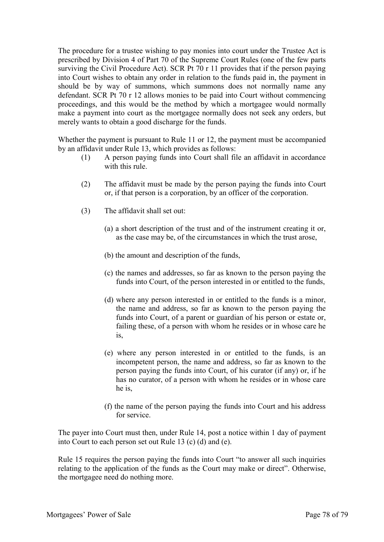The procedure for a trustee wishing to pay monies into court under the Trustee Act is prescribed by Division 4 of Part 70 of the Supreme Court Rules (one of the few parts surviving the Civil Procedure Act). SCR Pt 70 r 11 provides that if the person paying into Court wishes to obtain any order in relation to the funds paid in, the payment in should be by way of summons, which summons does not normally name any defendant. SCR Pt 70 r 12 allows monies to be paid into Court without commencing proceedings, and this would be the method by which a mortgagee would normally make a payment into court as the mortgagee normally does not seek any orders, but merely wants to obtain a good discharge for the funds.

Whether the payment is pursuant to Rule 11 or 12, the payment must be accompanied by an affidavit under Rule 13, which provides as follows:

- (1) A person paying funds into Court shall file an affidavit in accordance with this rule.
- (2) The affidavit must be made by the person paying the funds into Court or, if that person is a corporation, by an officer of the corporation.
- (3) The affidavit shall set out:
	- (a) a short description of the trust and of the instrument creating it or, as the case may be, of the circumstances in which the trust arose,
	- (b) the amount and description of the funds,
	- (c) the names and addresses, so far as known to the person paying the funds into Court, of the person interested in or entitled to the funds,
	- (d) where any person interested in or entitled to the funds is a minor, the name and address, so far as known to the person paying the funds into Court, of a parent or guardian of his person or estate or, failing these, of a person with whom he resides or in whose care he is,
	- (e) where any person interested in or entitled to the funds, is an incompetent person, the name and address, so far as known to the person paying the funds into Court, of his curator (if any) or, if he has no curator, of a person with whom he resides or in whose care he is,
	- (f) the name of the person paying the funds into Court and his address for service.

The payer into Court must then, under Rule 14, post a notice within 1 day of payment into Court to each person set out Rule 13 (c) (d) and (e).

Rule 15 requires the person paying the funds into Court "to answer all such inquiries relating to the application of the funds as the Court may make or direct". Otherwise, the mortgagee need do nothing more.